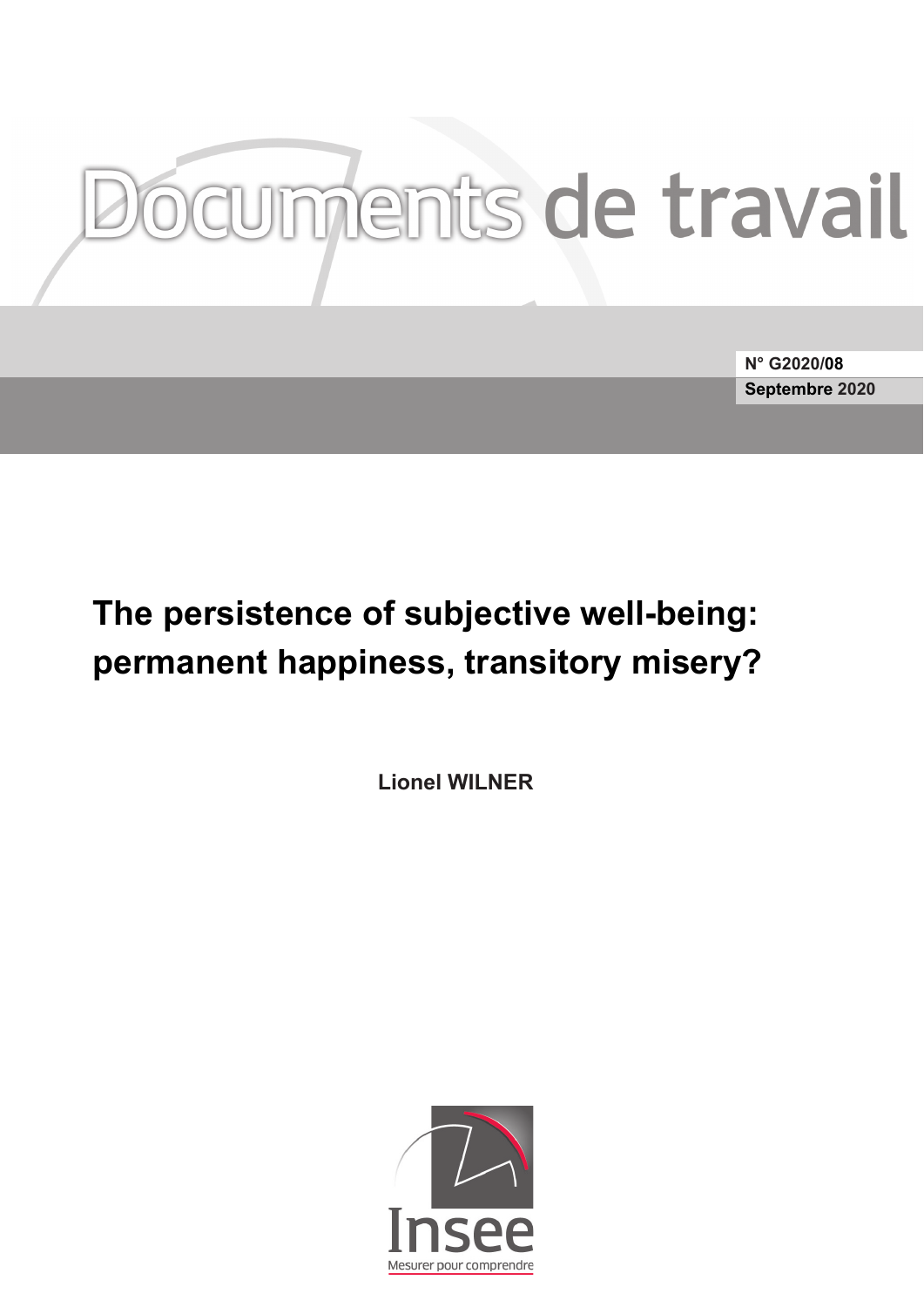# Iments de travail

**N° G2020/08 Septembre 2020**

# The persistence of subjective well-being: **permanent happiness, transitory misery?**

**Lionel WILNER**

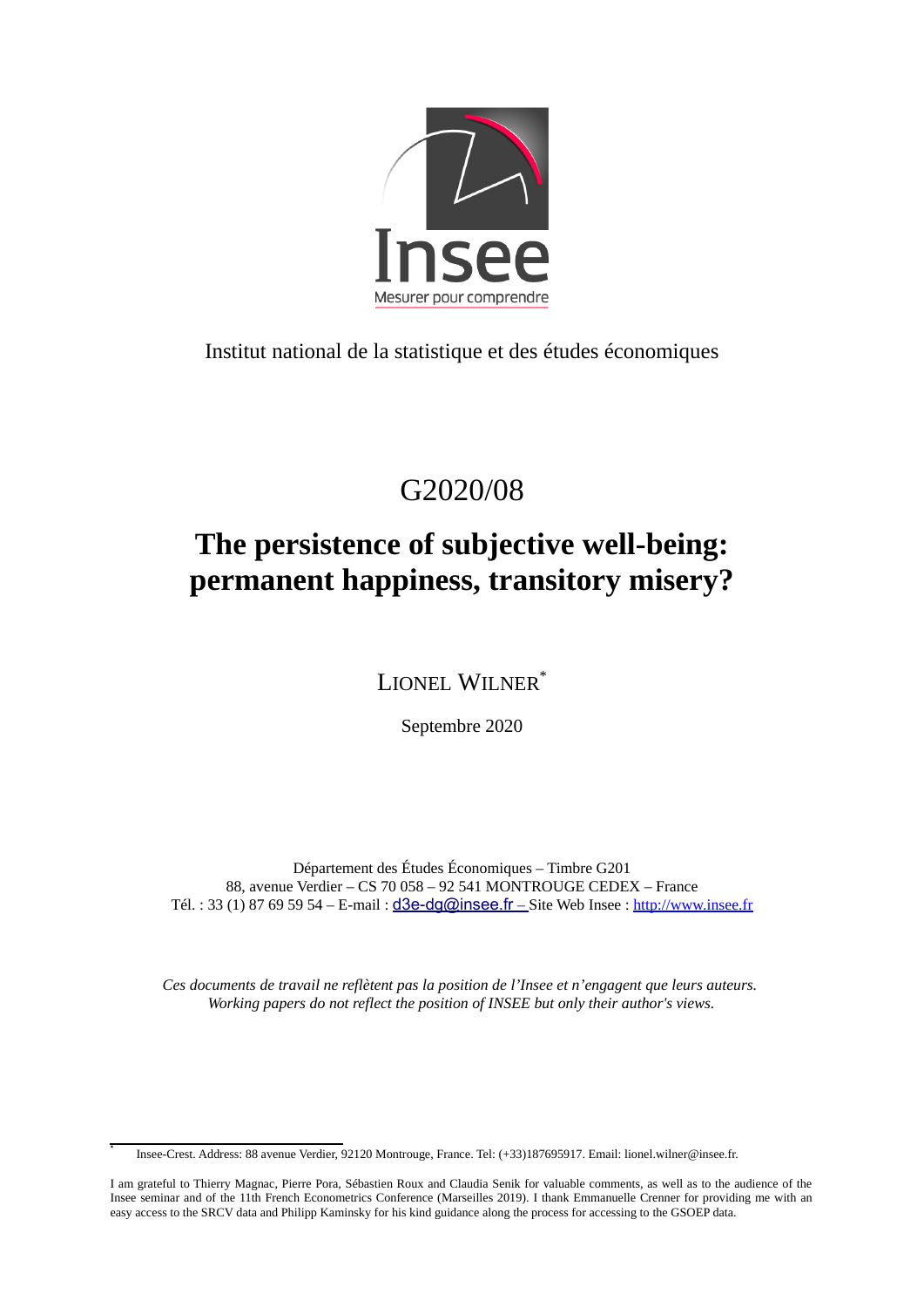

Institut national de la statistique et des études économiques

# G2020/08

# **The persistence of subjective well-being: permanent happiness, transitory misery?**

LIONEL WILNER[\\*](#page-2-0)

Septembre 2020

Département des Études Économiques – Timbre G201 88, avenue Verdier – CS 70 058 – 92 541 MONTROUGE CEDEX – France Tél. : 33 (1) 87 69 59 54 – E-mail : [d3e-dg@insee.fr](mailto:d3e-dg@insee.fr) – Site Web Insee : [http://www.insee.fr](http://www.insee.fr/)

*Ces documents de travail ne reflètent pas la position de l'Insee et n'engagent que leurs auteurs. Working papers do not reflect the position of INSEE but only their author's views.*

<span id="page-2-0"></span>Insee-Crest. Address: 88 avenue Verdier, 92120 Montrouge, France. Tel: (+33)187695917. Email: lionel.wilner@insee.fr.

\*

I am grateful to Thierry Magnac, Pierre Pora, Sébastien Roux and Claudia Senik for valuable comments, as well as to the audience of the Insee seminar and of the 11th French Econometrics Conference (Marseilles 2019). I thank Emmanuelle Crenner for providing me with an easy access to the SRCV data and Philipp Kaminsky for his kind guidance along the process for accessing to the GSOEP data.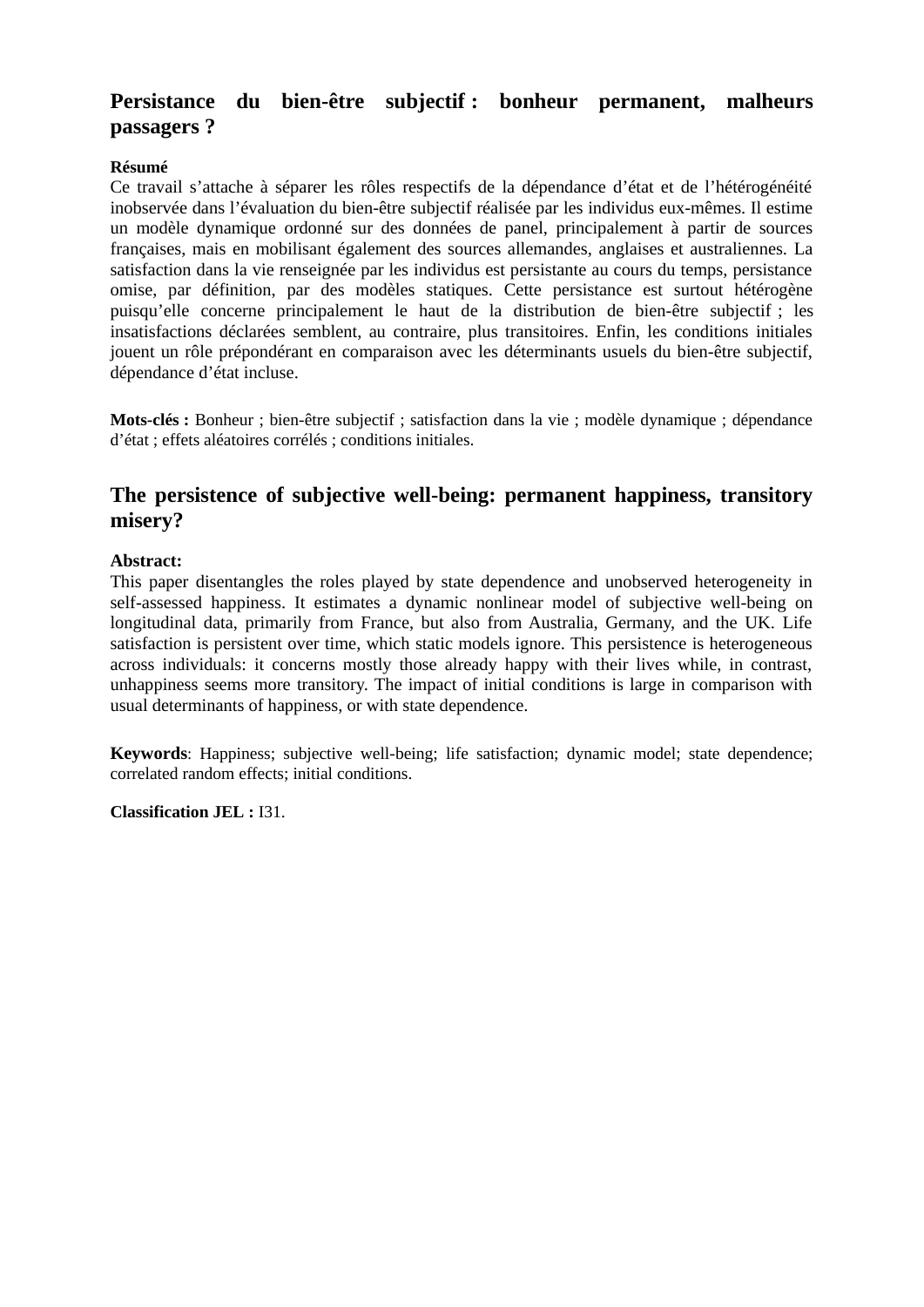#### **Persistance du bien-être subjectif : bonheur permanent, malheurs passagers ?**

#### **Résumé**

Ce travail s'attache à séparer les rôles respectifs de la dépendance d'état et de l'hétérogénéité inobservée dans l'évaluation du bien-être subjectif réalisée par les individus eux-mêmes. Il estime un modèle dynamique ordonné sur des données de panel, principalement à partir de sources françaises, mais en mobilisant également des sources allemandes, anglaises et australiennes. La satisfaction dans la vie renseignée par les individus est persistante au cours du temps, persistance omise, par définition, par des modèles statiques. Cette persistance est surtout hétérogène puisqu'elle concerne principalement le haut de la distribution de bien-être subjectif ; les insatisfactions déclarées semblent, au contraire, plus transitoires. Enfin, les conditions initiales jouent un rôle prépondérant en comparaison avec les déterminants usuels du bien-être subjectif, dépendance d'état incluse.

**Mots-clés :** Bonheur ; bien-être subjectif ; satisfaction dans la vie ; modèle dynamique ; dépendance d'état ; effets aléatoires corrélés ; conditions initiales.

#### **The persistence of subjective well-being: permanent happiness, transitory misery?**

#### **Abstract:**

This paper disentangles the roles played by state dependence and unobserved heterogeneity in self-assessed happiness. It estimates a dynamic nonlinear model of subjective well-being on longitudinal data, primarily from France, but also from Australia, Germany, and the UK. Life satisfaction is persistent over time, which static models ignore. This persistence is heterogeneous across individuals: it concerns mostly those already happy with their lives while, in contrast, unhappiness seems more transitory. The impact of initial conditions is large in comparison with usual determinants of happiness, or with state dependence.

**Keywords**: Happiness; subjective well-being; life satisfaction; dynamic model; state dependence; correlated random effects; initial conditions.

**Classification JEL :** I31.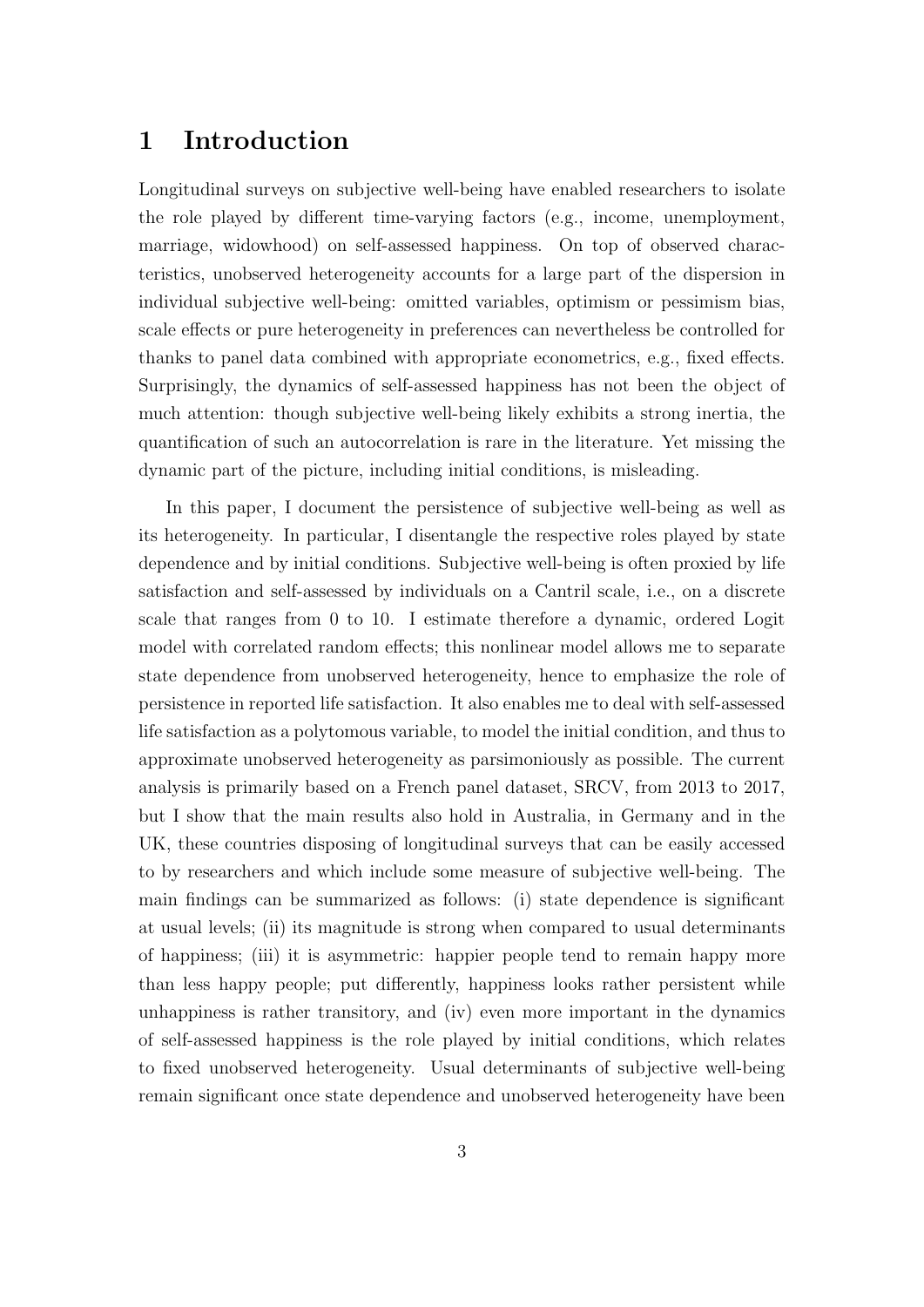#### 1 Introduction

Longitudinal surveys on subjective well-being have enabled researchers to isolate the role played by different time-varying factors (e.g., income, unemployment, marriage, widowhood) on self-assessed happiness. On top of observed characteristics, unobserved heterogeneity accounts for a large part of the dispersion in individual subjective well-being: omitted variables, optimism or pessimism bias, scale effects or pure heterogeneity in preferences can nevertheless be controlled for thanks to panel data combined with appropriate econometrics, e.g., fixed effects. Surprisingly, the dynamics of self-assessed happiness has not been the object of much attention: though subjective well-being likely exhibits a strong inertia, the quantification of such an autocorrelation is rare in the literature. Yet missing the dynamic part of the picture, including initial conditions, is misleading.

In this paper, I document the persistence of subjective well-being as well as its heterogeneity. In particular, I disentangle the respective roles played by state dependence and by initial conditions. Subjective well-being is often proxied by life satisfaction and self-assessed by individuals on a Cantril scale, i.e., on a discrete scale that ranges from 0 to 10. I estimate therefore a dynamic, ordered Logit model with correlated random effects; this nonlinear model allows me to separate state dependence from unobserved heterogeneity, hence to emphasize the role of persistence in reported life satisfaction. It also enables me to deal with self-assessed life satisfaction as a polytomous variable, to model the initial condition, and thus to approximate unobserved heterogeneity as parsimoniously as possible. The current analysis is primarily based on a French panel dataset, SRCV, from 2013 to 2017, but I show that the main results also hold in Australia, in Germany and in the UK, these countries disposing of longitudinal surveys that can be easily accessed to by researchers and which include some measure of subjective well-being. The main findings can be summarized as follows: (i) state dependence is significant at usual levels; (ii) its magnitude is strong when compared to usual determinants of happiness; (iii) it is asymmetric: happier people tend to remain happy more than less happy people; put differently, happiness looks rather persistent while unhappiness is rather transitory, and (iv) even more important in the dynamics of self-assessed happiness is the role played by initial conditions, which relates to fixed unobserved heterogeneity. Usual determinants of subjective well-being remain significant once state dependence and unobserved heterogeneity have been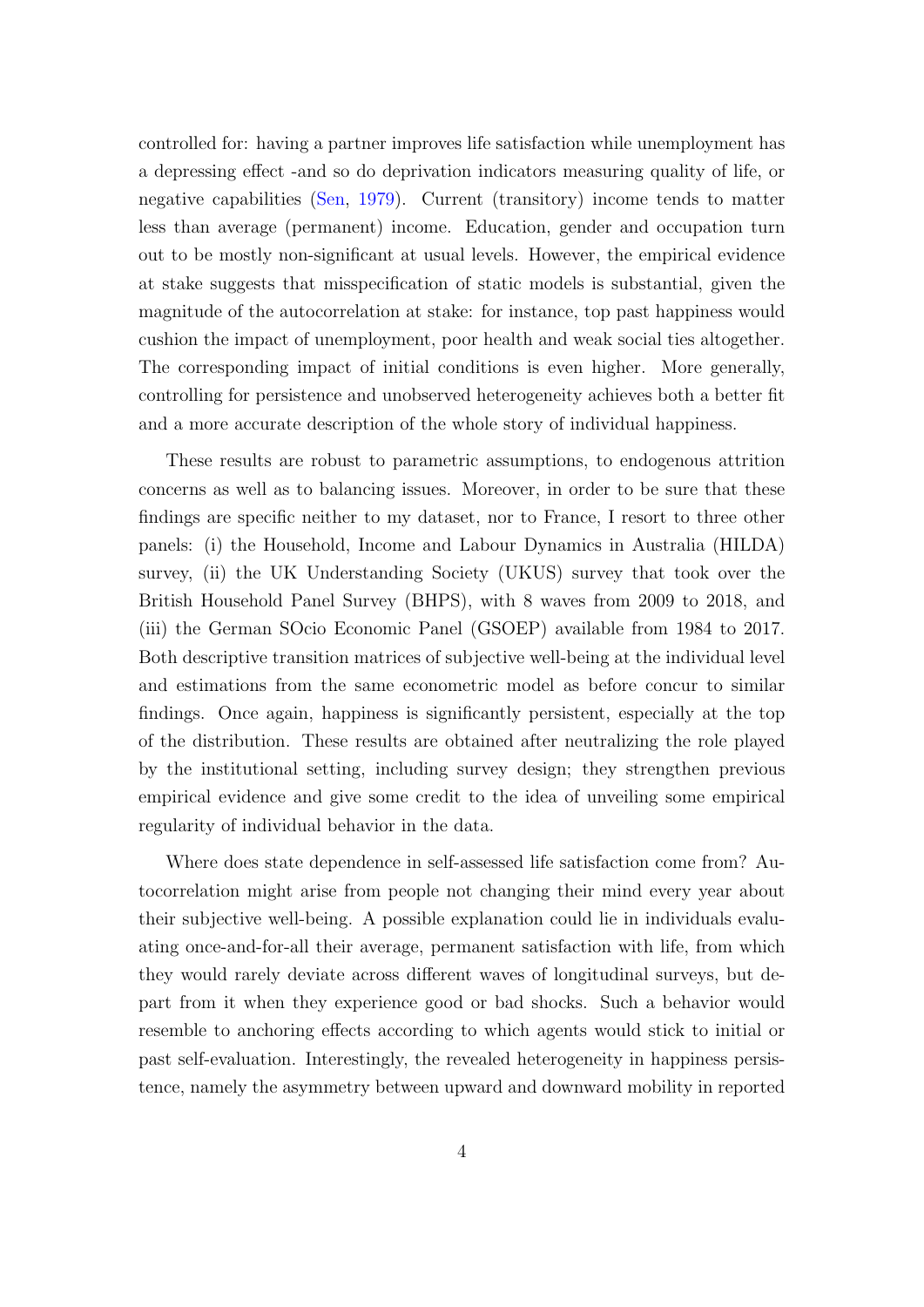controlled for: having a partner improves life satisfaction while unemployment has a depressing effect -and so do deprivation indicators measuring quality of life, or negative capabilities [\(Sen,](#page-24-0) [1979\)](#page-24-0). Current (transitory) income tends to matter less than average (permanent) income. Education, gender and occupation turn out to be mostly non-significant at usual levels. However, the empirical evidence at stake suggests that misspecification of static models is substantial, given the magnitude of the autocorrelation at stake: for instance, top past happiness would cushion the impact of unemployment, poor health and weak social ties altogether. The corresponding impact of initial conditions is even higher. More generally, controlling for persistence and unobserved heterogeneity achieves both a better fit and a more accurate description of the whole story of individual happiness.

These results are robust to parametric assumptions, to endogenous attrition concerns as well as to balancing issues. Moreover, in order to be sure that these findings are specific neither to my dataset, nor to France, I resort to three other panels: (i) the Household, Income and Labour Dynamics in Australia (HILDA) survey, (ii) the UK Understanding Society (UKUS) survey that took over the British Household Panel Survey (BHPS), with 8 waves from 2009 to 2018, and (iii) the German SOcio Economic Panel (GSOEP) available from 1984 to 2017. Both descriptive transition matrices of subjective well-being at the individual level and estimations from the same econometric model as before concur to similar findings. Once again, happiness is significantly persistent, especially at the top of the distribution. These results are obtained after neutralizing the role played by the institutional setting, including survey design; they strengthen previous empirical evidence and give some credit to the idea of unveiling some empirical regularity of individual behavior in the data.

Where does state dependence in self-assessed life satisfaction come from? Autocorrelation might arise from people not changing their mind every year about their subjective well-being. A possible explanation could lie in individuals evaluating once-and-for-all their average, permanent satisfaction with life, from which they would rarely deviate across different waves of longitudinal surveys, but depart from it when they experience good or bad shocks. Such a behavior would resemble to anchoring effects according to which agents would stick to initial or past self-evaluation. Interestingly, the revealed heterogeneity in happiness persistence, namely the asymmetry between upward and downward mobility in reported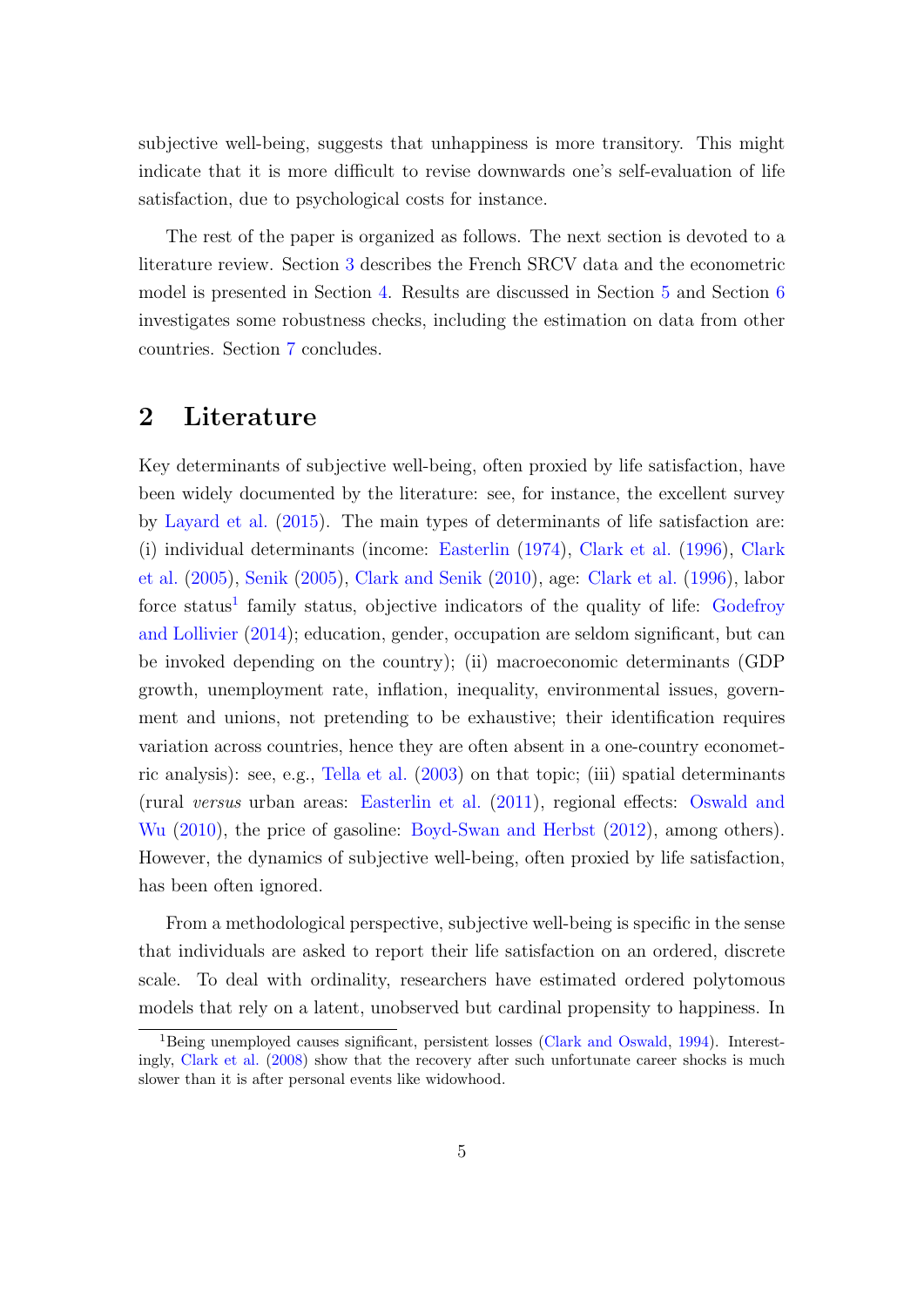subjective well-being, suggests that unhappiness is more transitory. This might indicate that it is more difficult to revise downwards one's self-evaluation of life satisfaction, due to psychological costs for instance.

The rest of the paper is organized as follows. The next section is devoted to a literature review. Section [3](#page-8-0) describes the French SRCV data and the econometric model is presented in Section [4.](#page-10-0) Results are discussed in Section [5](#page-14-0) and Section [6](#page-18-0) investigates some robustness checks, including the estimation on data from other countries. Section [7](#page-20-0) concludes.

#### 2 Literature

Key determinants of subjective well-being, often proxied by life satisfaction, have been widely documented by the literature: see, for instance, the excellent survey by [Layard et al.](#page-23-0) [\(2015\)](#page-23-0). The main types of determinants of life satisfaction are: (i) individual determinants (income: [Easterlin](#page-22-0) [\(1974\)](#page-22-0), [Clark et al.](#page-22-0) [\(1996\)](#page-22-0), [Clark](#page-22-0) [et al.](#page-22-0) [\(2005\)](#page-22-0), [Senik](#page-24-0) [\(2005\)](#page-24-0), [Clark and Senik](#page-22-0) [\(2010\)](#page-22-0), age: [Clark et al.](#page-22-0) [\(1996\)](#page-22-0), labor force status<sup>1</sup> family status, objective indicators of the quality of life: [Godefroy](#page-23-0) [and Lollivier](#page-23-0) [\(2014\)](#page-23-0); education, gender, occupation are seldom significant, but can be invoked depending on the country); (ii) macroeconomic determinants (GDP growth, unemployment rate, inflation, inequality, environmental issues, government and unions, not pretending to be exhaustive; their identification requires variation across countries, hence they are often absent in a one-country econometric analysis): see, e.g., [Tella et al.](#page-24-0) [\(2003\)](#page-24-0) on that topic; (iii) spatial determinants (rural versus urban areas: [Easterlin et al.](#page-22-0) [\(2011\)](#page-22-0), regional effects: [Oswald and](#page-24-0) [Wu](#page-24-0) [\(2010\)](#page-24-0), the price of gasoline: [Boyd-Swan and Herbst](#page-21-0) [\(2012\)](#page-21-0), among others). However, the dynamics of subjective well-being, often proxied by life satisfaction, has been often ignored.

From a methodological perspective, subjective well-being is specific in the sense that individuals are asked to report their life satisfaction on an ordered, discrete scale. To deal with ordinality, researchers have estimated ordered polytomous models that rely on a latent, unobserved but cardinal propensity to happiness. In

<sup>1</sup>Being unemployed causes significant, persistent losses [\(Clark and Oswald,](#page-22-0) [1994\)](#page-22-0). Interestingly, [Clark et al.](#page-22-0) [\(2008\)](#page-22-0) show that the recovery after such unfortunate career shocks is much slower than it is after personal events like widowhood.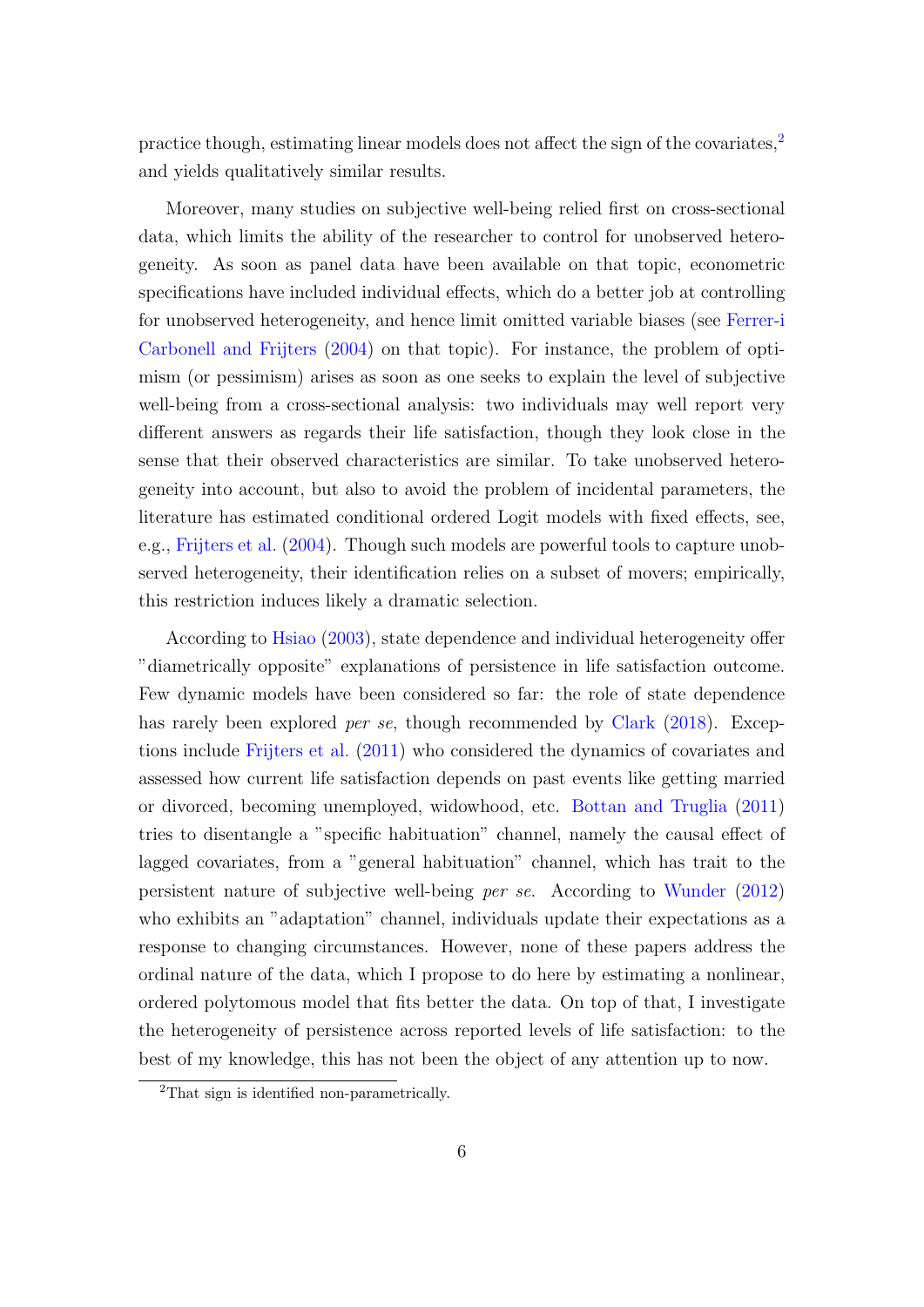practice though, estimating linear models does not affect the sign of the covariates,<sup>2</sup> and yields qualitatively similar results.

Moreover, many studies on subjective well-being relied first on cross-sectional data, which limits the ability of the researcher to control for unobserved heterogeneity. As soon as panel data have been available on that topic, econometric specifications have included individual effects, which do a better job at controlling for unobserved heterogeneity, and hence limit omitted variable biases (see [Ferrer-i](#page-23-0) [Carbonell and Frijters](#page-23-0) [\(2004\)](#page-23-0) on that topic). For instance, the problem of optimism (or pessimism) arises as soon as one seeks to explain the level of subjective well-being from a cross-sectional analysis: two individuals may well report very different answers as regards their life satisfaction, though they look close in the sense that their observed characteristics are similar. To take unobserved heterogeneity into account, but also to avoid the problem of incidental parameters, the literature has estimated conditional ordered Logit models with fixed effects, see, e.g., [Frijters et al.](#page-23-0) [\(2004\)](#page-23-0). Though such models are powerful tools to capture unobserved heterogeneity, their identification relies on a subset of movers; empirically, this restriction induces likely a dramatic selection.

According to [Hsiao](#page-23-0) [\(2003\)](#page-23-0), state dependence and individual heterogeneity offer "diametrically opposite" explanations of persistence in life satisfaction outcome. Few dynamic models have been considered so far: the role of state dependence has rarely been explored *per se*, though recommended by [Clark](#page-22-0) [\(2018\)](#page-22-0). Exceptions include [Frijters et al.](#page-23-0) [\(2011\)](#page-23-0) who considered the dynamics of covariates and assessed how current life satisfaction depends on past events like getting married or divorced, becoming unemployed, widowhood, etc. [Bottan and Truglia](#page-21-0) [\(2011\)](#page-21-0) tries to disentangle a "specific habituation" channel, namely the causal effect of lagged covariates, from a "general habituation" channel, which has trait to the persistent nature of subjective well-being per se. According to [Wunder](#page-24-0) [\(2012\)](#page-24-0) who exhibits an "adaptation" channel, individuals update their expectations as a response to changing circumstances. However, none of these papers address the ordinal nature of the data, which I propose to do here by estimating a nonlinear, ordered polytomous model that fits better the data. On top of that, I investigate the heterogeneity of persistence across reported levels of life satisfaction: to the best of my knowledge, this has not been the object of any attention up to now.

<sup>2</sup>That sign is identified non-parametrically.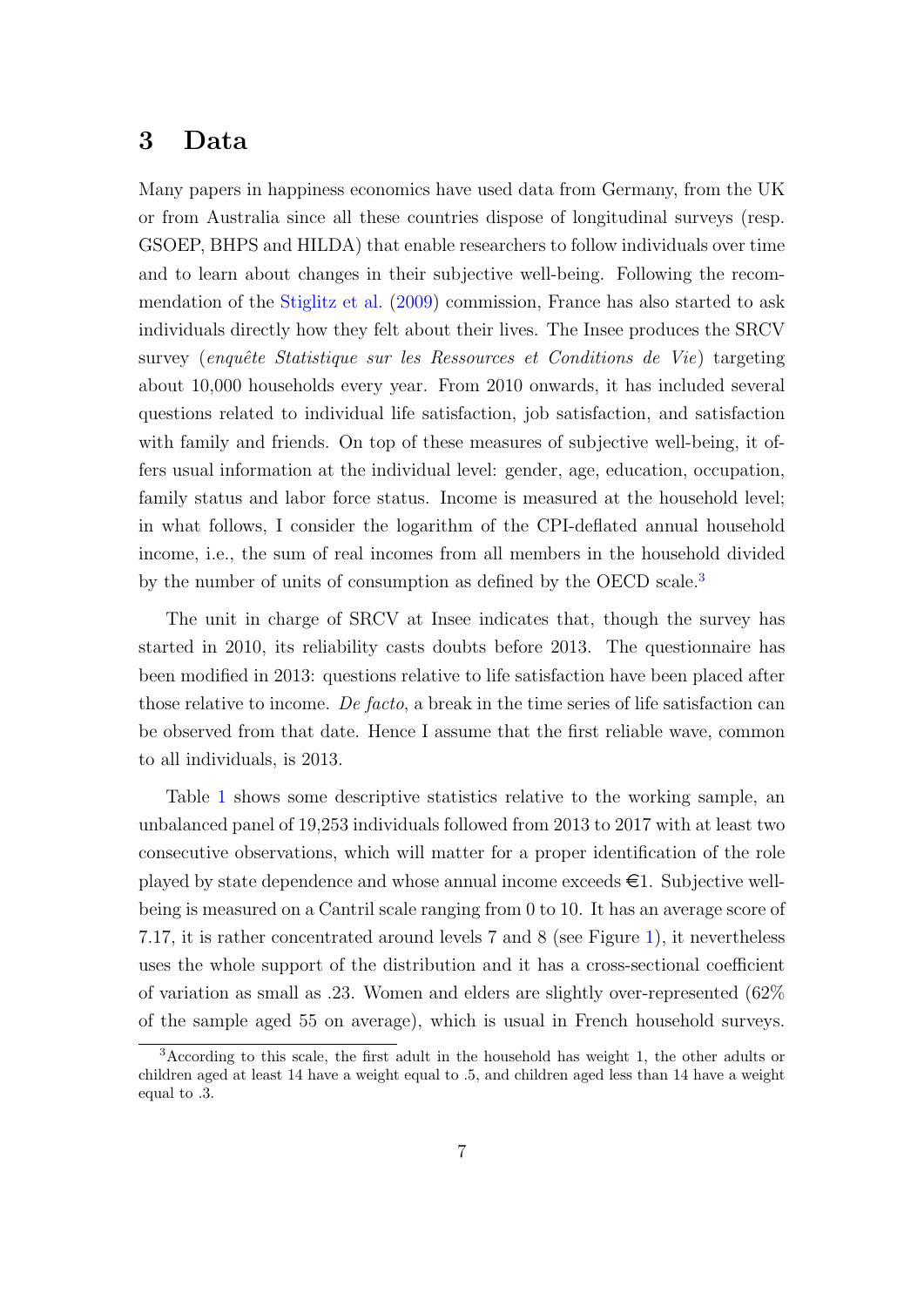#### <span id="page-8-0"></span>3 Data

Many papers in happiness economics have used data from Germany, from the UK or from Australia since all these countries dispose of longitudinal surveys (resp. GSOEP, BHPS and HILDA) that enable researchers to follow individuals over time and to learn about changes in their subjective well-being. Following the recommendation of the [Stiglitz et al.](#page-24-0) [\(2009\)](#page-24-0) commission, France has also started to ask individuals directly how they felt about their lives. The Insee produces the SRCV survey (enquête Statistique sur les Ressources et Conditions de Vie) targeting about 10,000 households every year. From 2010 onwards, it has included several questions related to individual life satisfaction, job satisfaction, and satisfaction with family and friends. On top of these measures of subjective well-being, it offers usual information at the individual level: gender, age, education, occupation, family status and labor force status. Income is measured at the household level; in what follows, I consider the logarithm of the CPI-deflated annual household income, i.e., the sum of real incomes from all members in the household divided by the number of units of consumption as defined by the OECD scale.<sup>3</sup>

The unit in charge of SRCV at Insee indicates that, though the survey has started in 2010, its reliability casts doubts before 2013. The questionnaire has been modified in 2013: questions relative to life satisfaction have been placed after those relative to income. De facto, a break in the time series of life satisfaction can be observed from that date. Hence I assume that the first reliable wave, common to all individuals, is 2013.

Table [1](#page-26-0) shows some descriptive statistics relative to the working sample, an unbalanced panel of 19,253 individuals followed from 2013 to 2017 with at least two consecutive observations, which will matter for a proper identification of the role played by state dependence and whose annual income exceeds  $\in$  1. Subjective wellbeing is measured on a Cantril scale ranging from 0 to 10. It has an average score of 7.17, it is rather concentrated around levels 7 and 8 (see Figure [1\)](#page-25-0), it nevertheless uses the whole support of the distribution and it has a cross-sectional coefficient of variation as small as .23. Women and elders are slightly over-represented (62% of the sample aged 55 on average), which is usual in French household surveys.

<sup>3</sup>According to this scale, the first adult in the household has weight 1, the other adults or children aged at least 14 have a weight equal to .5, and children aged less than 14 have a weight equal to .3.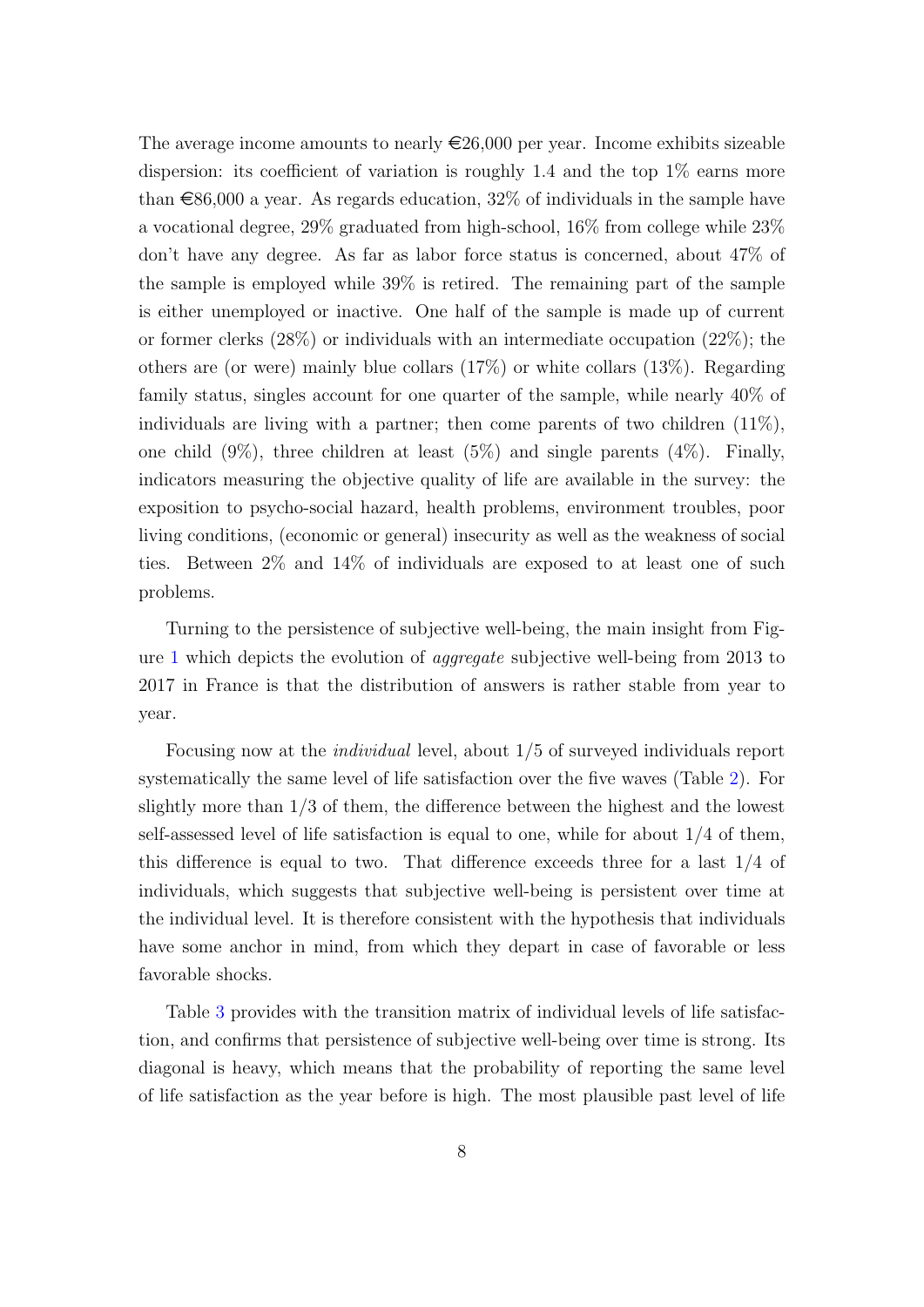The average income amounts to nearly  $\epsilon \approx 26,000$  per year. Income exhibits sizeable dispersion: its coefficient of variation is roughly 1.4 and the top  $1\%$  earns more than  $\epsilon$ 86,000 a year. As regards education, 32% of individuals in the sample have a vocational degree, 29% graduated from high-school, 16% from college while 23% don't have any degree. As far as labor force status is concerned, about 47% of the sample is employed while 39% is retired. The remaining part of the sample is either unemployed or inactive. One half of the sample is made up of current or former clerks  $(28\%)$  or individuals with an intermediate occupation  $(22\%)$ ; the others are (or were) mainly blue collars (17%) or white collars (13%). Regarding family status, singles account for one quarter of the sample, while nearly 40% of individuals are living with a partner; then come parents of two children  $(11\%)$ , one child  $(9\%)$ , three children at least  $(5\%)$  and single parents  $(4\%)$ . Finally, indicators measuring the objective quality of life are available in the survey: the exposition to psycho-social hazard, health problems, environment troubles, poor living conditions, (economic or general) insecurity as well as the weakness of social ties. Between 2% and 14% of individuals are exposed to at least one of such problems.

Turning to the persistence of subjective well-being, the main insight from Figure [1](#page-25-0) which depicts the evolution of aggregate subjective well-being from 2013 to 2017 in France is that the distribution of answers is rather stable from year to year.

Focusing now at the individual level, about 1/5 of surveyed individuals report systematically the same level of life satisfaction over the five waves (Table [2\)](#page-27-0). For slightly more than 1/3 of them, the difference between the highest and the lowest self-assessed level of life satisfaction is equal to one, while for about  $1/4$  of them, this difference is equal to two. That difference exceeds three for a last 1/4 of individuals, which suggests that subjective well-being is persistent over time at the individual level. It is therefore consistent with the hypothesis that individuals have some anchor in mind, from which they depart in case of favorable or less favorable shocks.

Table [3](#page-27-0) provides with the transition matrix of individual levels of life satisfaction, and confirms that persistence of subjective well-being over time is strong. Its diagonal is heavy, which means that the probability of reporting the same level of life satisfaction as the year before is high. The most plausible past level of life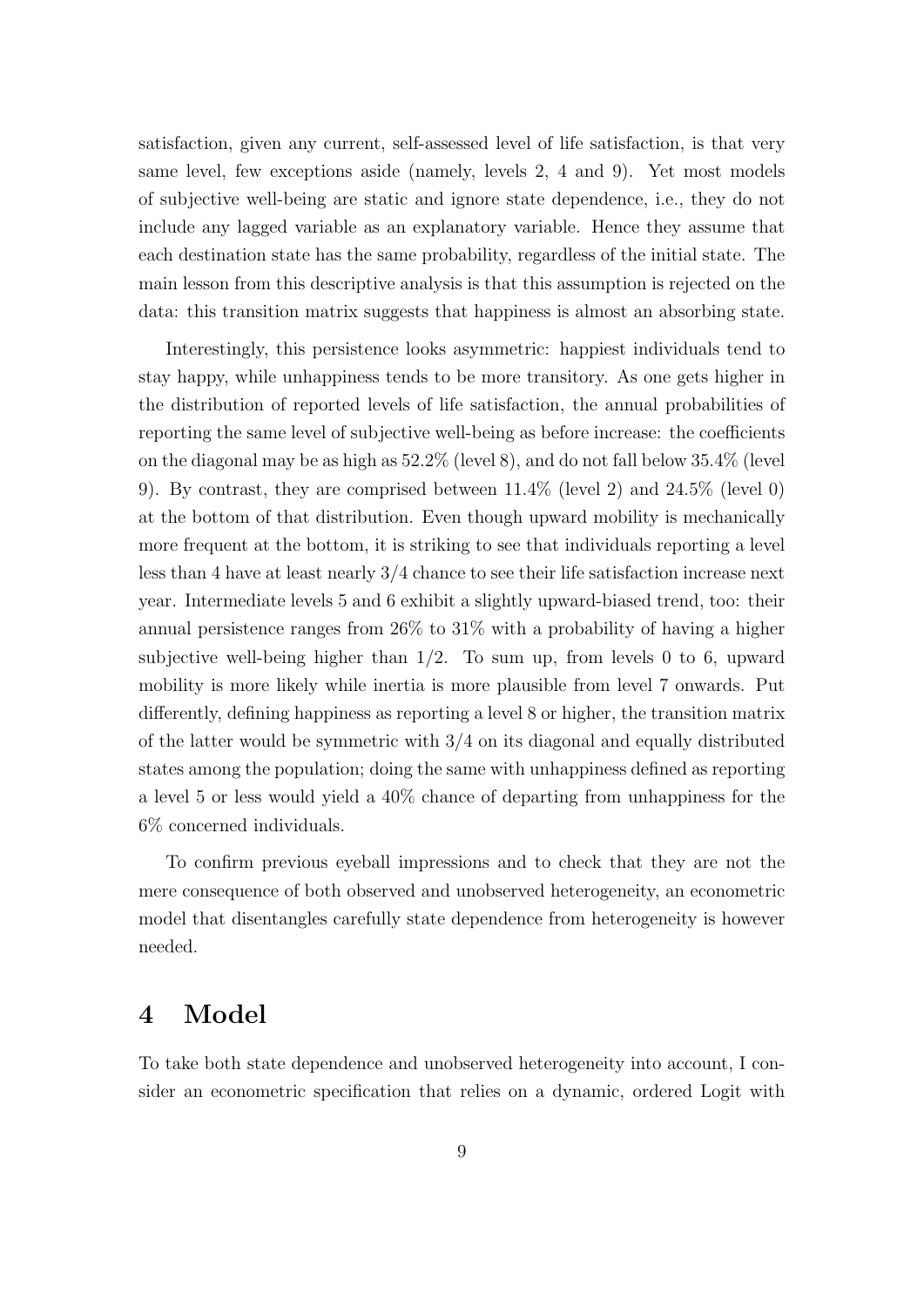<span id="page-10-0"></span>satisfaction, given any current, self-assessed level of life satisfaction, is that very same level, few exceptions aside (namely, levels 2, 4 and 9). Yet most models of subjective well-being are static and ignore state dependence, i.e., they do not include any lagged variable as an explanatory variable. Hence they assume that each destination state has the same probability, regardless of the initial state. The main lesson from this descriptive analysis is that this assumption is rejected on the data: this transition matrix suggests that happiness is almost an absorbing state.

Interestingly, this persistence looks asymmetric: happiest individuals tend to stay happy, while unhappiness tends to be more transitory. As one gets higher in the distribution of reported levels of life satisfaction, the annual probabilities of reporting the same level of subjective well-being as before increase: the coefficients on the diagonal may be as high as 52.2% (level 8), and do not fall below 35.4% (level 9). By contrast, they are comprised between 11.4% (level 2) and 24.5% (level 0) at the bottom of that distribution. Even though upward mobility is mechanically more frequent at the bottom, it is striking to see that individuals reporting a level less than 4 have at least nearly 3/4 chance to see their life satisfaction increase next year. Intermediate levels 5 and 6 exhibit a slightly upward-biased trend, too: their annual persistence ranges from 26% to 31% with a probability of having a higher subjective well-being higher than  $1/2$ . To sum up, from levels 0 to 6, upward mobility is more likely while inertia is more plausible from level 7 onwards. Put differently, defining happiness as reporting a level 8 or higher, the transition matrix of the latter would be symmetric with 3/4 on its diagonal and equally distributed states among the population; doing the same with unhappiness defined as reporting a level 5 or less would yield a 40% chance of departing from unhappiness for the 6% concerned individuals.

To confirm previous eyeball impressions and to check that they are not the mere consequence of both observed and unobserved heterogeneity, an econometric model that disentangles carefully state dependence from heterogeneity is however needed.

#### 4 Model

To take both state dependence and unobserved heterogeneity into account, I consider an econometric specification that relies on a dynamic, ordered Logit with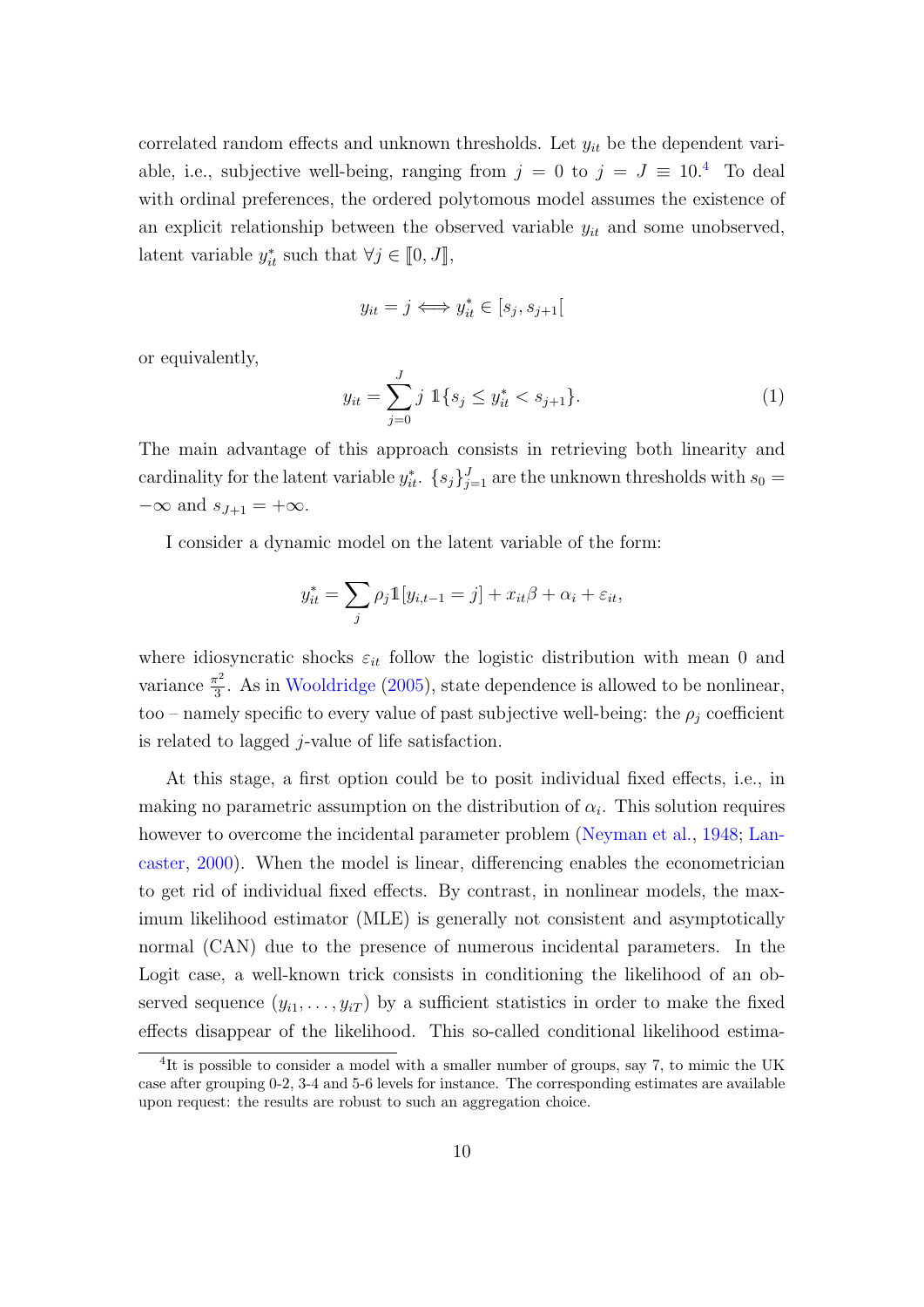correlated random effects and unknown thresholds. Let  $y_{it}$  be the dependent variable, i.e., subjective well-being, ranging from  $j = 0$  to  $j = J \equiv 10^{4}$  To deal with ordinal preferences, the ordered polytomous model assumes the existence of an explicit relationship between the observed variable  $y_{it}$  and some unobserved, latent variable  $y_{it}^*$  such that  $\forall j \in [0, J],$ 

$$
y_{it} = j \Longleftrightarrow y_{it}^* \in [s_j, s_{j+1}[
$$

or equivalently,

$$
y_{it} = \sum_{j=0}^{J} j \, \mathbb{1}\{s_j \le y_{it}^* < s_{j+1}\}.\tag{1}
$$

The main advantage of this approach consists in retrieving both linearity and cardinality for the latent variable  $y_{it}^*$ .  $\{s_j\}_{j=1}^J$  are the unknown thresholds with  $s_0 =$  $-\infty$  and  $s_{J+1} = +\infty$ .

I consider a dynamic model on the latent variable of the form:

$$
y_{it}^* = \sum_j \rho_j \mathbb{1}[y_{i,t-1} = j] + x_{it}\beta + \alpha_i + \varepsilon_{it},
$$

where idiosyncratic shocks  $\varepsilon_{it}$  follow the logistic distribution with mean 0 and variance  $\frac{\pi^2}{3}$  $\frac{\pi^2}{3}$ . As in [Wooldridge](#page-24-0) [\(2005\)](#page-24-0), state dependence is allowed to be nonlinear, too – namely specific to every value of past subjective well-being: the  $\rho_j$  coefficient is related to lagged  $j$ -value of life satisfaction.

At this stage, a first option could be to posit individual fixed effects, i.e., in making no parametric assumption on the distribution of  $\alpha_i$ . This solution requires however to overcome the incidental parameter problem [\(Neyman et al.,](#page-24-0) [1948;](#page-24-0) [Lan](#page-23-0)[caster,](#page-23-0) [2000\)](#page-23-0). When the model is linear, differencing enables the econometrician to get rid of individual fixed effects. By contrast, in nonlinear models, the maximum likelihood estimator (MLE) is generally not consistent and asymptotically normal (CAN) due to the presence of numerous incidental parameters. In the Logit case, a well-known trick consists in conditioning the likelihood of an observed sequence  $(y_{i1}, \ldots, y_{iT})$  by a sufficient statistics in order to make the fixed effects disappear of the likelihood. This so-called conditional likelihood estima-

<sup>&</sup>lt;sup>4</sup>It is possible to consider a model with a smaller number of groups, say 7, to mimic the UK case after grouping 0-2, 3-4 and 5-6 levels for instance. The corresponding estimates are available upon request: the results are robust to such an aggregation choice.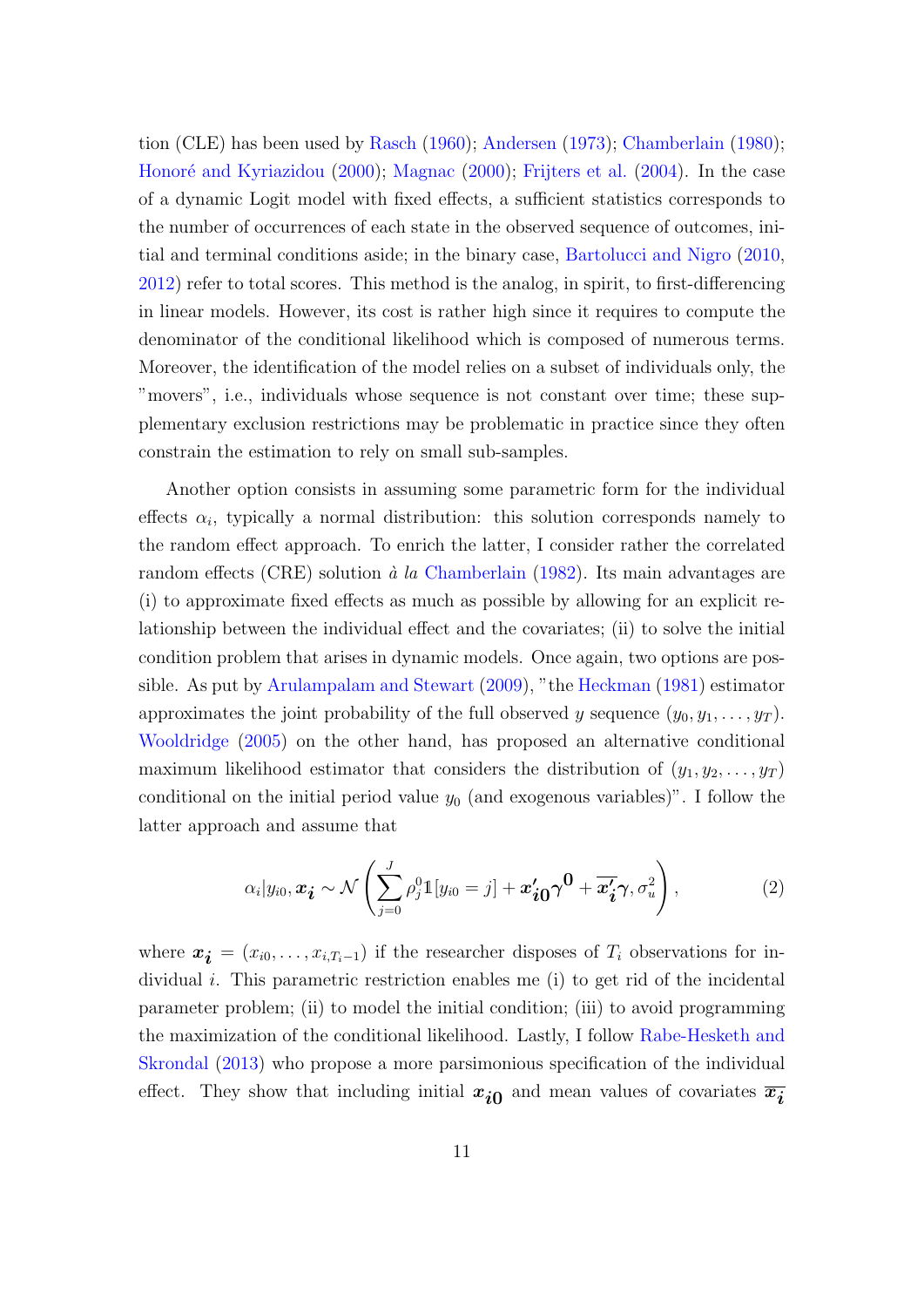tion (CLE) has been used by [Rasch](#page-24-0) [\(1960\)](#page-24-0); [Andersen](#page-21-0) [\(1973\)](#page-21-0); [Chamberlain](#page-22-0) [\(1980\)](#page-22-0); Honoré and Kyriazidou [\(2000\)](#page-23-0); [Magnac](#page-23-0) (2000); [Frijters et al.](#page-23-0) [\(2004\)](#page-23-0). In the case of a dynamic Logit model with fixed effects, a sufficient statistics corresponds to the number of occurrences of each state in the observed sequence of outcomes, initial and terminal conditions aside; in the binary case, [Bartolucci and Nigro](#page-21-0) [\(2010,](#page-21-0) [2012\)](#page-21-0) refer to total scores. This method is the analog, in spirit, to first-differencing in linear models. However, its cost is rather high since it requires to compute the denominator of the conditional likelihood which is composed of numerous terms. Moreover, the identification of the model relies on a subset of individuals only, the "movers", i.e., individuals whose sequence is not constant over time; these supplementary exclusion restrictions may be problematic in practice since they often constrain the estimation to rely on small sub-samples.

Another option consists in assuming some parametric form for the individual effects  $\alpha_i$ , typically a normal distribution: this solution corresponds namely to the random effect approach. To enrich the latter, I consider rather the correlated random effects (CRE) solution à la [Chamberlain](#page-22-0) [\(1982\)](#page-22-0). Its main advantages are (i) to approximate fixed effects as much as possible by allowing for an explicit relationship between the individual effect and the covariates; (ii) to solve the initial condition problem that arises in dynamic models. Once again, two options are possible. As put by [Arulampalam and Stewart](#page-21-0) [\(2009\)](#page-21-0), "the [Heckman](#page-23-0) [\(1981\)](#page-23-0) estimator approximates the joint probability of the full observed y sequence  $(y_0, y_1, \ldots, y_T)$ . [Wooldridge](#page-24-0) [\(2005\)](#page-24-0) on the other hand, has proposed an alternative conditional maximum likelihood estimator that considers the distribution of  $(y_1, y_2, \ldots, y_T)$ conditional on the initial period value  $y_0$  (and exogenous variables)". I follow the latter approach and assume that

$$
\alpha_i|y_{i0}, \mathbf{x_i} \sim \mathcal{N}\left(\sum_{j=0}^J \rho_j^0 \mathbb{1}[y_{i0} = j] + \mathbf{x_{i0}'} \gamma^0 + \overline{\mathbf{x_{i}'}} \gamma, \sigma_u^2\right), \qquad (2)
$$

where  $x_i = (x_{i0}, \ldots, x_{i,T_i-1})$  if the researcher disposes of  $T_i$  observations for individual i. This parametric restriction enables me  $(i)$  to get rid of the incidental parameter problem; (ii) to model the initial condition; (iii) to avoid programming the maximization of the conditional likelihood. Lastly, I follow [Rabe-Hesketh and](#page-24-0) [Skrondal](#page-24-0) [\(2013\)](#page-24-0) who propose a more parsimonious specification of the individual effect. They show that including initial  $x_{i0}$  and mean values of covariates  $\overline{x_i}$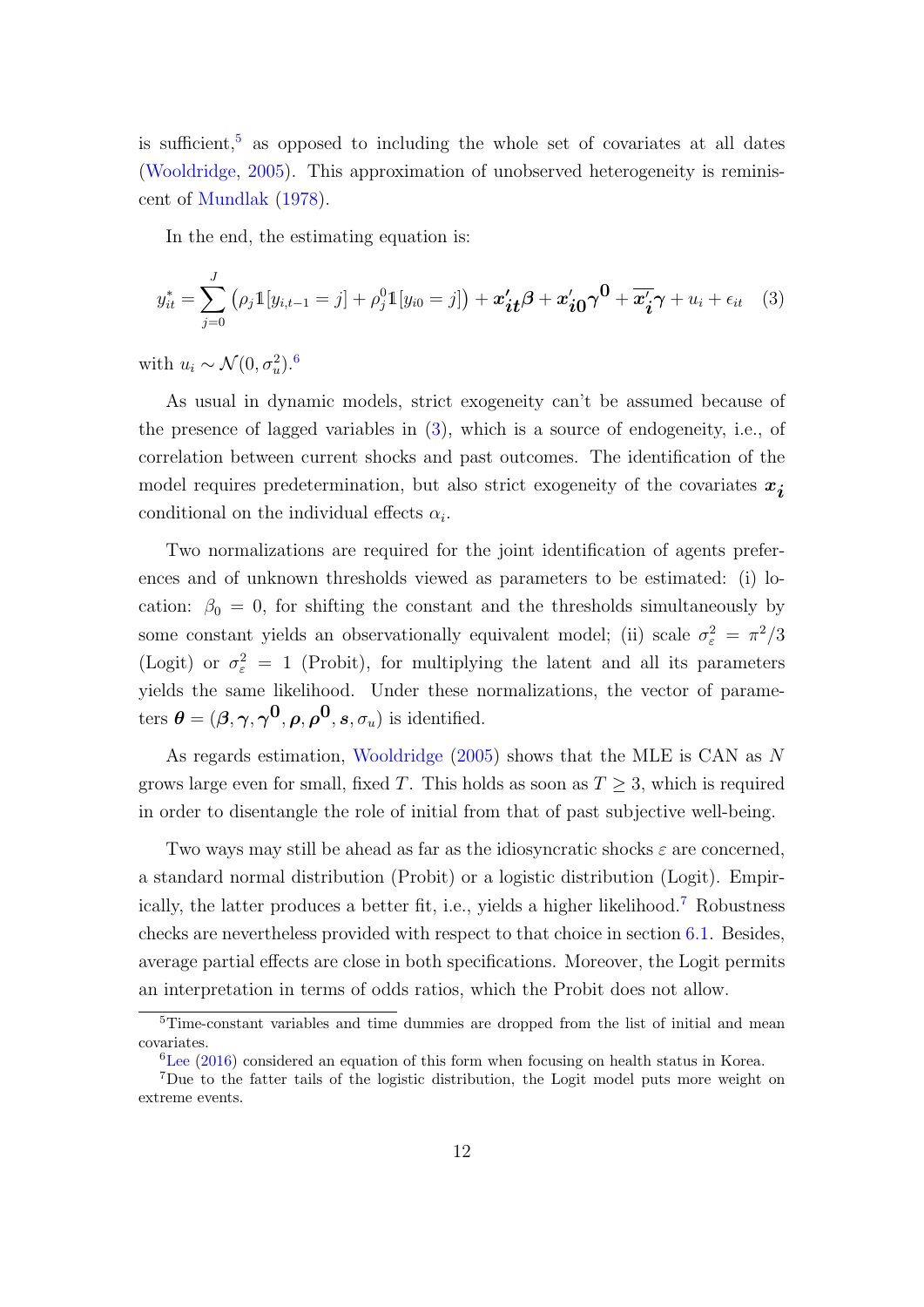<span id="page-13-0"></span>is sufficient,<sup>5</sup> as opposed to including the whole set of covariates at all dates [\(Wooldridge,](#page-24-0) [2005\)](#page-24-0). This approximation of unobserved heterogeneity is reminiscent of [Mundlak](#page-23-0) [\(1978\)](#page-23-0).

In the end, the estimating equation is:

$$
y_{it}^* = \sum_{j=0}^J \left( \rho_j \mathbb{1}[y_{i,t-1} = j] + \rho_j^0 \mathbb{1}[y_{i0} = j] \right) + \mathbf{x'_{it}} \boldsymbol{\beta} + \mathbf{x'_{i0}} \boldsymbol{\gamma^0} + \overline{\mathbf{x'}_{i}} \boldsymbol{\gamma} + u_i + \epsilon_{it} \quad (3)
$$

with  $u_i \sim \mathcal{N}(0, \sigma_u^2)$ .<sup>6</sup>

As usual in dynamic models, strict exogeneity can't be assumed because of the presence of lagged variables in (3), which is a source of endogeneity, i.e., of correlation between current shocks and past outcomes. The identification of the model requires predetermination, but also strict exogeneity of the covariates  $x_i$ conditional on the individual effects  $\alpha_i$ .

Two normalizations are required for the joint identification of agents preferences and of unknown thresholds viewed as parameters to be estimated: (i) location:  $\beta_0 = 0$ , for shifting the constant and the thresholds simultaneously by some constant yields an observationally equivalent model; (ii) scale  $\sigma_{\varepsilon}^2 = \pi^2/3$ (Logit) or  $\sigma_{\varepsilon}^2 = 1$  (Probit), for multiplying the latent and all its parameters yields the same likelihood. Under these normalizations, the vector of parameters  $\boldsymbol{\theta} = (\boldsymbol{\beta}, \boldsymbol{\gamma}, \boldsymbol{\gamma^0}, \boldsymbol{\rho}, \boldsymbol{\rho^0}, \boldsymbol{s}, \sigma_u)$  is identified.

As regards estimation, [Wooldridge](#page-24-0) [\(2005\)](#page-24-0) shows that the MLE is CAN as N grows large even for small, fixed T. This holds as soon as  $T \geq 3$ , which is required in order to disentangle the role of initial from that of past subjective well-being.

Two ways may still be ahead as far as the idiosyncratic shocks  $\varepsilon$  are concerned, a standard normal distribution (Probit) or a logistic distribution (Logit). Empirically, the latter produces a better fit, i.e., yields a higher likelihood.<sup>7</sup> Robustness checks are nevertheless provided with respect to that choice in section [6.1.](#page-18-0) Besides, average partial effects are close in both specifications. Moreover, the Logit permits an interpretation in terms of odds ratios, which the Probit does not allow.

<sup>&</sup>lt;sup>5</sup>Time-constant variables and time dummies are dropped from the list of initial and mean covariates.

 ${}^{6}$ [Lee](#page-23-0) [\(2016\)](#page-23-0) considered an equation of this form when focusing on health status in Korea.

<sup>7</sup>Due to the fatter tails of the logistic distribution, the Logit model puts more weight on extreme events.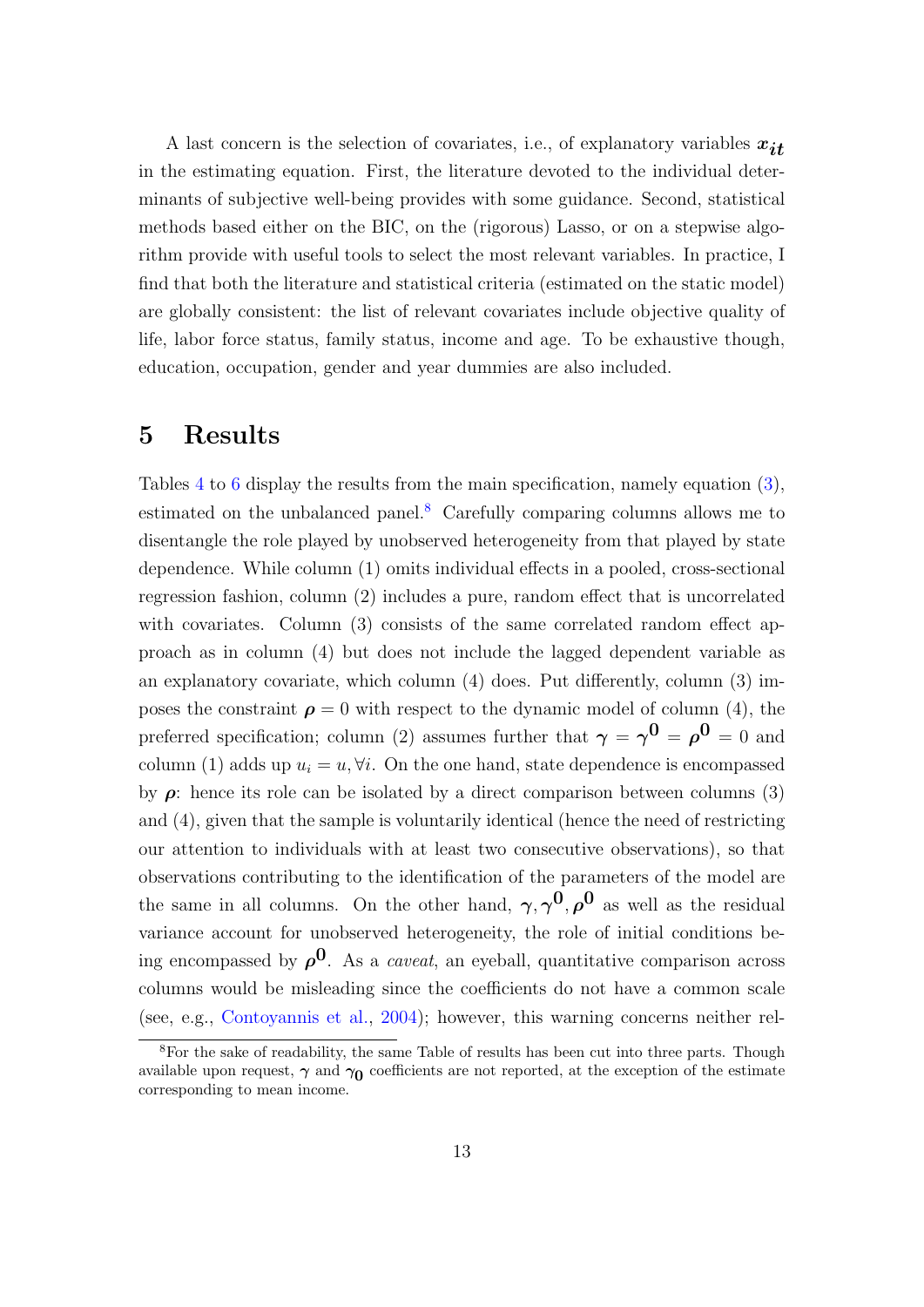<span id="page-14-0"></span>A last concern is the selection of covariates, i.e., of explanatory variables  $x_{it}$ in the estimating equation. First, the literature devoted to the individual determinants of subjective well-being provides with some guidance. Second, statistical methods based either on the BIC, on the (rigorous) Lasso, or on a stepwise algorithm provide with useful tools to select the most relevant variables. In practice, I find that both the literature and statistical criteria (estimated on the static model) are globally consistent: the list of relevant covariates include objective quality of life, labor force status, family status, income and age. To be exhaustive though, education, occupation, gender and year dummies are also included.

#### 5 Results

Tables [4](#page-28-0) to [6](#page-30-0) display the results from the main specification, namely equation [\(3\)](#page-13-0), estimated on the unbalanced panel.<sup>8</sup> Carefully comparing columns allows me to disentangle the role played by unobserved heterogeneity from that played by state dependence. While column (1) omits individual effects in a pooled, cross-sectional regression fashion, column (2) includes a pure, random effect that is uncorrelated with covariates. Column (3) consists of the same correlated random effect approach as in column (4) but does not include the lagged dependent variable as an explanatory covariate, which column (4) does. Put differently, column (3) imposes the constraint  $\rho = 0$  with respect to the dynamic model of column (4), the preferred specification; column (2) assumes further that  $\gamma = \gamma^0 = \rho^0 = 0$  and column (1) adds up  $u_i = u, \forall i$ . On the one hand, state dependence is encompassed by  $\rho$ : hence its role can be isolated by a direct comparison between columns (3) and (4), given that the sample is voluntarily identical (hence the need of restricting our attention to individuals with at least two consecutive observations), so that observations contributing to the identification of the parameters of the model are the same in all columns. On the other hand,  $\gamma, \gamma^0, \rho^0$  as well as the residual variance account for unobserved heterogeneity, the role of initial conditions being encompassed by  $\rho^0$ . As a *caveat*, an eyeball, quantitative comparison across columns would be misleading since the coefficients do not have a common scale (see, e.g., [Contoyannis et al.,](#page-22-0) [2004\)](#page-22-0); however, this warning concerns neither rel-

<sup>8</sup>For the sake of readability, the same Table of results has been cut into three parts. Though available upon request,  $\gamma$  and  $\gamma_0$  coefficients are not reported, at the exception of the estimate corresponding to mean income.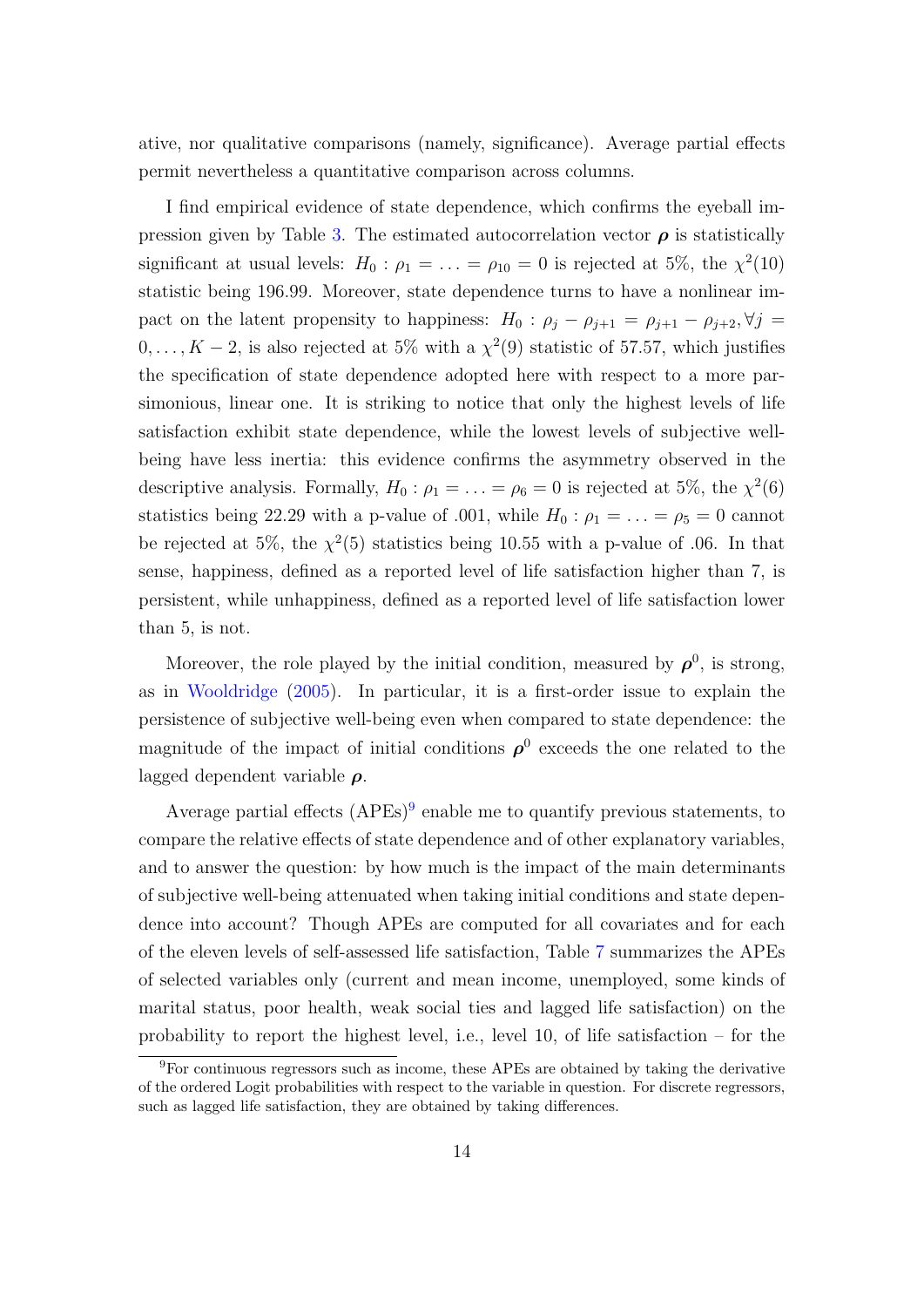ative, nor qualitative comparisons (namely, significance). Average partial effects permit nevertheless a quantitative comparison across columns.

I find empirical evidence of state dependence, which confirms the eyeball im-pression given by Table [3.](#page-27-0) The estimated autocorrelation vector  $\rho$  is statistically significant at usual levels:  $H_0: \rho_1 = \ldots = \rho_{10} = 0$  is rejected at 5%, the  $\chi^2(10)$ statistic being 196.99. Moreover, state dependence turns to have a nonlinear impact on the latent propensity to happiness:  $H_0$ :  $\rho_j - \rho_{j+1} = \rho_{j+1} - \rho_{j+2}$ ,  $\forall j =$  $0, \ldots, K-2$ , is also rejected at 5% with a  $\chi^2(9)$  statistic of 57.57, which justifies the specification of state dependence adopted here with respect to a more parsimonious, linear one. It is striking to notice that only the highest levels of life satisfaction exhibit state dependence, while the lowest levels of subjective wellbeing have less inertia: this evidence confirms the asymmetry observed in the descriptive analysis. Formally,  $H_0: \rho_1 = \ldots = \rho_6 = 0$  is rejected at 5%, the  $\chi^2(6)$ statistics being 22.29 with a p-value of .001, while  $H_0: \rho_1 = \ldots = \rho_5 = 0$  cannot be rejected at 5%, the  $\chi^2$ (5) statistics being 10.55 with a p-value of 0.06. In that sense, happiness, defined as a reported level of life satisfaction higher than 7, is persistent, while unhappiness, defined as a reported level of life satisfaction lower than 5, is not.

Moreover, the role played by the initial condition, measured by  $\rho^0$ , is strong, as in [Wooldridge](#page-24-0) [\(2005\)](#page-24-0). In particular, it is a first-order issue to explain the persistence of subjective well-being even when compared to state dependence: the magnitude of the impact of initial conditions  $\rho^0$  exceeds the one related to the lagged dependent variable  $\rho$ .

Average partial effects  $(APEs)^9$  enable me to quantify previous statements, to compare the relative effects of state dependence and of other explanatory variables, and to answer the question: by how much is the impact of the main determinants of subjective well-being attenuated when taking initial conditions and state dependence into account? Though APEs are computed for all covariates and for each of the eleven levels of self-assessed life satisfaction, Table [7](#page-31-0) summarizes the APEs of selected variables only (current and mean income, unemployed, some kinds of marital status, poor health, weak social ties and lagged life satisfaction) on the probability to report the highest level, i.e., level 10, of life satisfaction – for the

<sup>9</sup>For continuous regressors such as income, these APEs are obtained by taking the derivative of the ordered Logit probabilities with respect to the variable in question. For discrete regressors, such as lagged life satisfaction, they are obtained by taking differences.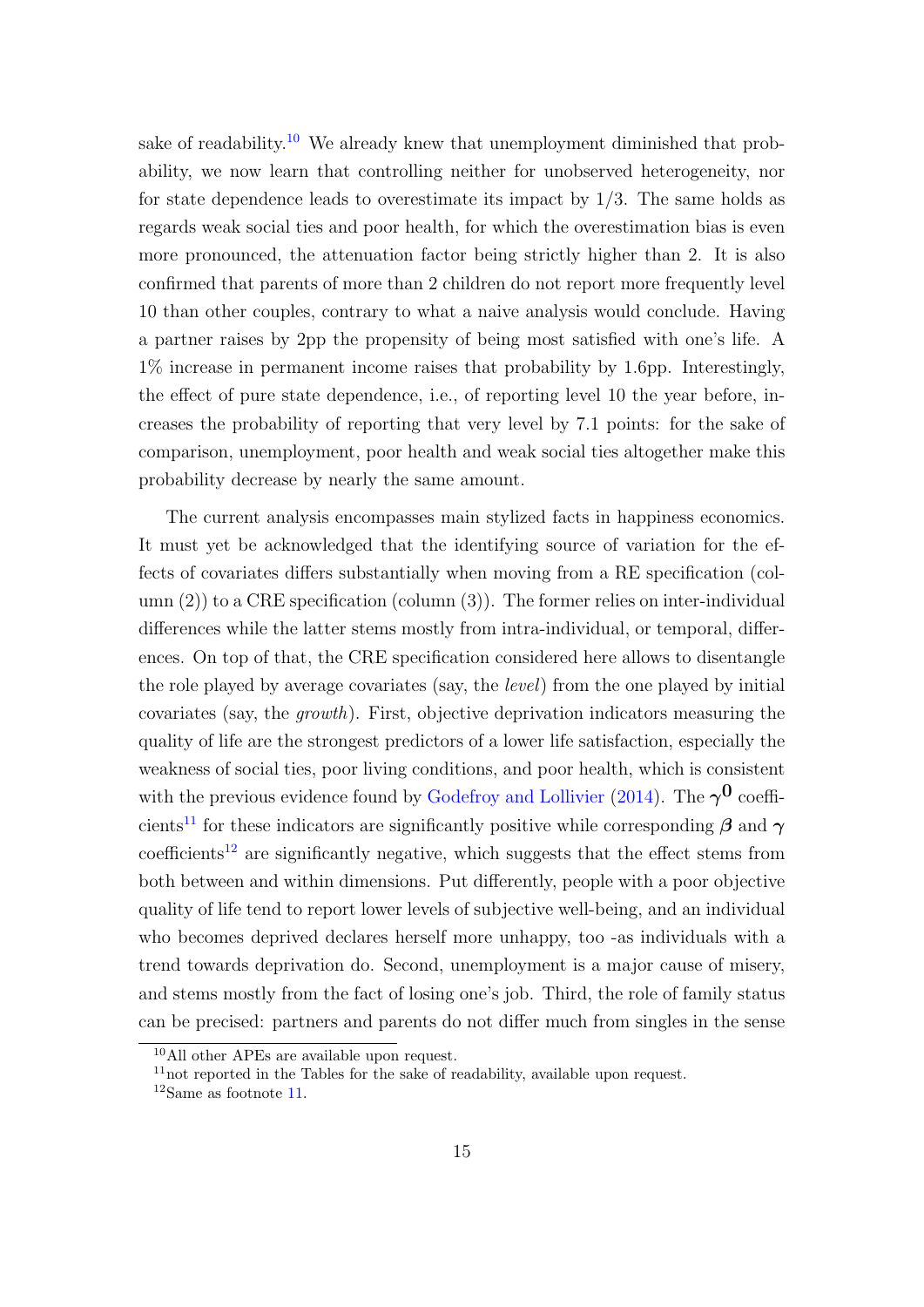sake of readability.<sup>10</sup> We already knew that unemployment diminished that probability, we now learn that controlling neither for unobserved heterogeneity, nor for state dependence leads to overestimate its impact by 1/3. The same holds as regards weak social ties and poor health, for which the overestimation bias is even more pronounced, the attenuation factor being strictly higher than 2. It is also confirmed that parents of more than 2 children do not report more frequently level 10 than other couples, contrary to what a naive analysis would conclude. Having a partner raises by 2pp the propensity of being most satisfied with one's life. A 1% increase in permanent income raises that probability by 1.6pp. Interestingly, the effect of pure state dependence, i.e., of reporting level 10 the year before, increases the probability of reporting that very level by 7.1 points: for the sake of comparison, unemployment, poor health and weak social ties altogether make this probability decrease by nearly the same amount.

The current analysis encompasses main stylized facts in happiness economics. It must yet be acknowledged that the identifying source of variation for the effects of covariates differs substantially when moving from a RE specification (column  $(2)$ ) to a CRE specification (column  $(3)$ ). The former relies on inter-individual differences while the latter stems mostly from intra-individual, or temporal, differences. On top of that, the CRE specification considered here allows to disentangle the role played by average covariates (say, the level) from the one played by initial covariates (say, the growth). First, objective deprivation indicators measuring the quality of life are the strongest predictors of a lower life satisfaction, especially the weakness of social ties, poor living conditions, and poor health, which is consistent with the previous evidence found by [Godefroy and Lollivier](#page-23-0) [\(2014\)](#page-23-0). The  $\gamma^{\mathbf{0}}$  coefficients<sup>11</sup> for these indicators are significantly positive while corresponding  $\beta$  and  $\gamma$  $\text{coefficients}^{12}$  are significantly negative, which suggests that the effect stems from both between and within dimensions. Put differently, people with a poor objective quality of life tend to report lower levels of subjective well-being, and an individual who becomes deprived declares herself more unhappy, too -as individuals with a trend towards deprivation do. Second, unemployment is a major cause of misery, and stems mostly from the fact of losing one's job. Third, the role of family status can be precised: partners and parents do not differ much from singles in the sense

<sup>10</sup>All other APEs are available upon request.

 $11$ not reported in the Tables for the sake of readability, available upon request.

<sup>12</sup>Same as footnote 11.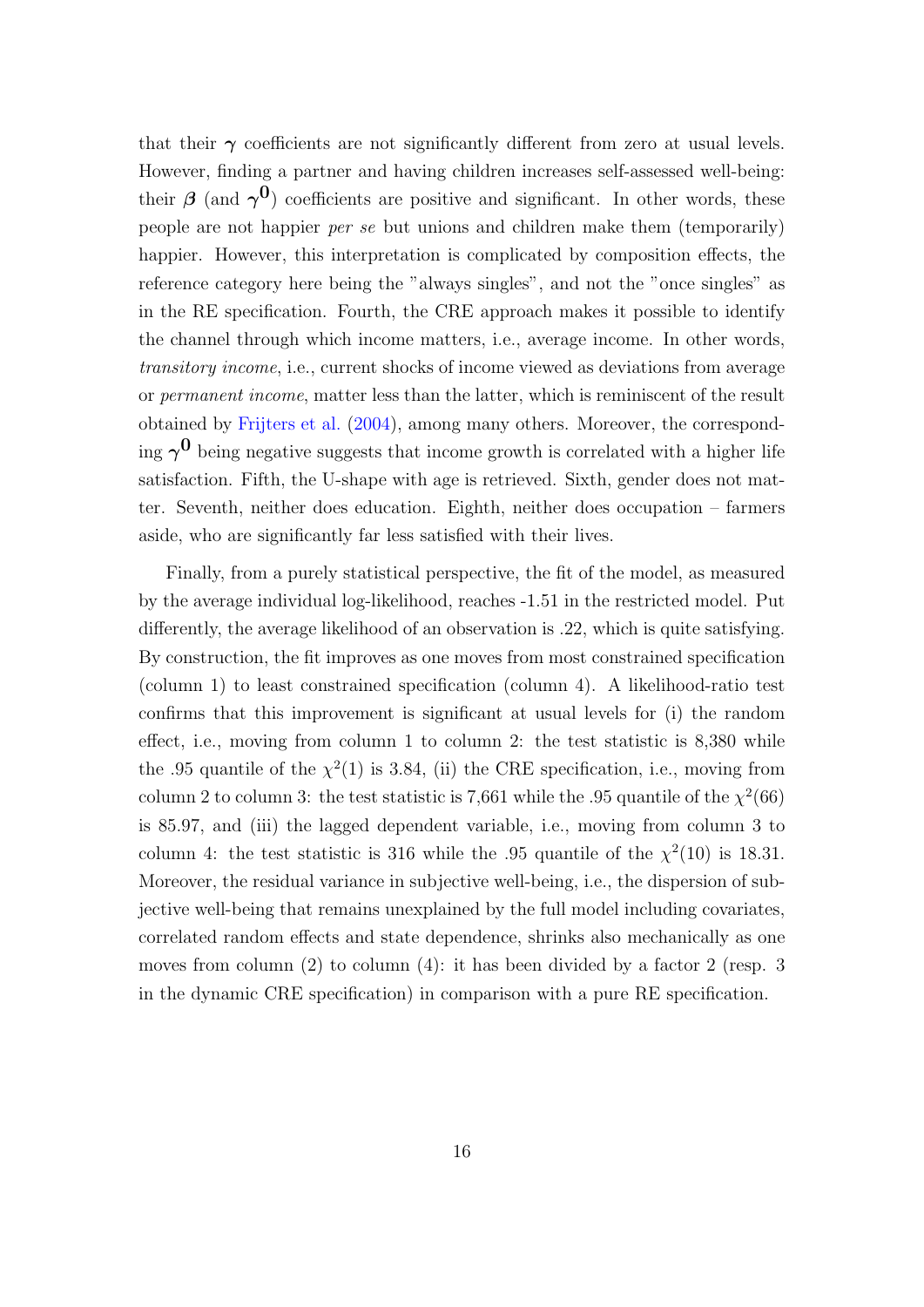that their  $\gamma$  coefficients are not significantly different from zero at usual levels. However, finding a partner and having children increases self-assessed well-being: their  $\beta$  (and  $\gamma^0$ ) coefficients are positive and significant. In other words, these people are not happier per se but unions and children make them (temporarily) happier. However, this interpretation is complicated by composition effects, the reference category here being the "always singles", and not the "once singles" as in the RE specification. Fourth, the CRE approach makes it possible to identify the channel through which income matters, i.e., average income. In other words, transitory income, i.e., current shocks of income viewed as deviations from average or permanent income, matter less than the latter, which is reminiscent of the result obtained by [Frijters et al.](#page-23-0) [\(2004\)](#page-23-0), among many others. Moreover, the corresponding  $\gamma^0$  being negative suggests that income growth is correlated with a higher life satisfaction. Fifth, the U-shape with age is retrieved. Sixth, gender does not matter. Seventh, neither does education. Eighth, neither does occupation – farmers aside, who are significantly far less satisfied with their lives.

Finally, from a purely statistical perspective, the fit of the model, as measured by the average individual log-likelihood, reaches -1.51 in the restricted model. Put differently, the average likelihood of an observation is .22, which is quite satisfying. By construction, the fit improves as one moves from most constrained specification (column 1) to least constrained specification (column 4). A likelihood-ratio test confirms that this improvement is significant at usual levels for (i) the random effect, i.e., moving from column 1 to column 2: the test statistic is 8,380 while the .95 quantile of the  $\chi^2(1)$  is 3.84, (ii) the CRE specification, i.e., moving from column 2 to column 3: the test statistic is 7,661 while the .95 quantile of the  $\chi^2$ (66) is 85.97, and (iii) the lagged dependent variable, i.e., moving from column 3 to column 4: the test statistic is 316 while the .95 quantile of the  $\chi^2(10)$  is 18.31. Moreover, the residual variance in subjective well-being, i.e., the dispersion of subjective well-being that remains unexplained by the full model including covariates, correlated random effects and state dependence, shrinks also mechanically as one moves from column (2) to column (4): it has been divided by a factor 2 (resp. 3 in the dynamic CRE specification) in comparison with a pure RE specification.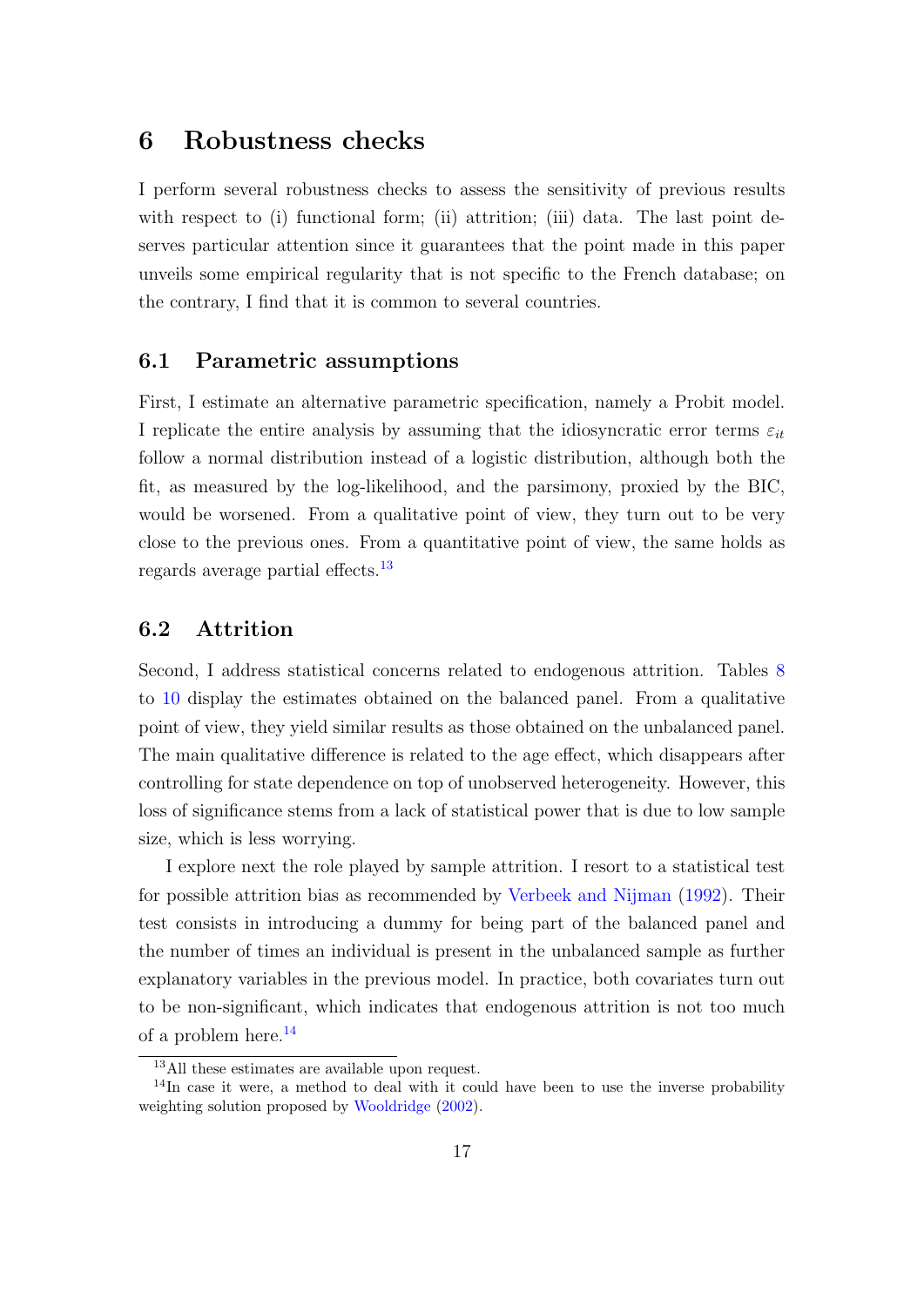#### <span id="page-18-0"></span>6 Robustness checks

I perform several robustness checks to assess the sensitivity of previous results with respect to (i) functional form; (ii) attrition; (iii) data. The last point deserves particular attention since it guarantees that the point made in this paper unveils some empirical regularity that is not specific to the French database; on the contrary, I find that it is common to several countries.

#### 6.1 Parametric assumptions

First, I estimate an alternative parametric specification, namely a Probit model. I replicate the entire analysis by assuming that the idiosyncratic error terms  $\varepsilon_{it}$ follow a normal distribution instead of a logistic distribution, although both the fit, as measured by the log-likelihood, and the parsimony, proxied by the BIC, would be worsened. From a qualitative point of view, they turn out to be very close to the previous ones. From a quantitative point of view, the same holds as regards average partial effects.<sup>13</sup>

#### 6.2 Attrition

Second, I address statistical concerns related to endogenous attrition. Tables [8](#page-32-0) to [10](#page-34-0) display the estimates obtained on the balanced panel. From a qualitative point of view, they yield similar results as those obtained on the unbalanced panel. The main qualitative difference is related to the age effect, which disappears after controlling for state dependence on top of unobserved heterogeneity. However, this loss of significance stems from a lack of statistical power that is due to low sample size, which is less worrying.

I explore next the role played by sample attrition. I resort to a statistical test for possible attrition bias as recommended by [Verbeek and Nijman](#page-24-0) [\(1992\)](#page-24-0). Their test consists in introducing a dummy for being part of the balanced panel and the number of times an individual is present in the unbalanced sample as further explanatory variables in the previous model. In practice, both covariates turn out to be non-significant, which indicates that endogenous attrition is not too much of a problem here.<sup>14</sup>

<sup>13</sup>All these estimates are available upon request.

<sup>&</sup>lt;sup>14</sup>In case it were, a method to deal with it could have been to use the inverse probability weighting solution proposed by [Wooldridge](#page-24-0) [\(2002\)](#page-24-0).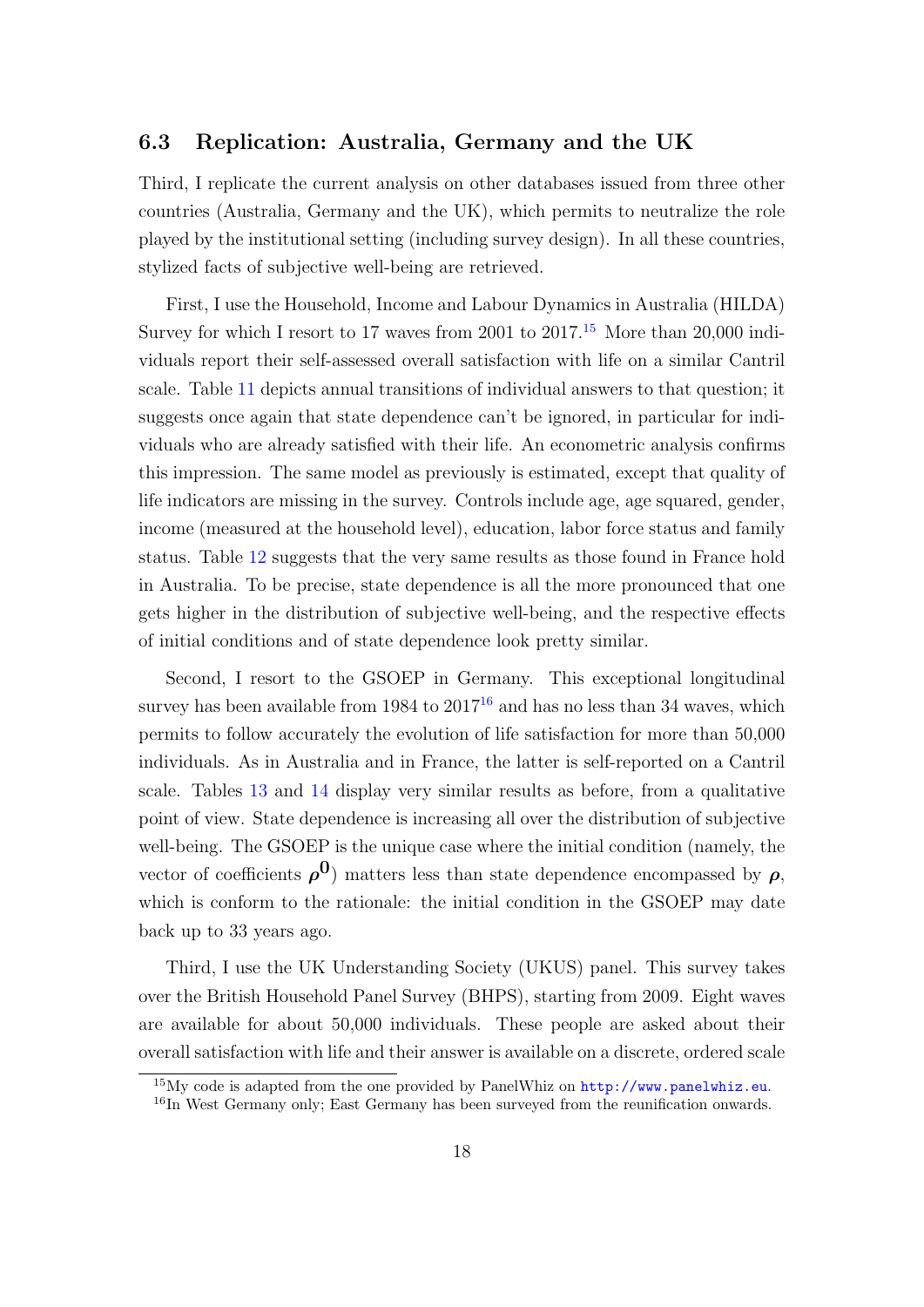#### 6.3 Replication: Australia, Germany and the UK

Third, I replicate the current analysis on other databases issued from three other countries (Australia, Germany and the UK), which permits to neutralize the role played by the institutional setting (including survey design). In all these countries, stylized facts of subjective well-being are retrieved.

First, I use the Household, Income and Labour Dynamics in Australia (HILDA) Survey for which I resort to 17 waves from 2001 to  $2017<sup>15</sup>$  More than 20,000 individuals report their self-assessed overall satisfaction with life on a similar Cantril scale. Table [11](#page-35-0) depicts annual transitions of individual answers to that question; it suggests once again that state dependence can't be ignored, in particular for individuals who are already satisfied with their life. An econometric analysis confirms this impression. The same model as previously is estimated, except that quality of life indicators are missing in the survey. Controls include age, age squared, gender, income (measured at the household level), education, labor force status and family status. Table [12](#page-36-0) suggests that the very same results as those found in France hold in Australia. To be precise, state dependence is all the more pronounced that one gets higher in the distribution of subjective well-being, and the respective effects of initial conditions and of state dependence look pretty similar.

Second, I resort to the GSOEP in Germany. This exceptional longitudinal survey has been available from  $1984$  to  $2017^{16}$  and has no less than 34 waves, which permits to follow accurately the evolution of life satisfaction for more than 50,000 individuals. As in Australia and in France, the latter is self-reported on a Cantril scale. Tables [13](#page-37-0) and [14](#page-38-0) display very similar results as before, from a qualitative point of view. State dependence is increasing all over the distribution of subjective well-being. The GSOEP is the unique case where the initial condition (namely, the vector of coefficients  $\rho^0$ ) matters less than state dependence encompassed by  $\rho$ , which is conform to the rationale: the initial condition in the GSOEP may date back up to 33 years ago.

Third, I use the UK Understanding Society (UKUS) panel. This survey takes over the British Household Panel Survey (BHPS), starting from 2009. Eight waves are available for about 50,000 individuals. These people are asked about their overall satisfaction with life and their answer is available on a discrete, ordered scale

<sup>15</sup>My code is adapted from the one provided by PanelWhiz on <http://www.panelwhiz.eu>.

<sup>&</sup>lt;sup>16</sup>In West Germany only; East Germany has been surveyed from the reunification onwards.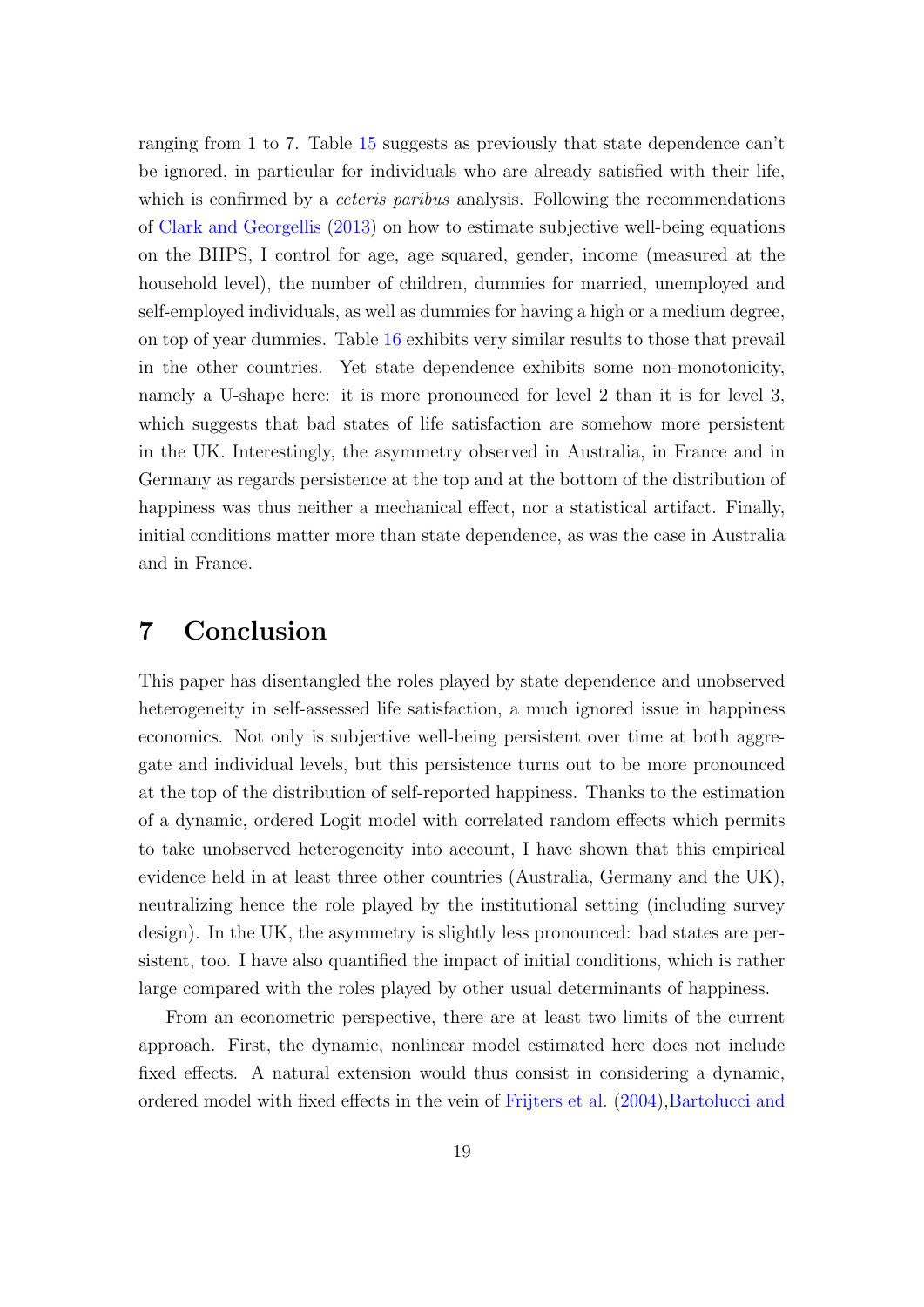<span id="page-20-0"></span>ranging from 1 to 7. Table [15](#page-39-0) suggests as previously that state dependence can't be ignored, in particular for individuals who are already satisfied with their life, which is confirmed by a *ceteris paribus* analysis. Following the recommendations of [Clark and Georgellis](#page-22-0) [\(2013\)](#page-22-0) on how to estimate subjective well-being equations on the BHPS, I control for age, age squared, gender, income (measured at the household level), the number of children, dummies for married, unemployed and self-employed individuals, as well as dummies for having a high or a medium degree, on top of year dummies. Table [16](#page-40-0) exhibits very similar results to those that prevail in the other countries. Yet state dependence exhibits some non-monotonicity, namely a U-shape here: it is more pronounced for level 2 than it is for level 3, which suggests that bad states of life satisfaction are somehow more persistent in the UK. Interestingly, the asymmetry observed in Australia, in France and in Germany as regards persistence at the top and at the bottom of the distribution of happiness was thus neither a mechanical effect, nor a statistical artifact. Finally, initial conditions matter more than state dependence, as was the case in Australia and in France.

#### 7 Conclusion

This paper has disentangled the roles played by state dependence and unobserved heterogeneity in self-assessed life satisfaction, a much ignored issue in happiness economics. Not only is subjective well-being persistent over time at both aggregate and individual levels, but this persistence turns out to be more pronounced at the top of the distribution of self-reported happiness. Thanks to the estimation of a dynamic, ordered Logit model with correlated random effects which permits to take unobserved heterogeneity into account, I have shown that this empirical evidence held in at least three other countries (Australia, Germany and the UK), neutralizing hence the role played by the institutional setting (including survey design). In the UK, the asymmetry is slightly less pronounced: bad states are persistent, too. I have also quantified the impact of initial conditions, which is rather large compared with the roles played by other usual determinants of happiness.

From an econometric perspective, there are at least two limits of the current approach. First, the dynamic, nonlinear model estimated here does not include fixed effects. A natural extension would thus consist in considering a dynamic, ordered model with fixed effects in the vein of [Frijters et al.](#page-23-0) [\(2004\)](#page-23-0)[,Bartolucci and](#page-21-0)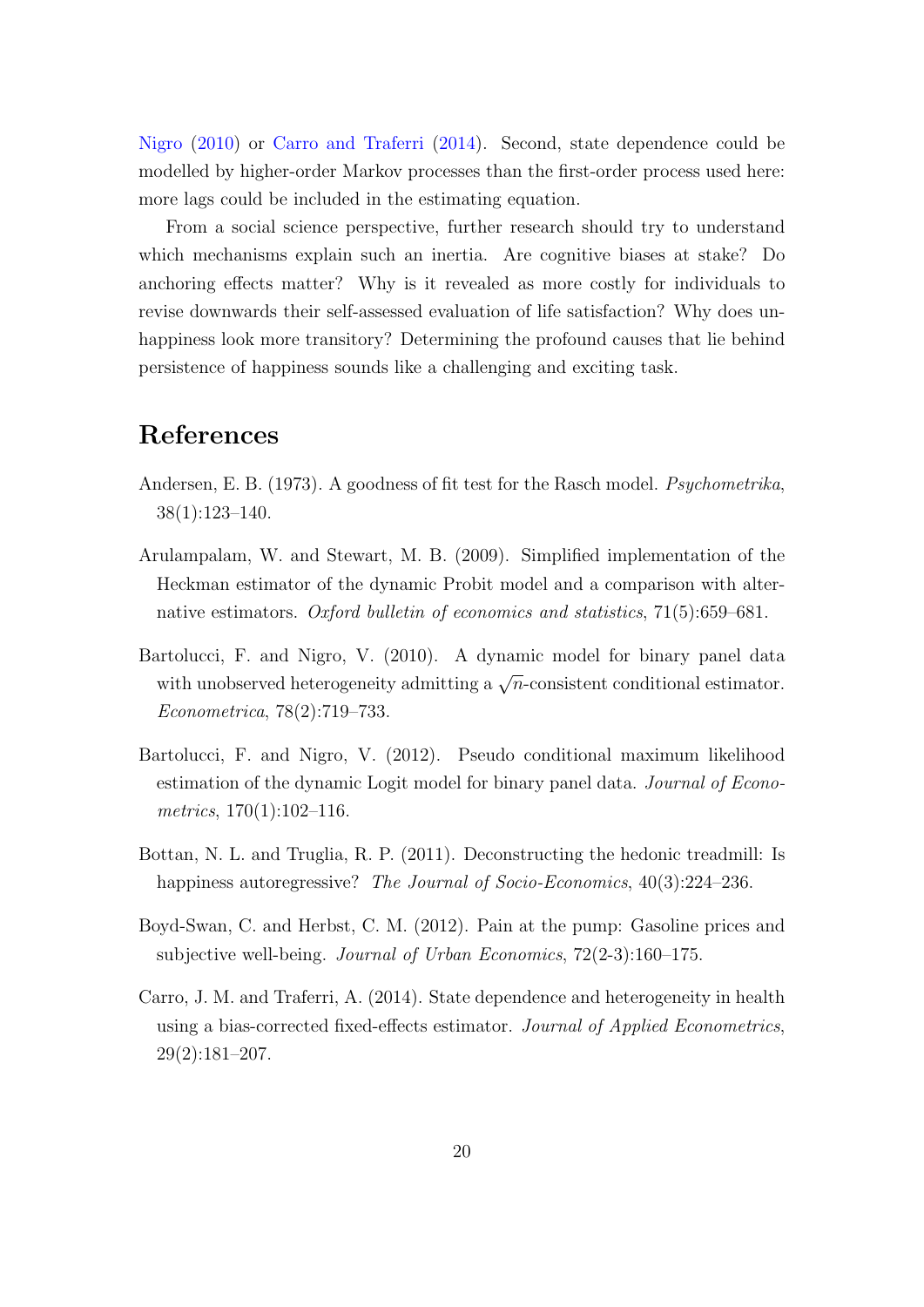<span id="page-21-0"></span>Nigro (2010) or Carro and Traferri (2014). Second, state dependence could be modelled by higher-order Markov processes than the first-order process used here: more lags could be included in the estimating equation.

From a social science perspective, further research should try to understand which mechanisms explain such an inertia. Are cognitive biases at stake? Do anchoring effects matter? Why is it revealed as more costly for individuals to revise downwards their self-assessed evaluation of life satisfaction? Why does unhappiness look more transitory? Determining the profound causes that lie behind persistence of happiness sounds like a challenging and exciting task.

#### References

- Andersen, E. B. (1973). A goodness of fit test for the Rasch model. Psychometrika, 38(1):123–140.
- Arulampalam, W. and Stewart, M. B. (2009). Simplified implementation of the Heckman estimator of the dynamic Probit model and a comparison with alternative estimators. Oxford bulletin of economics and statistics, 71(5):659–681.
- Bartolucci, F. and Nigro, V. (2010). A dynamic model for binary panel data with unobserved heterogeneity admitting a  $\sqrt{n}$ -consistent conditional estimator. Econometrica, 78(2):719–733.
- Bartolucci, F. and Nigro, V. (2012). Pseudo conditional maximum likelihood estimation of the dynamic Logit model for binary panel data. *Journal of Econo*metrics, 170(1):102–116.
- Bottan, N. L. and Truglia, R. P. (2011). Deconstructing the hedonic treadmill: Is happiness autoregressive? The Journal of Socio-Economics, 40(3):224–236.
- Boyd-Swan, C. and Herbst, C. M. (2012). Pain at the pump: Gasoline prices and subjective well-being. Journal of Urban Economics, 72(2-3):160–175.
- Carro, J. M. and Traferri, A. (2014). State dependence and heterogeneity in health using a bias-corrected fixed-effects estimator. Journal of Applied Econometrics, 29(2):181–207.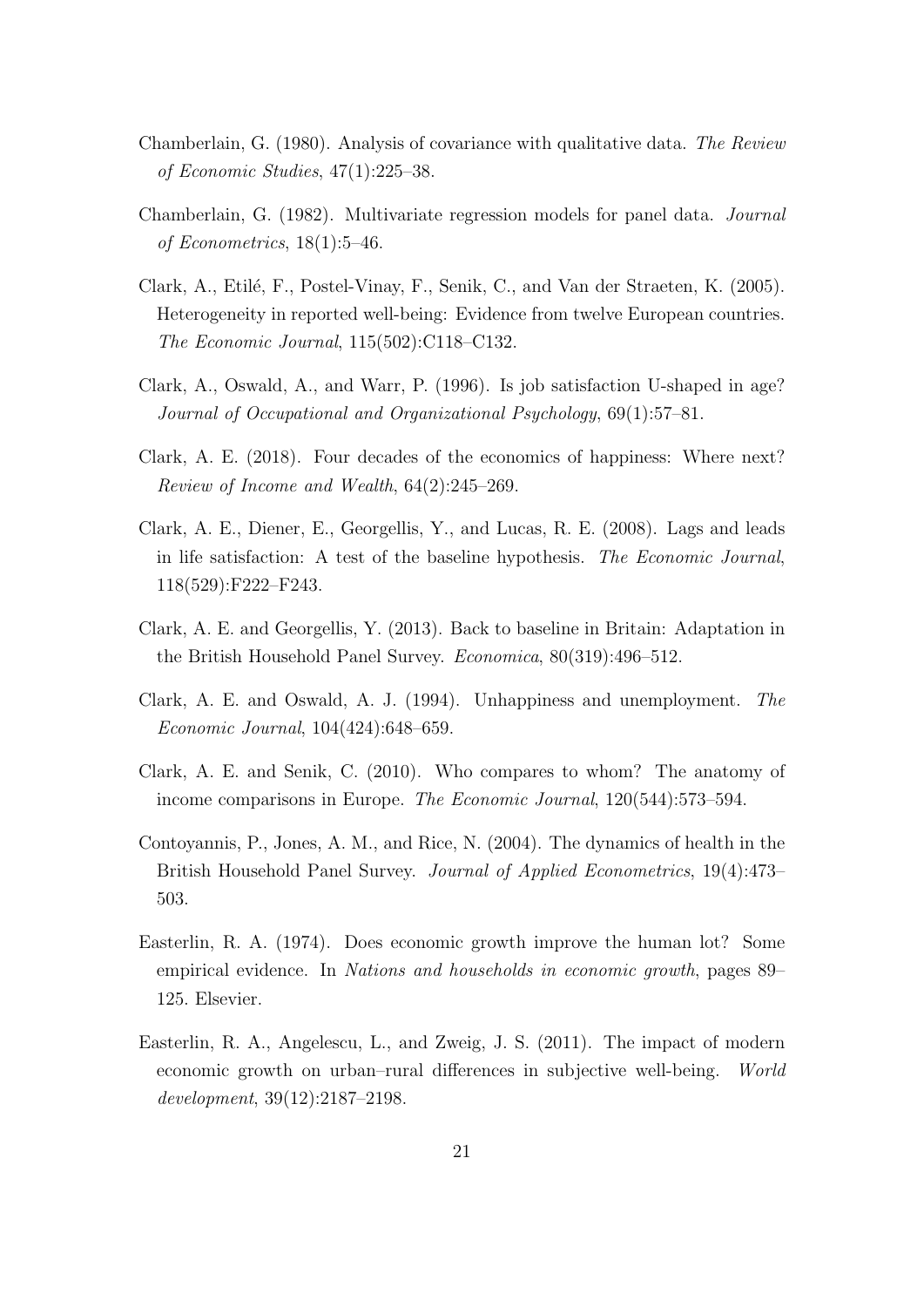- <span id="page-22-0"></span>Chamberlain, G. (1980). Analysis of covariance with qualitative data. The Review of Economic Studies, 47(1):225–38.
- Chamberlain, G. (1982). Multivariate regression models for panel data. Journal of Econometrics, 18(1):5–46.
- Clark, A., Etilé, F., Postel-Vinay, F., Senik, C., and Van der Straeten, K. (2005). Heterogeneity in reported well-being: Evidence from twelve European countries. The Economic Journal, 115(502):C118–C132.
- Clark, A., Oswald, A., and Warr, P. (1996). Is job satisfaction U-shaped in age? Journal of Occupational and Organizational Psychology, 69(1):57–81.
- Clark, A. E. (2018). Four decades of the economics of happiness: Where next? Review of Income and Wealth, 64(2):245–269.
- Clark, A. E., Diener, E., Georgellis, Y., and Lucas, R. E. (2008). Lags and leads in life satisfaction: A test of the baseline hypothesis. The Economic Journal, 118(529):F222–F243.
- Clark, A. E. and Georgellis, Y. (2013). Back to baseline in Britain: Adaptation in the British Household Panel Survey. Economica, 80(319):496–512.
- Clark, A. E. and Oswald, A. J. (1994). Unhappiness and unemployment. The Economic Journal, 104(424):648–659.
- Clark, A. E. and Senik, C. (2010). Who compares to whom? The anatomy of income comparisons in Europe. The Economic Journal, 120(544):573-594.
- Contoyannis, P., Jones, A. M., and Rice, N. (2004). The dynamics of health in the British Household Panel Survey. Journal of Applied Econometrics, 19(4):473– 503.
- Easterlin, R. A. (1974). Does economic growth improve the human lot? Some empirical evidence. In Nations and households in economic growth, pages 89– 125. Elsevier.
- Easterlin, R. A., Angelescu, L., and Zweig, J. S. (2011). The impact of modern economic growth on urban–rural differences in subjective well-being. World development, 39(12):2187–2198.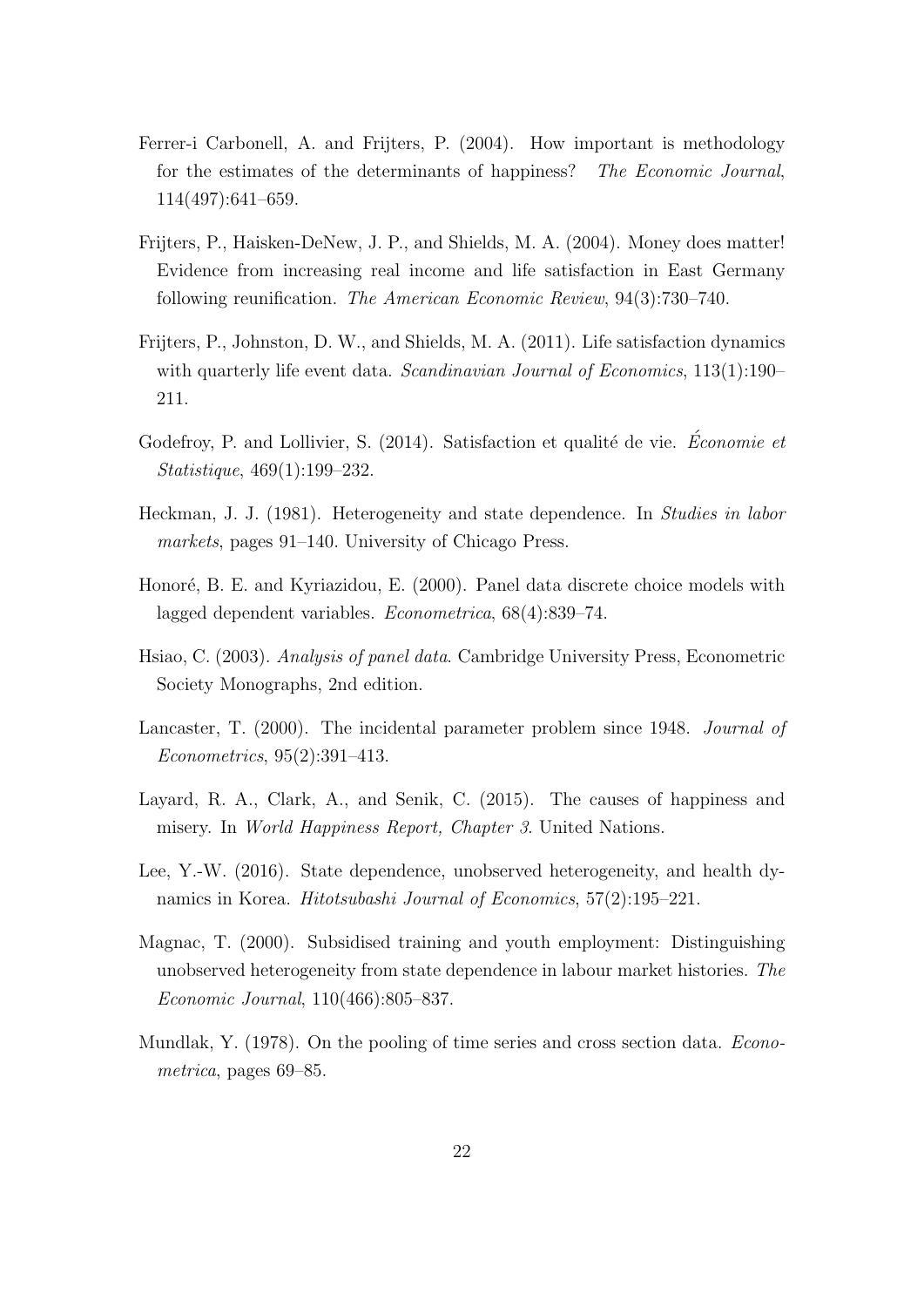- <span id="page-23-0"></span>Ferrer-i Carbonell, A. and Frijters, P. (2004). How important is methodology for the estimates of the determinants of happiness? The Economic Journal, 114(497):641–659.
- Frijters, P., Haisken-DeNew, J. P., and Shields, M. A. (2004). Money does matter! Evidence from increasing real income and life satisfaction in East Germany following reunification. The American Economic Review, 94(3):730–740.
- Frijters, P., Johnston, D. W., and Shields, M. A. (2011). Life satisfaction dynamics with quarterly life event data. Scandinavian Journal of Economics, 113(1):190– 211.
- Godefroy, P. and Lollivier, S.  $(2014)$ . Satisfaction et qualité de vie. *Économie et* Statistique, 469(1):199–232.
- Heckman, J. J. (1981). Heterogeneity and state dependence. In Studies in labor markets, pages 91–140. University of Chicago Press.
- Honoré, B. E. and Kyriazidou, E. (2000). Panel data discrete choice models with lagged dependent variables. Econometrica, 68(4):839–74.
- Hsiao, C. (2003). Analysis of panel data. Cambridge University Press, Econometric Society Monographs, 2nd edition.
- Lancaster, T. (2000). The incidental parameter problem since 1948. Journal of Econometrics, 95(2):391–413.
- Layard, R. A., Clark, A., and Senik, C. (2015). The causes of happiness and misery. In World Happiness Report, Chapter 3. United Nations.
- Lee, Y.-W. (2016). State dependence, unobserved heterogeneity, and health dynamics in Korea. Hitotsubashi Journal of Economics, 57(2):195–221.
- Magnac, T. (2000). Subsidised training and youth employment: Distinguishing unobserved heterogeneity from state dependence in labour market histories. The Economic Journal, 110(466):805–837.
- Mundlak, Y. (1978). On the pooling of time series and cross section data. Econometrica, pages 69–85.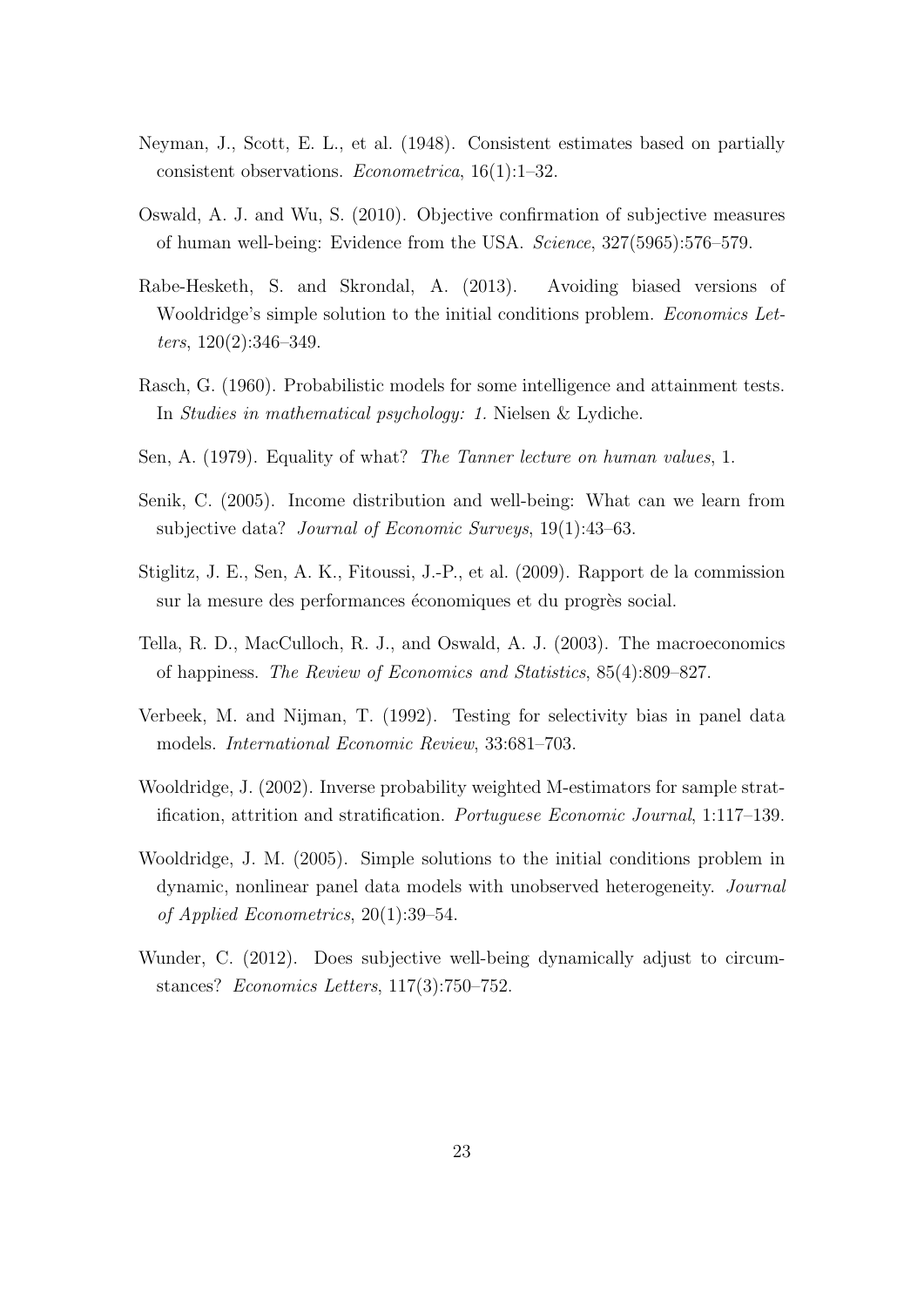- <span id="page-24-0"></span>Neyman, J., Scott, E. L., et al. (1948). Consistent estimates based on partially consistent observations. Econometrica, 16(1):1–32.
- Oswald, A. J. and Wu, S. (2010). Objective confirmation of subjective measures of human well-being: Evidence from the USA. Science, 327(5965):576–579.
- Rabe-Hesketh, S. and Skrondal, A. (2013). Avoiding biased versions of Wooldridge's simple solution to the initial conditions problem. Economics Letters, 120(2):346–349.
- Rasch, G. (1960). Probabilistic models for some intelligence and attainment tests. In Studies in mathematical psychology: 1. Nielsen & Lydiche.
- Sen, A. (1979). Equality of what? The Tanner lecture on human values, 1.
- Senik, C. (2005). Income distribution and well-being: What can we learn from subjective data? Journal of Economic Surveys, 19(1):43–63.
- Stiglitz, J. E., Sen, A. K., Fitoussi, J.-P., et al. (2009). Rapport de la commission sur la mesure des performances économiques et du progrès social.
- Tella, R. D., MacCulloch, R. J., and Oswald, A. J. (2003). The macroeconomics of happiness. The Review of Economics and Statistics, 85(4):809–827.
- Verbeek, M. and Nijman, T. (1992). Testing for selectivity bias in panel data models. International Economic Review, 33:681–703.
- Wooldridge, J. (2002). Inverse probability weighted M-estimators for sample stratification, attrition and stratification. Portuguese Economic Journal, 1:117–139.
- Wooldridge, J. M. (2005). Simple solutions to the initial conditions problem in dynamic, nonlinear panel data models with unobserved heterogeneity. Journal of Applied Econometrics, 20(1):39–54.
- Wunder, C. (2012). Does subjective well-being dynamically adjust to circumstances? Economics Letters, 117(3):750–752.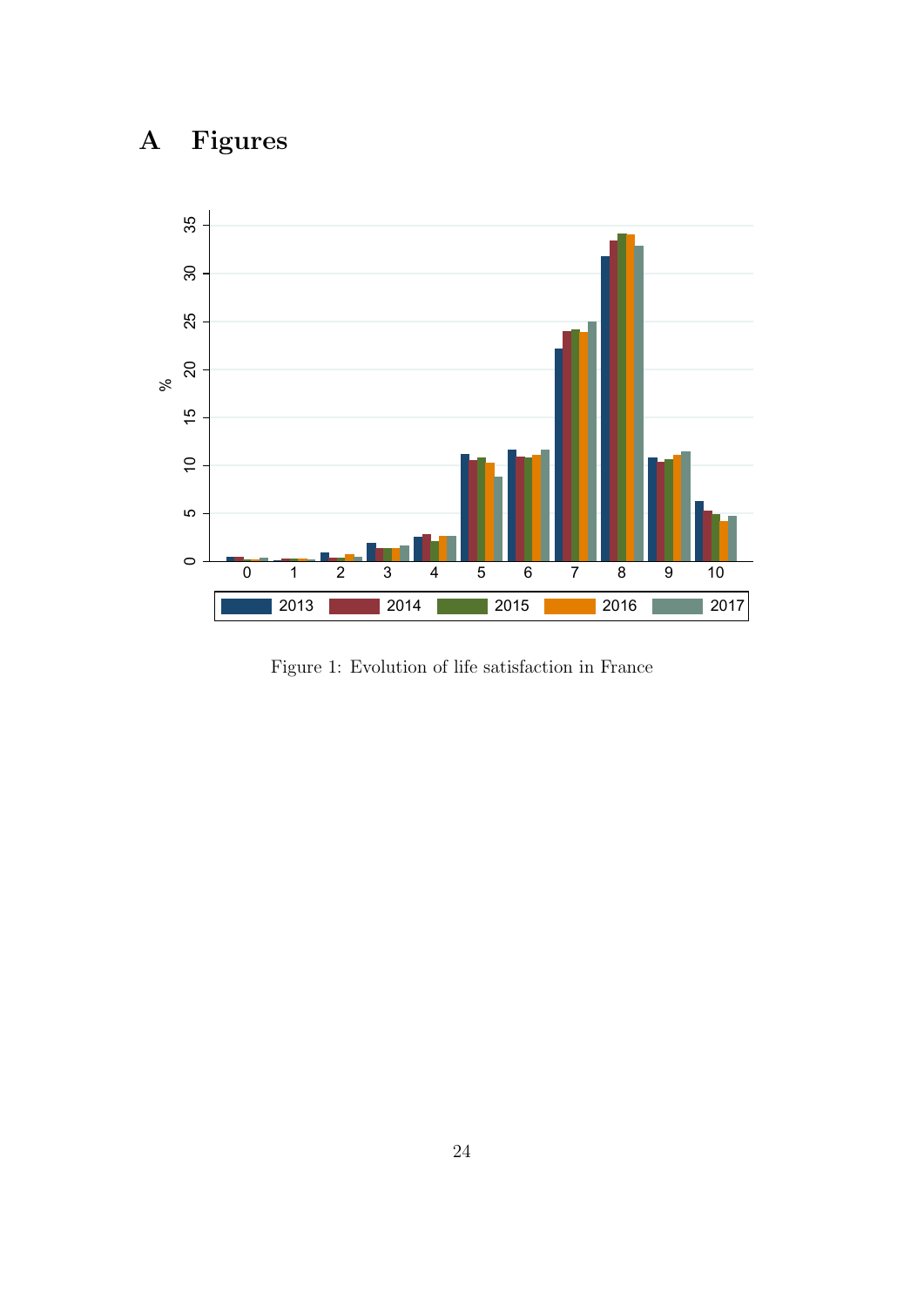# <span id="page-25-0"></span>A Figures



Figure 1: Evolution of life satisfaction in France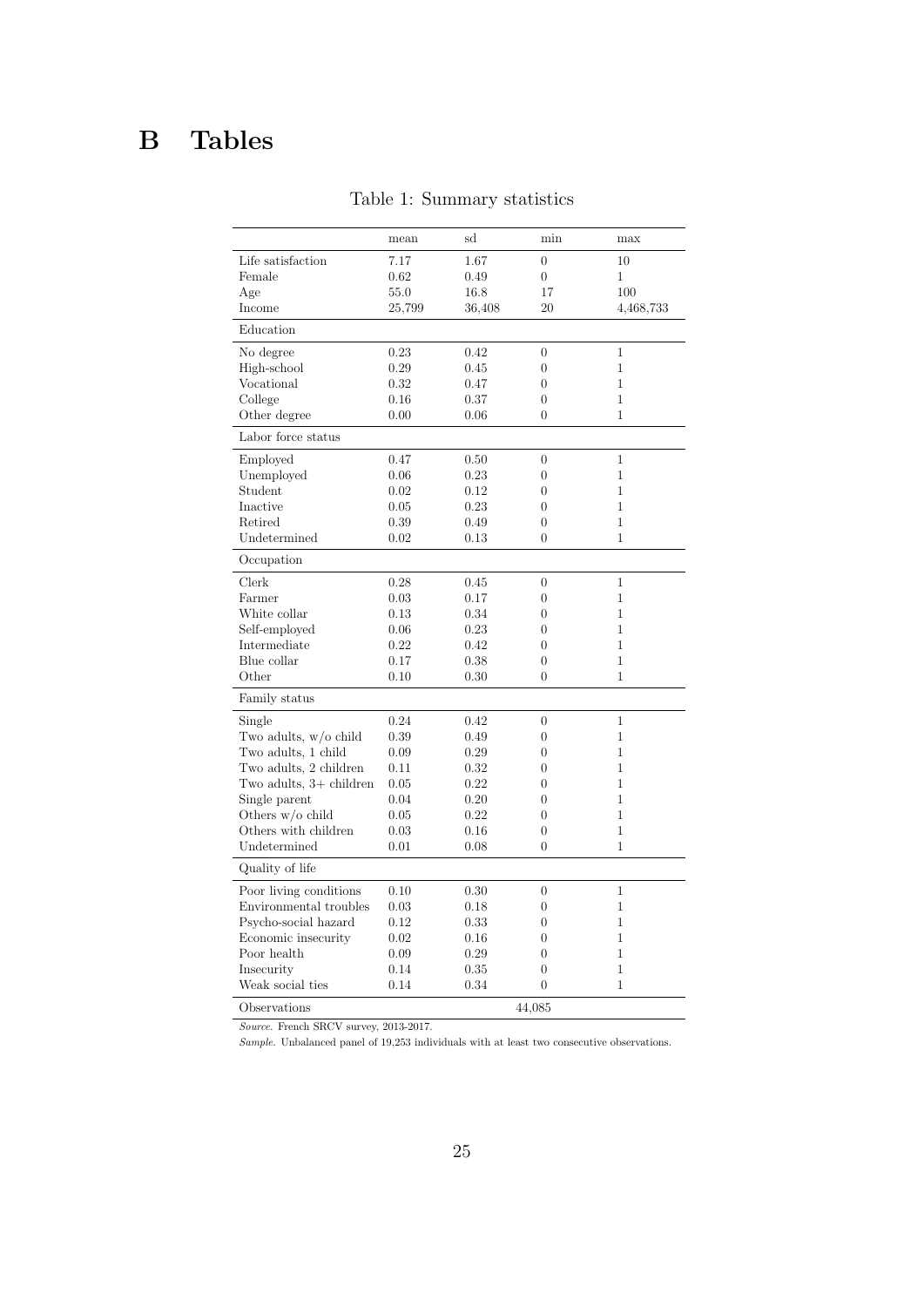## <span id="page-26-0"></span>B Tables

|                         | mean   | sd     | min              | max            |
|-------------------------|--------|--------|------------------|----------------|
| Life satisfaction       | 7.17   | 1.67   | $\overline{0}$   | 10             |
| Female                  | 0.62   | 0.49   | $\overline{0}$   | 1              |
| Age                     | 55.0   | 16.8   | 17               | 100            |
| Income                  | 25,799 | 36,408 | 20               | 4,468,733      |
| Education               |        |        |                  |                |
| No degree               | 0.23   | 0.42   | $\overline{0}$   | 1              |
| High-school             | 0.29   | 0.45   | $\boldsymbol{0}$ | $\mathbf 1$    |
| Vocational              | 0.32   | 0.47   | $\overline{0}$   | $\mathbf 1$    |
| College                 | 0.16   | 0.37   | $\boldsymbol{0}$ | $\mathbf{1}$   |
| Other degree            | 0.00   | 0.06   | $\overline{0}$   | 1              |
| Labor force status      |        |        |                  |                |
| Employed                | 0.47   | 0.50   | $\overline{0}$   | $\overline{1}$ |
| Unemployed              | 0.06   | 0.23   | $\overline{0}$   | $\mathbf{1}$   |
| Student                 | 0.02   | 0.12   | $\overline{0}$   | $\mathbf{1}$   |
| Inactive                | 0.05   | 0.23   | $\overline{0}$   | 1              |
| Retired                 | 0.39   | 0.49   | $\overline{0}$   | $\mathbf 1$    |
| Undetermined            | 0.02   | 0.13   | $\theta$         | 1              |
| Occupation              |        |        |                  |                |
| Clerk                   | 0.28   | 0.45   | $\overline{0}$   | $\mathbf{1}$   |
| Farmer                  | 0.03   | 0.17   | $\overline{0}$   | 1              |
| White collar            | 0.13   | 0.34   | $\overline{0}$   | $\mathbf 1$    |
| Self-employed           | 0.06   | 0.23   | $\overline{0}$   | $\mathbf 1$    |
| Intermediate            | 0.22   | 0.42   | $\overline{0}$   | $\overline{1}$ |
| Blue collar             | 0.17   | 0.38   | $\overline{0}$   | 1              |
| Other                   | 0.10   | 0.30   | $\Omega$         | 1              |
| Family status           |        |        |                  |                |
| Single                  | 0.24   | 0.42   | $\overline{0}$   | $\mathbf{1}$   |
| Two adults, $w/o$ child | 0.39   | 0.49   | $\overline{0}$   | 1              |
| Two adults, 1 child     | 0.09   | 0.29   | $\overline{0}$   | $\overline{1}$ |
| Two adults, 2 children  | 0.11   | 0.32   | $\overline{0}$   | $\mathbf 1$    |
| Two adults, 3+ children | 0.05   | 0.22   | $\overline{0}$   | 1              |
| Single parent           | 0.04   | 0.20   | $\overline{0}$   | 1              |
| Others $w/o$ child      | 0.05   | 0.22   | $\overline{0}$   | $\mathbf 1$    |
| Others with children    | 0.03   | 0.16   | $\boldsymbol{0}$ | 1              |
| Undetermined            | 0.01   | 0.08   | $\Omega$         | $\mathbf{1}$   |
| Quality of life         |        |        |                  |                |
| Poor living conditions  | 0.10   | 0.30   | $\overline{0}$   | $\mathbf{1}$   |
| Environmental troubles  | 0.03   | 0.18   | $\overline{0}$   | 1              |
| Psycho-social hazard    | 0.12   | 0.33   | $\overline{0}$   | $\mathbf 1$    |
| Economic insecurity     | 0.02   | 0.16   | $\overline{0}$   | 1              |
| Poor health             | 0.09   | 0.29   | $\overline{0}$   | $\mathbf 1$    |
| Insecurity              | 0.14   | 0.35   | $\overline{0}$   | $\mathbf 1$    |
| Weak social ties        | 0.14   | 0.34   | $\overline{0}$   | $\mathbf 1$    |
| Observations            |        |        | 44,085           |                |

Table 1: Summary statistics

Source. French SRCV survey, 2013-2017.

 $Sample.$  Unbalanced panel of  $19,\!253$  individuals with at least two consecutive observations.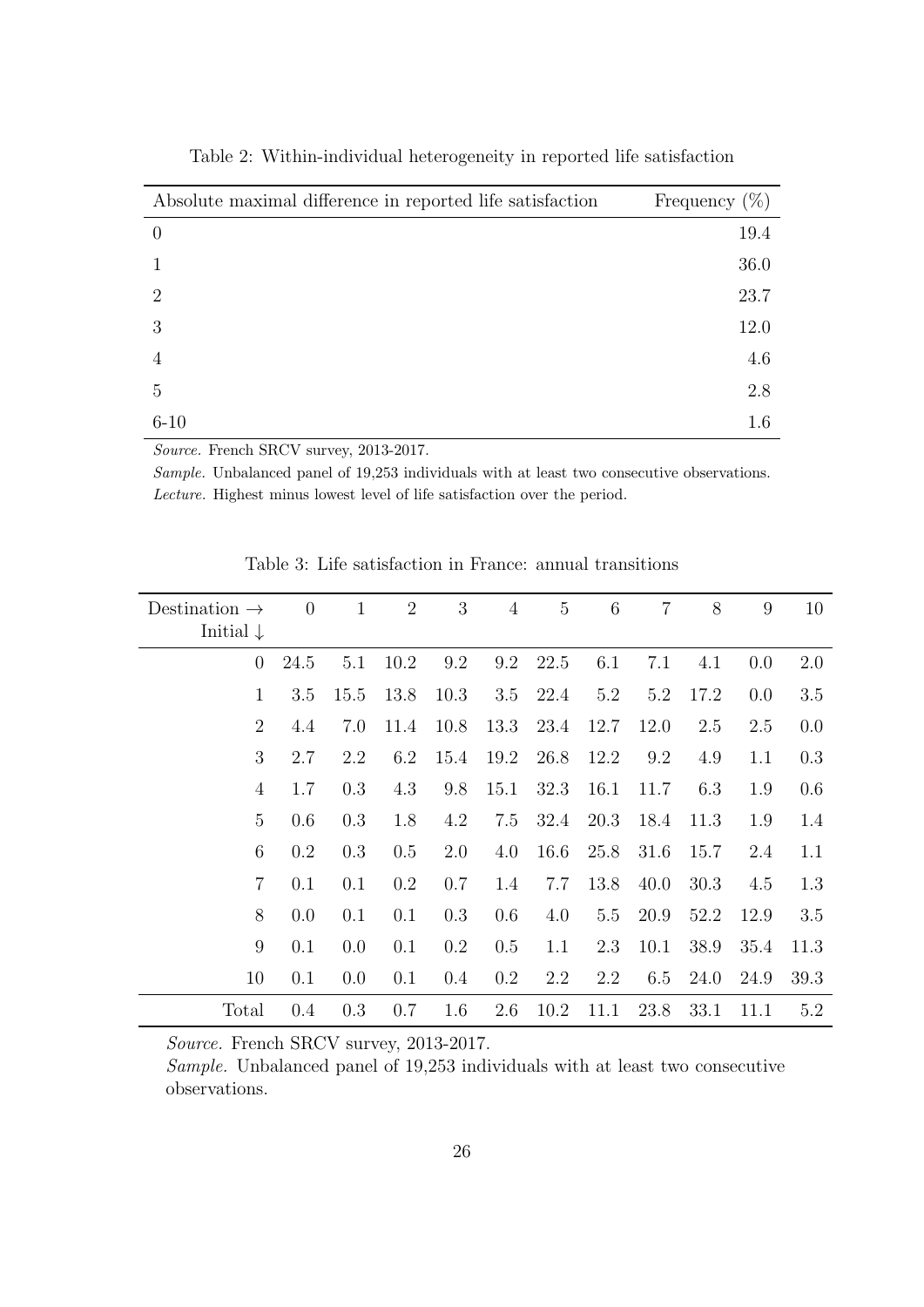<span id="page-27-0"></span>

| Absolute maximal difference in reported life satisfaction | Frequency $(\%)$ |
|-----------------------------------------------------------|------------------|
| $\theta$                                                  | 19.4             |
|                                                           | 36.0             |
| $\mathcal{D}_{\mathcal{L}}$                               | 23.7             |
| 3                                                         | 12.0             |
|                                                           | 4.6              |
| 5                                                         | 2.8              |
| $6 - 10$                                                  | 1.6              |

Table 2: Within-individual heterogeneity in reported life satisfaction

Source. French SRCV survey, 2013-2017.

Sample. Unbalanced panel of 19,253 individuals with at least two consecutive observations. Lecture. Highest minus lowest level of life satisfaction over the period.

| Destination $\rightarrow$<br>Initial $\downarrow$ | $\overline{0}$ | $\mathbf{1}$ | $\overline{2}$ | 3    | $\overline{4}$ | $\overline{5}$ | 6    | $\overline{7}$ | 8    | 9    | 10   |
|---------------------------------------------------|----------------|--------------|----------------|------|----------------|----------------|------|----------------|------|------|------|
| $\theta$                                          | 24.5           | 5.1          | 10.2           | 9.2  | 9.2            | 22.5           | 6.1  | 7.1            | 4.1  | 0.0  | 2.0  |
| $\mathbf{1}$                                      | 3.5            | 15.5         | 13.8           | 10.3 | 3.5            | 22.4           | 5.2  | 5.2            | 17.2 | 0.0  | 3.5  |
| $\overline{2}$                                    | 4.4            | 7.0          | 11.4           | 10.8 | 13.3           | 23.4           | 12.7 | 12.0           | 2.5  | 2.5  | 0.0  |
| 3                                                 | 2.7            | 2.2          | 6.2            | 15.4 | 19.2           | 26.8           | 12.2 | 9.2            | 4.9  | 1.1  | 0.3  |
| $\overline{4}$                                    | 1.7            | 0.3          | 4.3            | 9.8  | 15.1           | 32.3           | 16.1 | 11.7           | 6.3  | 1.9  | 0.6  |
| 5                                                 | 0.6            | 0.3          | 1.8            | 4.2  | 7.5            | 32.4           | 20.3 | 18.4           | 11.3 | 1.9  | 1.4  |
| 6                                                 | 0.2            | 0.3          | 0.5            | 2.0  | 4.0            | 16.6           | 25.8 | 31.6           | 15.7 | 2.4  | 1.1  |
| $\overline{7}$                                    | 0.1            | 0.1          | 0.2            | 0.7  | 1.4            | 7.7            | 13.8 | 40.0           | 30.3 | 4.5  | 1.3  |
| 8                                                 | 0.0            | 0.1          | 0.1            | 0.3  | 0.6            | 4.0            | 5.5  | 20.9           | 52.2 | 12.9 | 3.5  |
| 9                                                 | 0.1            | 0.0          | 0.1            | 0.2  | 0.5            | 1.1            | 2.3  | 10.1           | 38.9 | 35.4 | 11.3 |
| 10                                                | 0.1            | 0.0          | 0.1            | 0.4  | 0.2            | 2.2            | 2.2  | 6.5            | 24.0 | 24.9 | 39.3 |
| Total                                             | 0.4            | 0.3          | 0.7            | 1.6  | 2.6            | 10.2           | 11.1 | 23.8           | 33.1 | 11.1 | 5.2  |

Table 3: Life satisfaction in France: annual transitions

Source. French SRCV survey, 2013-2017.

Sample. Unbalanced panel of 19,253 individuals with at least two consecutive observations.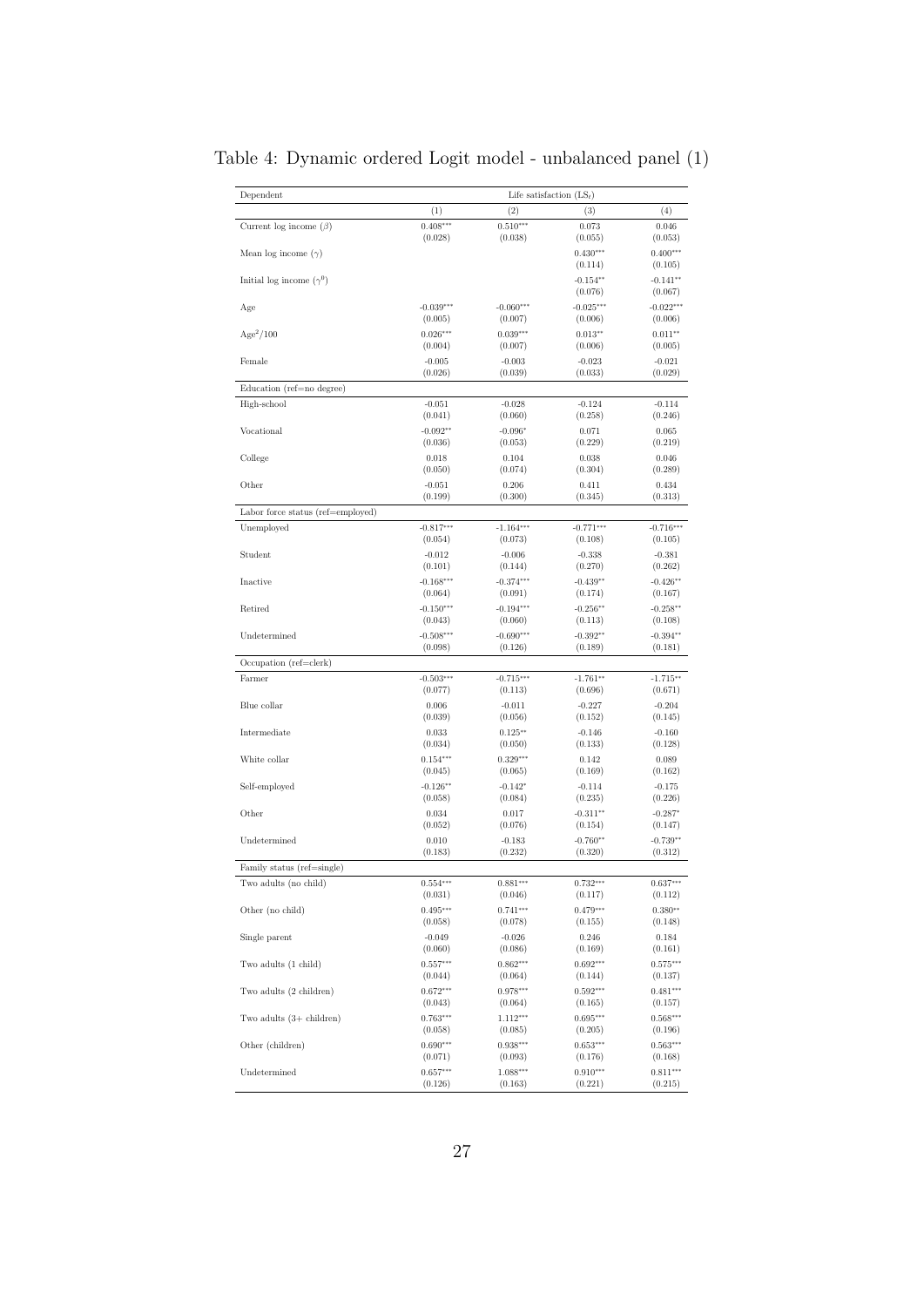| Dependent                          | Life satisfaction $(LS_t)$ |             |                       |                       |  |
|------------------------------------|----------------------------|-------------|-----------------------|-----------------------|--|
|                                    | (1)                        | (2)         | (3)                   | (4)                   |  |
| Current log income $(\beta)$       | $0.408***$                 | $0.510***$  | 0.073                 | 0.046                 |  |
|                                    | (0.028)                    | (0.038)     | (0.055)               | (0.053)               |  |
| Mean log income $(\gamma)$         |                            |             | $0.430***$<br>(0.114) | $0.400***$<br>(0.105) |  |
| Initial log income $(\gamma^0)$    |                            |             | $-0.154**$<br>(0.076) | $-0.141**$<br>(0.067) |  |
| Age                                | $-0.039***$                | $-0.060***$ | $-0.025***$           | $-0.022***$           |  |
|                                    | (0.005)                    | (0.007)     | (0.006)               | (0.006)               |  |
| $Age^2/100$                        | $0.026***$                 | $0.039***$  | $0.013**$             | $0.011**$             |  |
|                                    | (0.004)                    | (0.007)     | (0.006)               | (0.005)               |  |
| Female                             | $-0.005$                   | $-0.003$    | $-0.023$              | $-0.021$              |  |
|                                    | (0.026)                    | (0.039)     | (0.033)               | (0.029)               |  |
| Education (ref=no degree)          |                            |             |                       |                       |  |
| High-school                        | $-0.051$                   | $-0.028$    | $-0.124$              | $-0.114$              |  |
|                                    | (0.041)                    | (0.060)     | (0.258)               | (0.246)               |  |
| Vocational                         | $-0.092**$                 | $-0.096*$   | 0.071                 | 0.065                 |  |
|                                    | (0.036)                    | (0.053)     | (0.229)               | (0.219)               |  |
| College                            | 0.018                      | 0.104       | 0.038                 | 0.046                 |  |
|                                    | (0.050)                    | (0.074)     | (0.304)               | (0.289)               |  |
| Other                              | $-0.051$                   | 0.206       | 0.411                 | 0.434                 |  |
|                                    | (0.199)                    | (0.300)     | (0.345)               | (0.313)               |  |
| Labor force status (ref=employed)  |                            |             |                       |                       |  |
| Unemployed                         | $-0.817***$                | $-1.164***$ | $-0.771***$           | $-0.716***$           |  |
|                                    | (0.054)                    | (0.073)     | (0.108)               | (0.105)               |  |
| Student                            | $-0.012$                   | $-0.006$    | $-0.338$              | $-0.381$              |  |
|                                    | (0.101)                    | (0.144)     | (0.270)               | (0.262)               |  |
| Inactive                           | $-0.168***$                | $-0.374***$ | $-0.439**$            | $-0.426**$            |  |
|                                    | (0.064)                    | (0.091)     | (0.174)               | (0.167)               |  |
| Retired                            | $-0.150***$                | $-0.194***$ | $-0.256**$            | $-0.258**$            |  |
|                                    | (0.043)                    | (0.060)     | (0.113)               | (0.108)               |  |
| Undetermined                       | $-0.508***$                | $-0.690***$ | $-0.392**$            | $-0.394**$            |  |
|                                    | (0.098)                    | (0.126)     | (0.189)               | (0.181)               |  |
| Occupation (ref=clerk)             |                            |             |                       |                       |  |
| Farmer                             | $-0.503***$                | $-0.715***$ | $-1.761**$            | $-1.715**$            |  |
|                                    | (0.077)                    | (0.113)     | (0.696)               | (0.671)               |  |
| Blue collar                        | 0.006                      | $-0.011$    | $-0.227$              | $-0.204$              |  |
|                                    | (0.039)                    | (0.056)     | (0.152)               | (0.145)               |  |
| Intermediate                       | 0.033                      | $0.125**$   | $-0.146$              | $-0.160$              |  |
|                                    | (0.034)                    | (0.050)     | (0.133)               | (0.128)               |  |
| White collar                       | $0.154***$                 | $0.329***$  | 0.142                 | 0.089                 |  |
|                                    | (0.045)                    | (0.065)     | (0.169)               | (0.162)               |  |
| Self-employed                      | $-0.126**$                 | $-0.142*$   | $-0.114$              | $-0.175$              |  |
| Other                              | (0.058)                    | (0.084)     | (0.235)               | (0.226)               |  |
|                                    | 0.034                      | 0.017       | $-0.311**$            | $-0.287*$             |  |
| Undetermined                       | (0.052)                    | (0.076)     | (0.154)               | (0.147)               |  |
|                                    | 0.010                      | $-0.183$    | $-0.760**$            | $-0.739**$            |  |
| Family status (ref=single)         | (0.183)                    | (0.232)     | (0.320)               | (0.312)               |  |
| Two adults (no child)              | $0.554***$                 | $0.881***$  | $0.732***$            | $0.637***$            |  |
| Other (no child)                   | (0.031)                    | (0.046)     | (0.117)               | (0.112)               |  |
|                                    | $0.495***$                 | $0.741***$  | $0.479***$            | $0.380**$             |  |
| Single parent                      | (0.058)                    | (0.078)     | (0.155)               | (0.148)               |  |
|                                    | $-0.049$                   | $-0.026$    | 0.246                 | 0.184                 |  |
| Two adults (1 child)               | (0.060)                    | (0.086)     | (0.169)               | (0.161)               |  |
|                                    | $0.557***$                 | $0.862***$  | $0.692***$            | $0.575***$            |  |
| Two adults (2 children)            | (0.044)                    | (0.064)     | (0.144)               | (0.137)               |  |
|                                    | $0.672***$                 | $0.978***$  | $0.592***$            | $0.481***$            |  |
| Two adults $(3 + \text{children})$ | (0.043)                    | (0.064)     | (0.165)               | (0.157)               |  |
|                                    | $0.763***$                 | $1.112***$  | $0.695***$            | $0.568***$            |  |
|                                    | (0.058)                    | (0.085)     | (0.205)               | (0.196)               |  |
| Other (children)                   | $0.690***$                 | $0.938***$  | $0.653***$            | $0.563***$            |  |
|                                    | (0.071)                    | (0.093)     | (0.176)               | (0.168)               |  |
| Undetermined                       | $0.657***$                 | $1.088***$  | $0.910***$            | $0.811***$            |  |
|                                    | (0.126)                    | (0.163)     | (0.221)               | (0.215)               |  |

<span id="page-28-0"></span>Table 4: Dynamic ordered Logit model - unbalanced panel (1)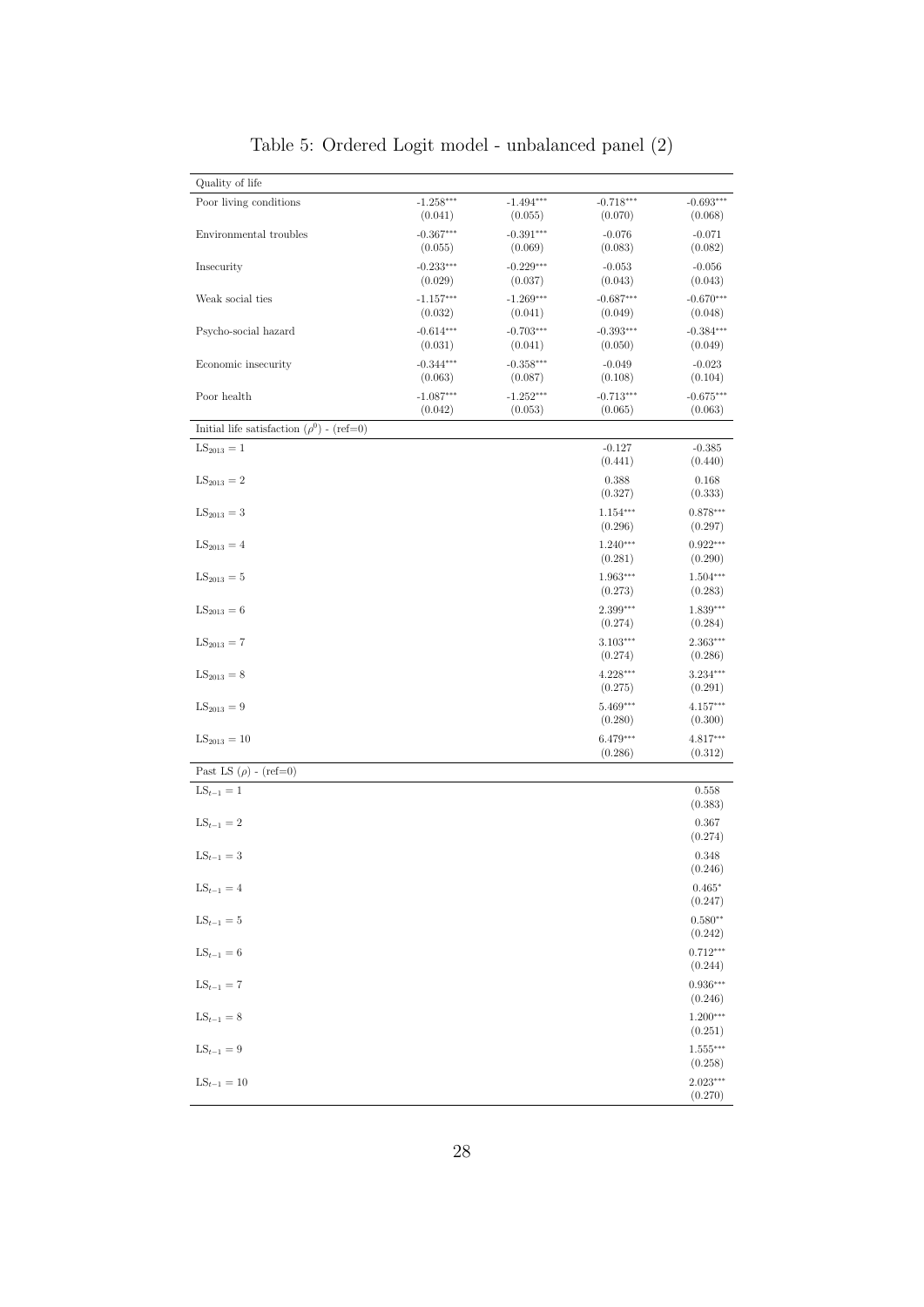| Quality of life                                |                                   |                                   |                                   |                                   |
|------------------------------------------------|-----------------------------------|-----------------------------------|-----------------------------------|-----------------------------------|
| Poor living conditions                         | $-1.258***$                       | $-1.494***$                       | $-0.718***$                       | $-0.693***$                       |
| Environmental troubles                         | (0.041)<br>$-0.367***$            | (0.055)<br>$-0.391***$            | (0.070)<br>$-0.076$               | (0.068)<br>$-0.071$               |
| Insecurity                                     | (0.055)<br>$-0.233***$<br>(0.029) | (0.069)<br>$-0.229***$            | (0.083)<br>$-0.053$               | (0.082)<br>$-0.056$               |
| Weak social ties                               | $-1.157***$<br>(0.032)            | (0.037)<br>$-1.269***$<br>(0.041) | (0.043)<br>$-0.687***$<br>(0.049) | (0.043)<br>$-0.670***$<br>(0.048) |
| Psycho-social hazard                           | $-0.614***$<br>(0.031)            | $-0.703***$<br>(0.041)            | $-0.393***$<br>(0.050)            | $-0.384***$<br>(0.049)            |
| Economic insecurity                            | $-0.344***$<br>(0.063)            | $-0.358***$<br>(0.087)            | $-0.049$<br>(0.108)               | $-0.023$<br>(0.104)               |
| Poor health                                    | $-1.087***$<br>(0.042)            | $-1.252***$<br>(0.053)            | $-0.713***$<br>(0.065)            | $-0.675***$<br>(0.063)            |
| Initial life satisfaction $(\rho^0)$ - (ref=0) |                                   |                                   |                                   |                                   |
| $LS_{2013} = 1$                                |                                   |                                   | $-0.127$<br>(0.441)               | $-0.385$<br>(0.440)               |
| $LS_{2013} = 2$                                |                                   |                                   | 0.388<br>(0.327)                  | 0.168<br>(0.333)                  |
| $LS_{2013} = 3$                                |                                   |                                   | $1.154***$<br>(0.296)             | $0.878***$<br>(0.297)             |
| $LS_{2013} = 4$                                |                                   |                                   | $1.240***$<br>(0.281)             | $0.922***$<br>(0.290)             |
| $LS_{2013} = 5$                                |                                   |                                   | 1.963***<br>(0.273)               | $1.504***$<br>(0.283)             |
| $LS_{2013} = 6$                                |                                   |                                   | $2.399***$<br>(0.274)             | 1.839***<br>(0.284)               |
| $LS_{2013} = 7$                                |                                   |                                   | $3.103***$<br>(0.274)             | $2.363***$<br>(0.286)             |
| $LS_{2013} = 8$                                |                                   |                                   | 4.228***<br>(0.275)               | $3.234***$<br>(0.291)             |
| $LS_{2013} = 9$                                |                                   |                                   | 5.469***<br>(0.280)               | $4.157***$<br>(0.300)             |
| $LS_{2013} = 10$                               |                                   |                                   | 6.479***<br>(0.286)               | 4.817***<br>(0.312)               |
| Past LS $(\rho)$ - (ref=0)                     |                                   |                                   |                                   |                                   |
| $LS_{t-1} = 1$                                 |                                   |                                   |                                   | 0.558<br>(0.383)                  |
| $LS_{t-1}=2$                                   |                                   |                                   |                                   | 0.367<br>(0.274)                  |
| $LS_{t-1}=3$                                   |                                   |                                   |                                   | 0.348<br>(0.246)                  |
| $\mathrm{LS}_{t-1}=4$                          |                                   |                                   |                                   | $0.465*$<br>(0.247)               |
| $LS_{t-1} = 5$                                 |                                   |                                   |                                   | $0.580**$<br>(0.242)              |
| $LS_{t-1} = 6$                                 |                                   |                                   |                                   | $0.712***$<br>(0.244)             |
| $LS_{t-1} = 7$                                 |                                   |                                   |                                   | $0.936***$<br>(0.246)             |
| $LS_{t-1}=8$                                   |                                   |                                   |                                   | $1.200***$<br>(0.251)             |
| $LS_{t-1} = 9$                                 |                                   |                                   |                                   | $1.555***$<br>(0.258)             |
| $LS_{t-1} = 10$                                |                                   |                                   |                                   | $2.023***$<br>(0.270)             |

Table 5: Ordered Logit model - unbalanced panel (2)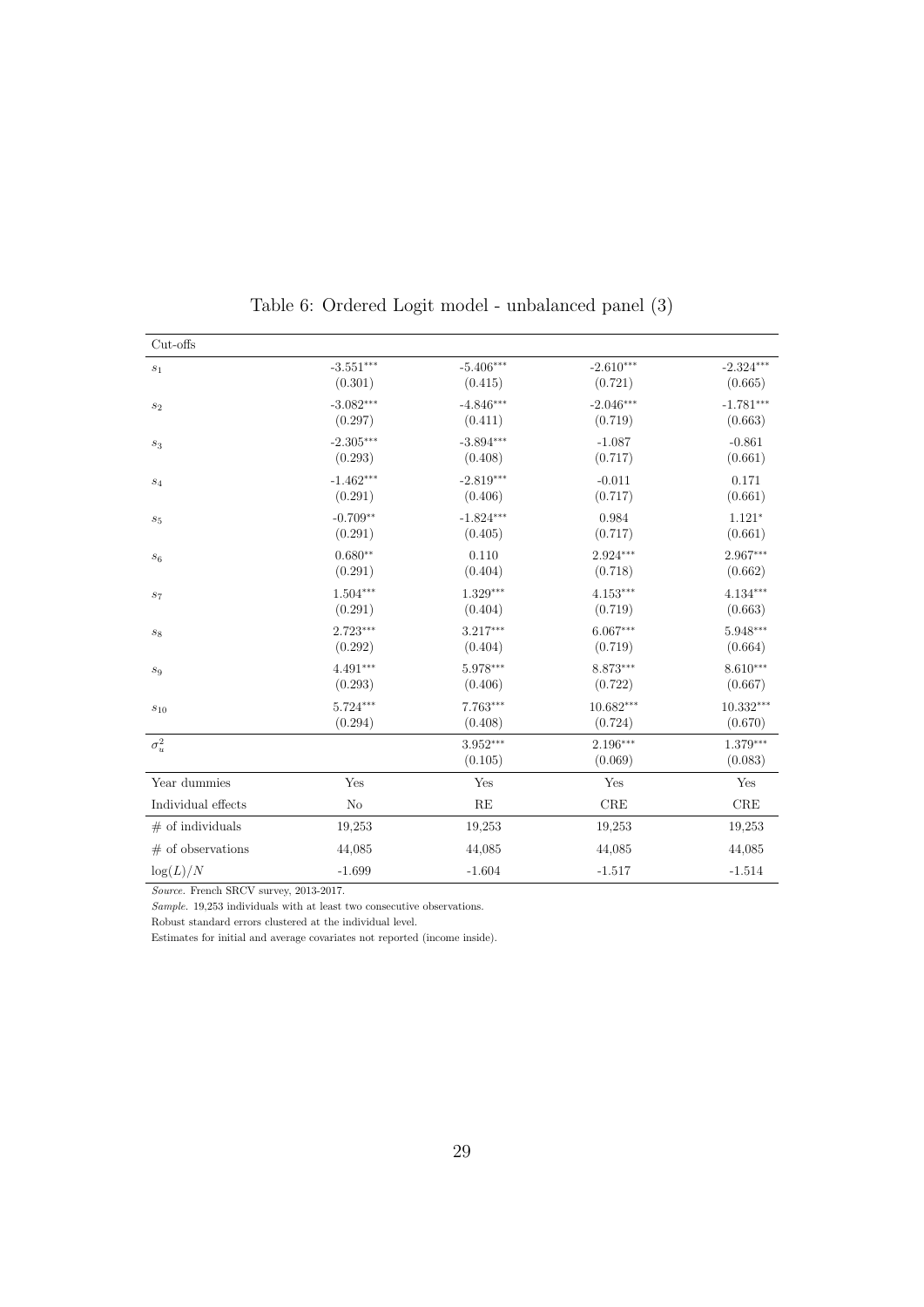<span id="page-30-0"></span>

| Cut-offs            |             |                       |                     |                     |
|---------------------|-------------|-----------------------|---------------------|---------------------|
| $\sqrt{s_1}$        | $-3.551***$ | $-5.406***$           | $-2.610***$         | $-2.324***$         |
|                     | (0.301)     | (0.415)               | (0.721)             | (0.665)             |
| $\mathfrak{s}_2$    | $-3.082***$ | $-4.846***$           | $-2.046***$         | $-1.781***$         |
|                     | (0.297)     | (0.411)               | (0.719)             | (0.663)             |
| $\sqrt{s_3}$        | $-2.305***$ | $-3.894***$           | $-1.087$            | $-0.861$            |
|                     | (0.293)     | (0.408)               | (0.717)             | (0.661)             |
| $s_4$               | $-1.462***$ | $-2.819***$           | $-0.011$            | 0.171               |
|                     | (0.291)     | (0.406)               | (0.717)             | (0.661)             |
| $\sqrt{s_{5}}$      | $-0.709**$  | $-1.824***$           | 0.984               | $1.121*$            |
|                     | (0.291)     | (0.405)               | (0.717)             | (0.661)             |
| $s_6$               | $0.680**$   | 0.110                 | $2.924***$          | 2.967***            |
|                     | (0.291)     | (0.404)               | (0.718)             | (0.662)             |
| $s_7$               | $1.504***$  | $1.329***$            | $4.153***$          | 4.134***            |
|                     | (0.291)     | (0.404)               | (0.719)             | (0.663)             |
| $s_8$               | $2.723***$  | $3.217***$            | $6.067***$          | 5.948***            |
|                     | (0.292)     | (0.404)               | (0.719)             | (0.664)             |
| $\mathfrak{s}_9$    | 4.491***    | 5.978***              | 8.873***            | 8.610***            |
|                     | (0.293)     | (0.406)               | (0.722)             | (0.667)             |
| $s_{10}$            | $5.724***$  | 7.763***              | $10.682***$         | $10.332***$         |
|                     | (0.294)     | (0.408)               | (0.724)             | (0.670)             |
| $\sigma^2_u$        |             | $3.952***$<br>(0.105) | 2.196***<br>(0.069) | 1.379***<br>(0.083) |
| Year dummies        | Yes         | Yes                   | Yes                 | Yes                 |
| Individual effects  | No          | RE                    | $_{\rm CRE}$        | $_{\rm CRE}$        |
| $#$ of individuals  | 19,253      | 19,253                | 19,253              | 19,253              |
| $#$ of observations | 44,085      | 44,085                | 44,085              | 44,085              |
| $\log(L)/N$         | $-1.699$    | $-1.604$              | $-1.517$            | $-1.514$            |

|  | Table 6: Ordered Logit model - unbalanced panel (3) |  |  |  |  |  |  |  |
|--|-----------------------------------------------------|--|--|--|--|--|--|--|
|--|-----------------------------------------------------|--|--|--|--|--|--|--|

Source. French SRCV survey, 2013-2017.

 $Sample. 19,253$  individuals with at least two consecutive observations.

Robust standard errors clustered at the individual level.

Estimates for initial and average covariates not reported (income inside).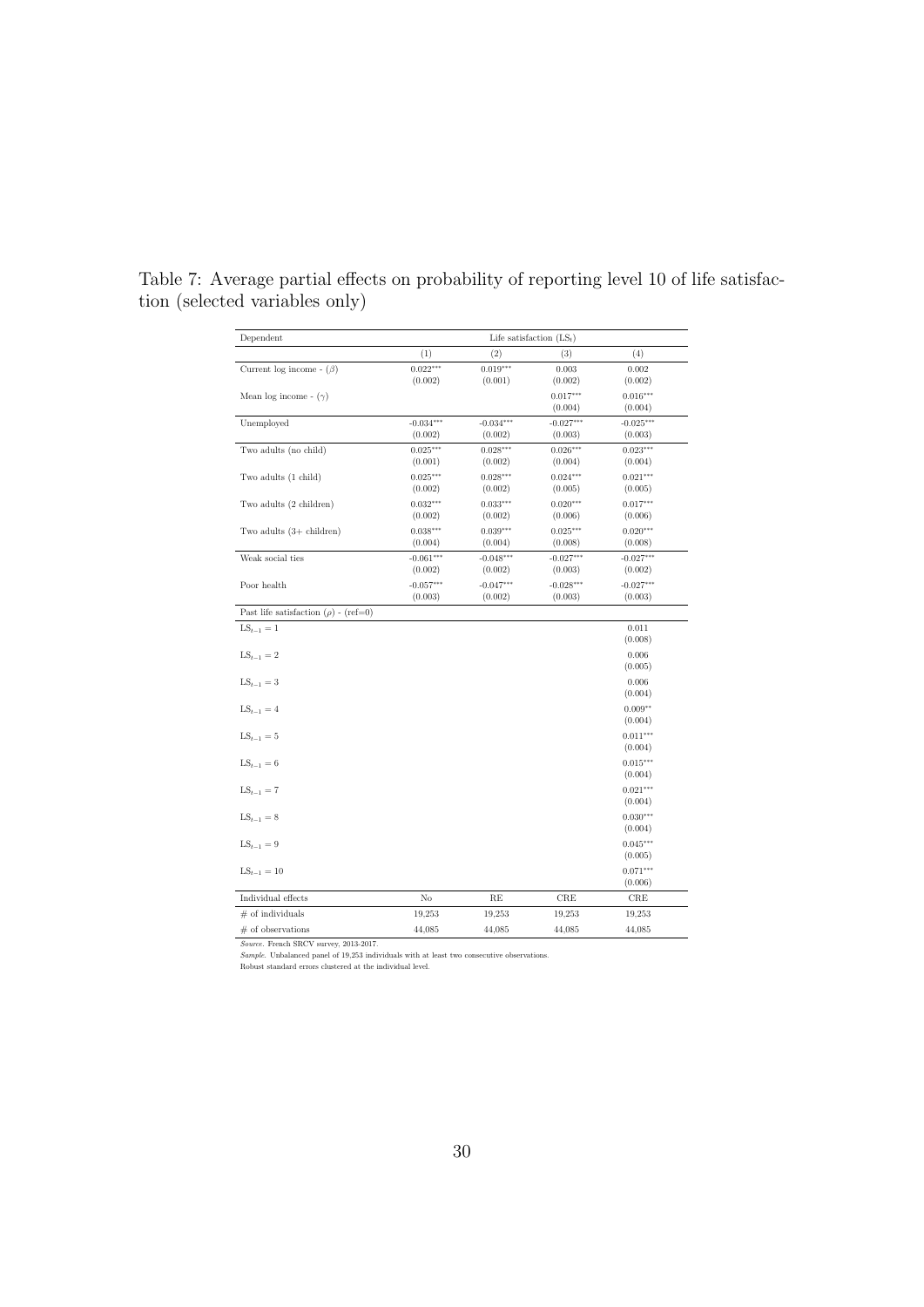| Dependent                                   | Life satisfaction $(LS_t)$ |                        |                        |                        |  |  |
|---------------------------------------------|----------------------------|------------------------|------------------------|------------------------|--|--|
|                                             | (1)                        | (2)                    | (3)                    | (4)                    |  |  |
| Current log income - $(\beta)$              | $0.022***$<br>(0.002)      | $0.019***$<br>(0.001)  | 0.003<br>(0.002)       | 0.002<br>(0.002)       |  |  |
| Mean log income - $(\gamma)$                |                            |                        | $0.017***$<br>(0.004)  | $0.016***$<br>(0.004)  |  |  |
| Unemployed                                  | $-0.034***$<br>(0.002)     | $-0.034***$<br>(0.002) | $-0.027***$<br>(0.003) | $-0.025***$<br>(0.003) |  |  |
| Two adults (no child)                       | $0.025***$<br>(0.001)      | $0.028***$<br>(0.002)  | $0.026***$<br>(0.004)  | $0.023***$<br>(0.004)  |  |  |
| Two adults (1 child)                        | $0.025***$<br>(0.002)      | $0.028***$<br>(0.002)  | $0.024***$<br>(0.005)  | $0.021***$<br>(0.005)  |  |  |
| Two adults (2 children)                     | $0.032***$<br>(0.002)      | $0.033***$<br>(0.002)  | $0.020***$<br>(0.006)  | $0.017***$<br>(0.006)  |  |  |
| Two adults $(3 + \text{children})$          | $0.038***$<br>(0.004)      | $0.039***$<br>(0.004)  | $0.025***$<br>(0.008)  | $0.020***$<br>(0.008)  |  |  |
| Weak social ties                            | $-0.061***$<br>(0.002)     | $-0.048***$<br>(0.002) | $-0.027***$<br>(0.003) | $-0.027***$<br>(0.002) |  |  |
| Poor health                                 | $-0.057***$<br>(0.003)     | $-0.047***$<br>(0.002) | $-0.028***$<br>(0.003) | $-0.027***$<br>(0.003) |  |  |
| Past life satisfaction ( $\rho$ ) - (ref=0) |                            |                        |                        |                        |  |  |
| $LS_{t-1} = 1$                              |                            |                        |                        | 0.011<br>(0.008)       |  |  |
| $LS_{t-1} = 2$                              |                            |                        |                        | 0.006<br>(0.005)       |  |  |
| $LS_{t-1} = 3$                              |                            |                        |                        | 0.006<br>(0.004)       |  |  |
| $LS_{t-1} = 4$                              |                            |                        |                        | $0.009**$<br>(0.004)   |  |  |
| $LS_{t-1} = 5$                              |                            |                        |                        | $0.011***$<br>(0.004)  |  |  |
| $LS_{t-1}=6$                                |                            |                        |                        | $0.015***$<br>(0.004)  |  |  |
| $LS_{t-1} = 7$                              |                            |                        |                        | $0.021***$<br>(0.004)  |  |  |
| $LS_{t-1} = 8$                              |                            |                        |                        | $0.030***$<br>(0.004)  |  |  |
| $LS_{t-1} = 9$                              |                            |                        |                        | $0.045***$<br>(0.005)  |  |  |
| $LS_{t-1} = 10$                             |                            |                        |                        | $0.071***$<br>(0.006)  |  |  |
| Individual effects                          | No                         | RE                     | $_{\rm CRE}$           | CRE                    |  |  |
| $#$ of individuals                          | 19,253                     | 19,253                 | 19,253                 | 19,253                 |  |  |
| $#$ of observations                         | 44,085                     | 44,085                 | 44,085                 | 44,085                 |  |  |

<span id="page-31-0"></span>Table 7: Average partial effects on probability of reporting level 10 of life satisfaction (selected variables only)

 $\emph{Source. French SRCV survey, 2013-2017.}$   $\emph{Sample. Unbalanced panel of 19,253 individuals with at least two consecutive observations. Robust standard errors clustered at the individual level.$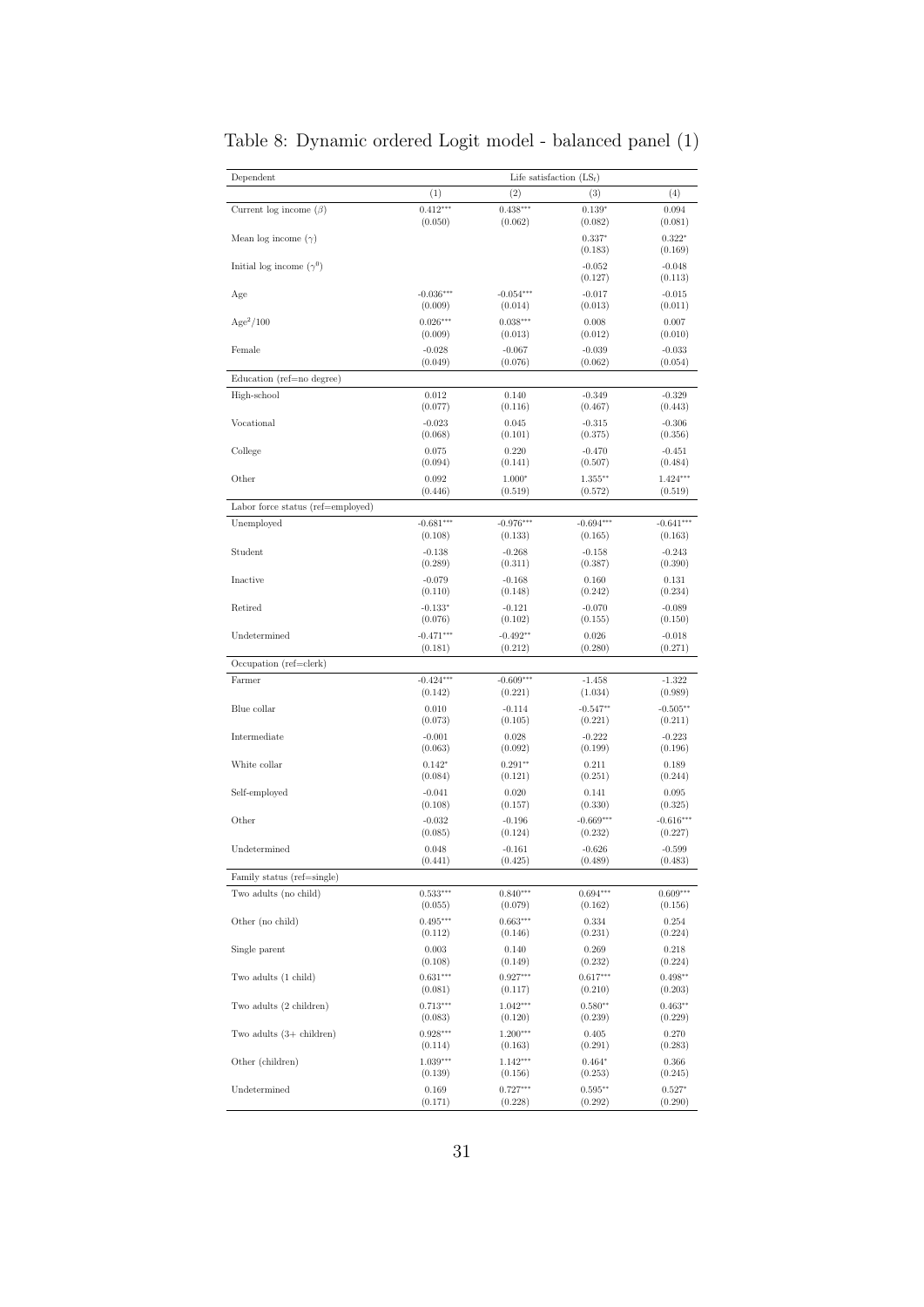| Dependent                          | Life satisfaction $(LS_t)$ |                       |                      |                      |  |
|------------------------------------|----------------------------|-----------------------|----------------------|----------------------|--|
|                                    | $\left(1\right)$           | $\left( 2\right)$     | (3)                  | (4)                  |  |
| Current log income $(\beta)$       | $0.412***$                 | $0.438***$            | $0.139*$             | 0.094                |  |
|                                    | (0.050)                    | (0.062)               | (0.082)              | (0.081)              |  |
| Mean log income $(\gamma)$         |                            |                       | $0.337*$<br>(0.183)  | $0.322*$<br>(0.169)  |  |
| Initial log income $(\gamma^0)$    |                            |                       | $-0.052$<br>(0.127)  | $-0.048$<br>(0.113)  |  |
| Age                                | $-0.036***$                | $-0.054***$           | $-0.017$             | $-0.015$             |  |
|                                    | (0.009)                    | (0.014)               | (0.013)              | (0.011)              |  |
| $Age^2/100$                        | $0.026***$                 | $0.038***$            | 0.008                | 0.007                |  |
|                                    | (0.009)                    | (0.013)               | (0.012)              | (0.010)              |  |
| Female                             | $-0.028$                   | $-0.067$              | $-0.039$             | $-0.033$             |  |
|                                    | (0.049)                    | (0.076)               | (0.062)              | (0.054)              |  |
| Education (ref=no degree)          |                            |                       |                      |                      |  |
| High-school                        | 0.012                      | 0.140                 | $-0.349$             | $-0.329$             |  |
|                                    | (0.077)                    | (0.116)               | (0.467)              | (0.443)              |  |
| Vocational                         | $-0.023$                   | 0.045                 | $-0.315$             | $-0.306$             |  |
|                                    | (0.068)                    | (0.101)               | (0.375)              | (0.356)              |  |
| College                            | 0.075                      | 0.220                 | $-0.470$             | $-0.451$             |  |
|                                    | (0.094)                    | (0.141)               | (0.507)              | (0.484)              |  |
| Other                              | 0.092                      | $1.000*$              | $1.355***$           | $1.424***$           |  |
|                                    | (0.446)                    | (0.519)               | (0.572)              | (0.519)              |  |
| Labor force status (ref=employed)  |                            |                       |                      |                      |  |
| Unemployed                         | $-0.681***$                | $-0.976***$           | $-0.694***$          | $-0.641***$          |  |
|                                    | (0.108)                    | (0.133)               | (0.165)              | (0.163)              |  |
| Student                            | $-0.138$                   | $-0.268$              | $-0.158$             | $-0.243$             |  |
|                                    | (0.289)                    | (0.311)               | (0.387)              | (0.390)              |  |
| Inactive                           | $-0.079$                   | $-0.168$              | 0.160                | 0.131                |  |
|                                    | (0.110)                    | (0.148)               | (0.242)              | (0.234)              |  |
| Retired                            | $-0.133*$                  | $-0.121$              | $-0.070$             | $-0.089$             |  |
|                                    | (0.076)                    | (0.102)               | (0.155)              | (0.150)              |  |
| Undetermined                       | $-0.471***$                | $-0.492**$            | 0.026                | $-0.018$             |  |
|                                    | (0.181)                    | (0.212)               | (0.280)              | (0.271)              |  |
| Occupation (ref=clerk)             |                            |                       |                      |                      |  |
| Farmer                             | $-0.424***$                | $-0.609***$           | $-1.458$             | $-1.322$             |  |
|                                    | (0.142)                    | (0.221)               | (1.034)              | (0.989)              |  |
| Blue collar                        | 0.010                      | $-0.114$              | $-0.547**$           | $-0.505**$           |  |
| Intermediate                       | (0.073)                    | (0.105)               | (0.221)              | (0.211)              |  |
|                                    | $-0.001$                   | 0.028                 | $-0.222$             | $-0.223$             |  |
| White collar                       | (0.063)                    | (0.092)               | (0.199)              | (0.196)              |  |
|                                    | $0.142*$                   | $0.291**$             | 0.211                | 0.189                |  |
|                                    | (0.084)                    | (0.121)               | (0.251)              | (0.244)              |  |
| Self-employed                      | $-0.041$                   | 0.020                 | 0.141                | 0.095                |  |
|                                    | (0.108)                    | (0.157)               | (0.330)              | (0.325)              |  |
| Other                              | $-0.032$                   | $-0.196$              | $-0.669***$          | $-0.616***$          |  |
|                                    | (0.085)                    | (0.124)               | (0.232)              | (0.227)              |  |
| Undetermined                       | 0.048                      | $-0.161$              | $-0.626$             | $-0.599$             |  |
|                                    | (0.441)                    | (0.425)               | (0.489)              | (0.483)              |  |
| Family status (ref=single)         |                            |                       |                      |                      |  |
| Two adults (no child)              | $0.533***$                 | $0.840***$            | $0.694***$           | $0.609***$           |  |
|                                    | (0.055)                    | (0.079)               | (0.162)              | (0.156)              |  |
| Other (no child)                   | $0.495***$                 | $0.663***$            | 0.334                | 0.254                |  |
|                                    | (0.112)                    | (0.146)               | (0.231)              | (0.224)              |  |
| Single parent                      | 0.003                      | 0.140                 | 0.269                | 0.218                |  |
|                                    | (0.108)                    | (0.149)               | (0.232)              | (0.224)              |  |
| Two adults (1 child)               | $0.631***$                 | $0.927***$            | $0.617***$           | $0.498**$            |  |
|                                    | (0.081)                    | (0.117)               | (0.210)              | (0.203)              |  |
| Two adults (2 children)            | $0.713***$<br>(0.083)      | $1.042***$            | $0.580**$<br>(0.239) | $0.463**$<br>(0.229) |  |
| Two adults $(3 + \text{children})$ | $0.928***$                 | (0.120)<br>$1.200***$ | 0.405                | 0.270                |  |
| Other (children)                   | (0.114)                    | (0.163)               | (0.291)              | (0.283)              |  |
|                                    | $1.039***$                 | $1.142***$            | $0.464*$             | 0.366                |  |
| Undetermined                       | (0.139)                    | (0.156)               | (0.253)              | (0.245)              |  |
|                                    | 0.169                      | $0.727***$            | $0.595**$            | $0.527*$             |  |
|                                    | (0.171)                    | (0.228)               | (0.292)              | (0.290)              |  |

<span id="page-32-0"></span>Table 8: Dynamic ordered Logit model - balanced panel (1)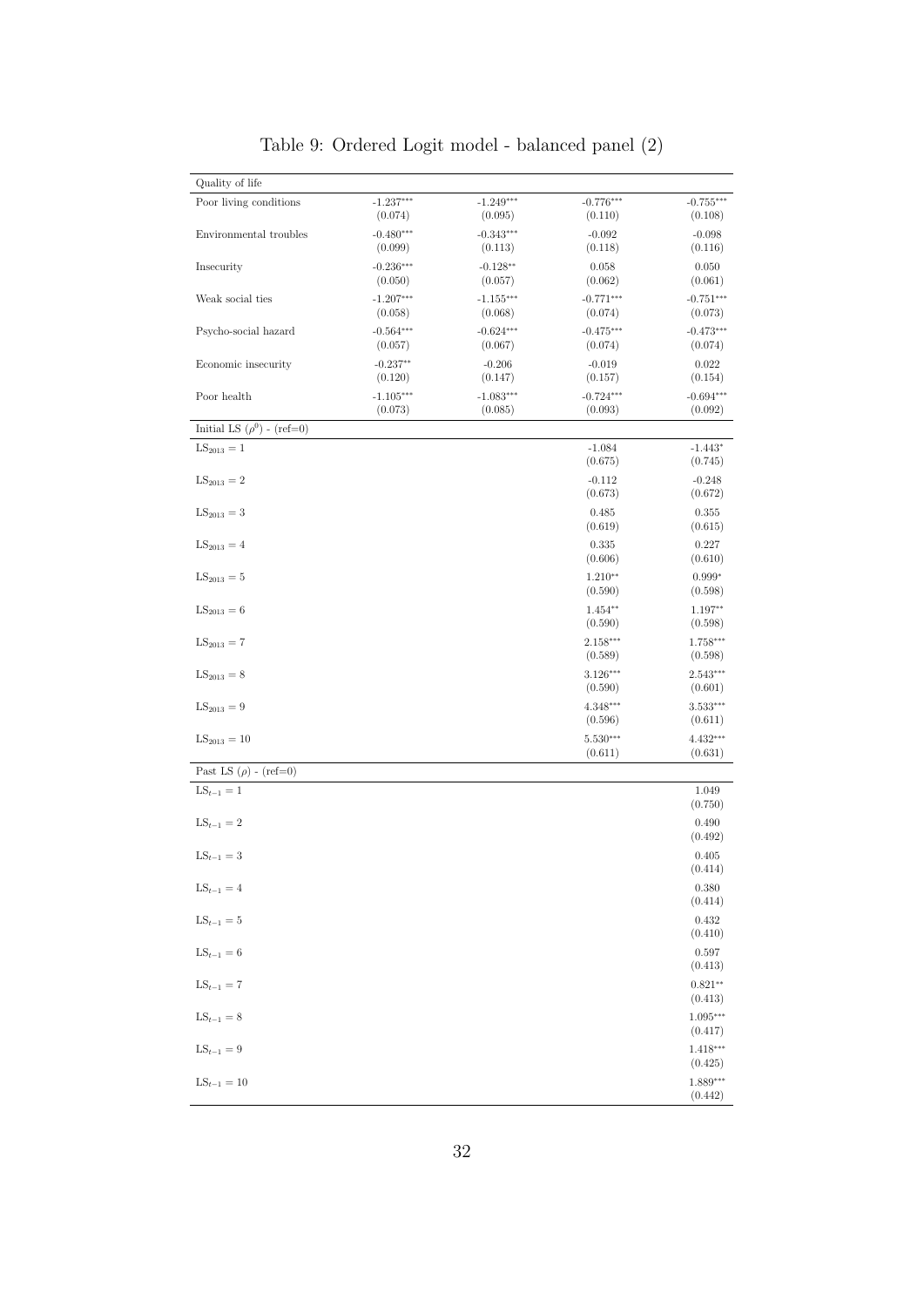| Quality of life                 |                        |                                  |                             |                             |
|---------------------------------|------------------------|----------------------------------|-----------------------------|-----------------------------|
| Poor living conditions          | $-1.237***$<br>(0.074) | $-1.249***$<br>(0.095)           | $-0.776***$<br>(0.110)      | $-0.755***$<br>(0.108)      |
| Environmental troubles          | $-0.480***$<br>(0.099) | $-0.343***$                      | $-0.092$                    | $-0.098$                    |
| Insecurity                      | $-0.236***$<br>(0.050) | (0.113)<br>$-0.128**$<br>(0.057) | (0.118)<br>0.058<br>(0.062) | (0.116)<br>0.050<br>(0.061) |
| Weak social ties                | $-1.207***$<br>(0.058) | $-1.155***$<br>(0.068)           | $-0.771***$<br>(0.074)      | $-0.751***$<br>(0.073)      |
| Psycho-social hazard            | $-0.564***$<br>(0.057) | $-0.624***$<br>(0.067)           | $-0.475***$<br>(0.074)      | $-0.473***$<br>(0.074)      |
| Economic insecurity             | $-0.237**$<br>(0.120)  | $-0.206$<br>(0.147)              | $-0.019$<br>(0.157)         | 0.022<br>(0.154)            |
| Poor health                     | $-1.105***$<br>(0.073) | $-1.083***$<br>(0.085)           | $-0.724***$<br>(0.093)      | $-0.694***$<br>(0.092)      |
| Initial LS $(\rho^0)$ - (ref=0) |                        |                                  |                             |                             |
| $LS_{2013} = 1$                 |                        |                                  | $-1.084$<br>(0.675)         | $-1.443*$<br>(0.745)        |
| $LS_{2013} = 2$                 |                        |                                  | $-0.112$<br>(0.673)         | $-0.248$<br>(0.672)         |
| $LS_{2013} = 3$                 |                        |                                  | 0.485<br>(0.619)            | 0.355<br>(0.615)            |
| $LS_{2013} = 4$                 |                        |                                  | 0.335<br>(0.606)            | 0.227<br>(0.610)            |
| $LS_{2013} = 5$                 |                        |                                  | $1.210**$<br>(0.590)        | $0.999*$<br>(0.598)         |
| $LS_{2013} = 6$                 |                        |                                  | $1.454**$<br>(0.590)        | 1.197**<br>(0.598)          |
| $LS_{2013} = 7$                 |                        |                                  | $2.158***$<br>(0.589)       | 1.758***<br>(0.598)         |
| $LS_{2013} = 8$                 |                        |                                  | $3.126***$<br>(0.590)       | 2.543***<br>(0.601)         |
| $LS_{2013} = 9$                 |                        |                                  | $4.348***$<br>(0.596)       | $3.533***$<br>(0.611)       |
| $LS_{2013} = 10$                |                        |                                  | $5.530***$<br>(0.611)       | $4.432***$<br>(0.631)       |
| Past LS $(\rho)$ - (ref=0)      |                        |                                  |                             |                             |
| $LS_{t-1} = 1$                  |                        |                                  |                             | 1.049<br>(0.750)            |
| $LS_{t-1}=2$                    |                        |                                  |                             | 0.490<br>(0.492)            |
| $LS_{t-1}=3$                    |                        |                                  |                             | 0.405<br>(0.414)            |
| $LS_{t-1} = 4$                  |                        |                                  |                             | $0.380\,$<br>(0.414)        |
| $\text{LS}_{t-1}=5$             |                        |                                  |                             | 0.432<br>(0.410)            |
| $LS_{t-1} = 6$                  |                        |                                  |                             | 0.597<br>(0.413)            |
| $\mathrm{LS}_{t-1}=7$           |                        |                                  |                             | $0.821**$<br>(0.413)        |
| $LS_{t-1} = 8$                  |                        |                                  |                             | $1.095***$<br>(0.417)       |
| $LS_{t-1} = 9$                  |                        |                                  |                             | $1.418***$<br>(0.425)       |
| $LS_{t-1} = 10$                 |                        |                                  |                             | $1.889***$<br>(0.442)       |

Table 9: Ordered Logit model - balanced panel (2)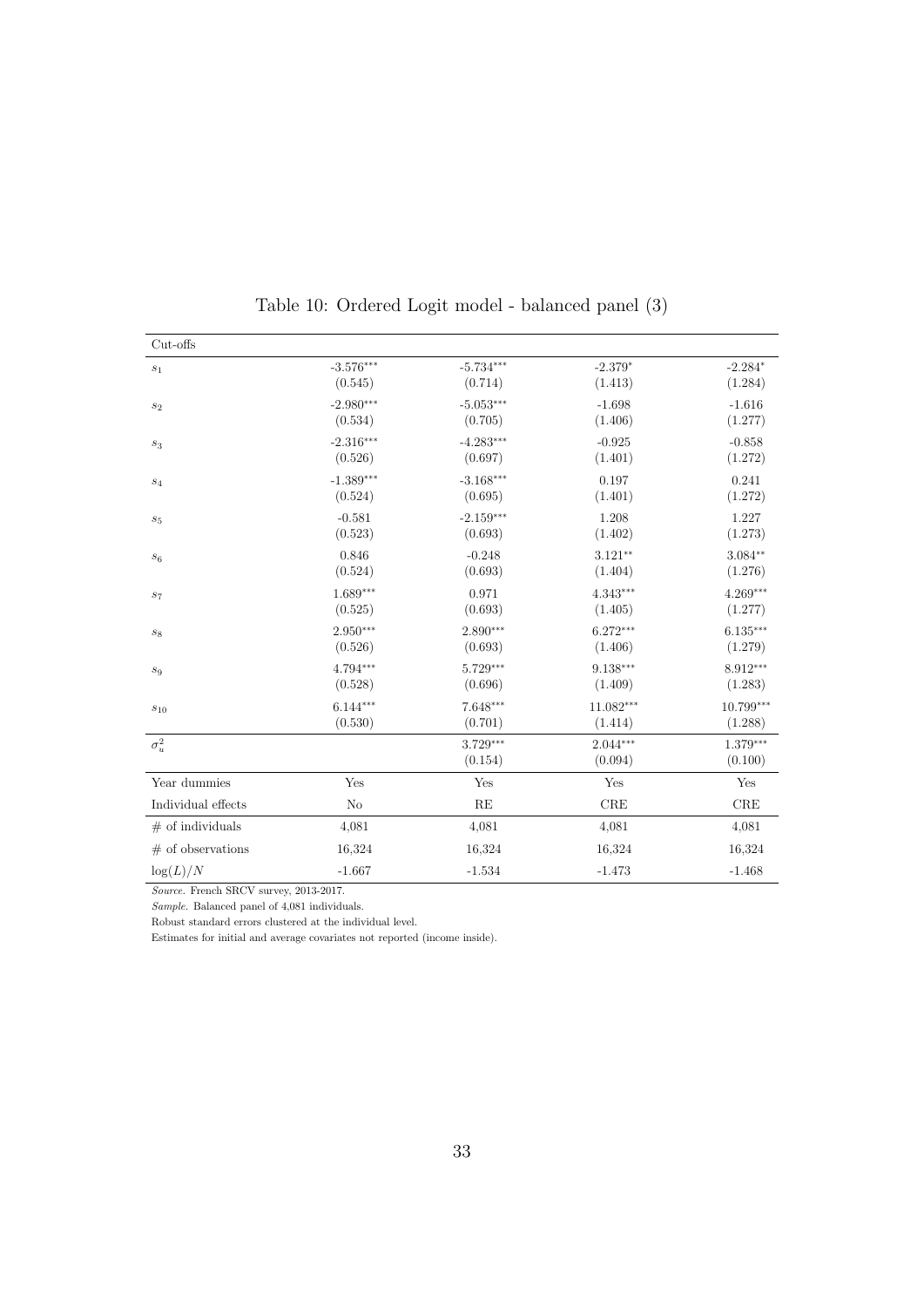<span id="page-34-0"></span>

| Cut-offs            |             |                     |                       |                     |
|---------------------|-------------|---------------------|-----------------------|---------------------|
| $\sqrt{s_1}$        | $-3.576***$ | $-5.734***$         | $-2.379*$             | $-2.284*$           |
|                     | (0.545)     | (0.714)             | (1.413)               | (1.284)             |
| $s_2$               | $-2.980***$ | $-5.053***$         | $-1.698$              | $-1.616$            |
|                     | (0.534)     | (0.705)             | (1.406)               | (1.277)             |
| $\sqrt{s_3}$        | $-2.316***$ | $-4.283***$         | $-0.925$              | $-0.858$            |
|                     | (0.526)     | (0.697)             | (1.401)               | (1.272)             |
| $s_4$               | $-1.389***$ | $-3.168***$         | 0.197                 | 0.241               |
|                     | (0.524)     | (0.695)             | (1.401)               | (1.272)             |
| $\sqrt{s_{5}}$      | $-0.581$    | $-2.159***$         | 1.208                 | 1.227               |
|                     | (0.523)     | (0.693)             | (1.402)               | (1.273)             |
| $\boldsymbol{s}_6$  | 0.846       | $-0.248$            | $3.121**$             | $3.084**$           |
|                     | (0.524)     | (0.693)             | (1.404)               | (1.276)             |
| $s_7$               | $1.689***$  | 0.971               | 4.343***              | $4.269***$          |
|                     | (0.525)     | (0.693)             | (1.405)               | (1.277)             |
| $\boldsymbol{s}_8$  | $2.950***$  | $2.890***$          | $6.272***$            | $6.135***$          |
|                     | (0.526)     | (0.693)             | (1.406)               | (1.279)             |
| $s_9$               | 4.794***    | 5.729***            | 9.138***              | 8.912***            |
|                     | (0.528)     | (0.696)             | (1.409)               | (1.283)             |
| $\sqrt{s_{10}}$     | $6.144***$  | 7.648***            | $11.082***$           | $10.799***$         |
|                     | (0.530)     | (0.701)             | (1.414)               | (1.288)             |
| $\sigma^2_u$        |             | 3.729***<br>(0.154) | $2.044***$<br>(0.094) | 1.379***<br>(0.100) |
| Year dummies        | Yes         | Yes                 | Yes                   | Yes                 |
| Individual effects  | No          | RE                  | $_{\rm CRE}$          | $_{\rm CRE}$        |
| $#$ of individuals  | 4,081       | 4,081               | 4,081                 | 4,081               |
| $#$ of observations | 16,324      | 16,324              | 16,324                | 16,324              |
| $\log(L)/N$         | $-1.667$    | $-1.534$            | $-1.473$              | $-1.468$            |

| Table 10: Ordered Logit model - balanced panel (3) |  |  |  |  |  |  |  |
|----------------------------------------------------|--|--|--|--|--|--|--|
|----------------------------------------------------|--|--|--|--|--|--|--|

Source. French SRCV survey, 2013-2017.

Sample. Balanced panel of 4,081 individuals.

Robust standard errors clustered at the individual level.

Estimates for initial and average covariates not reported (income inside).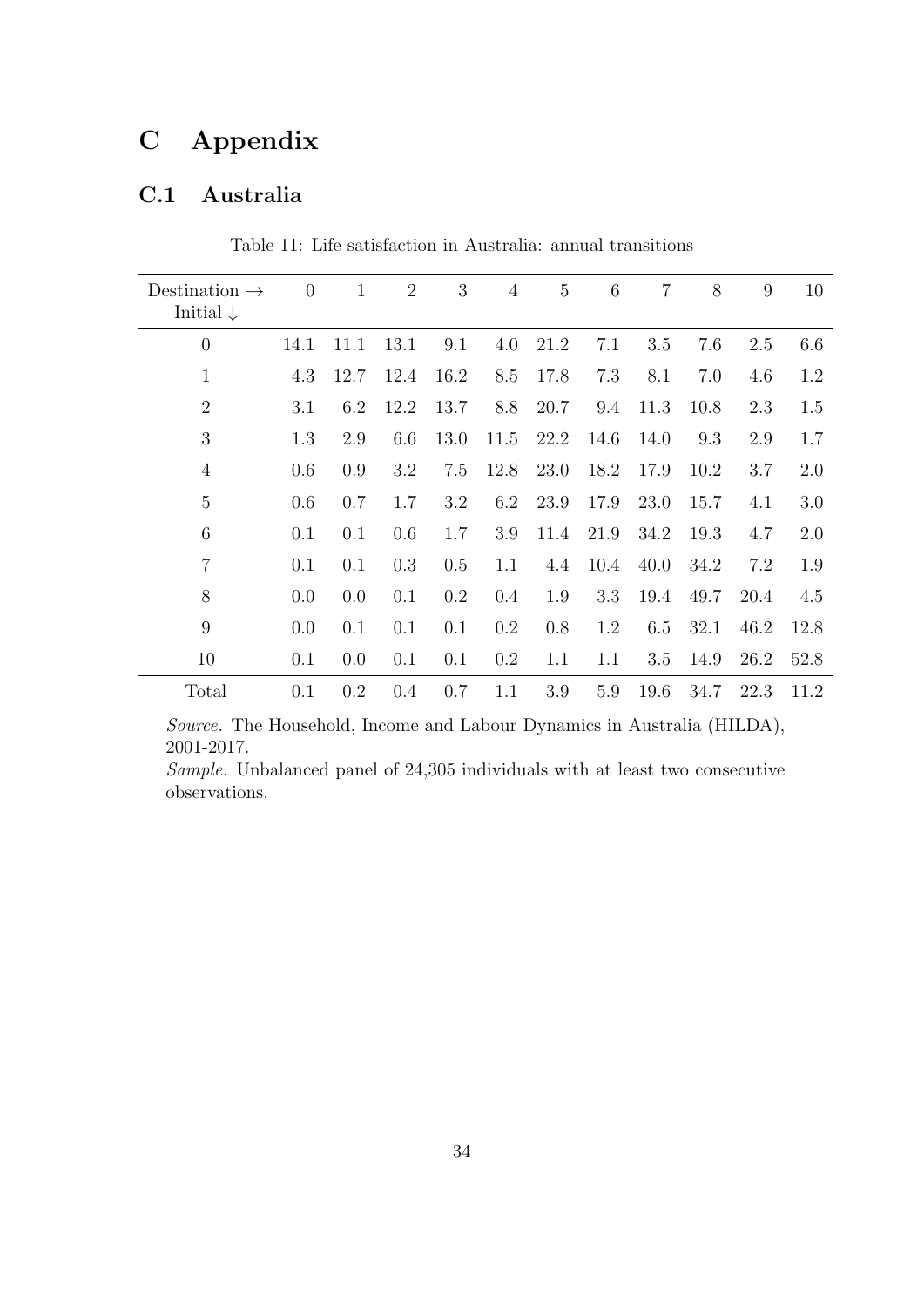### <span id="page-35-0"></span>C Appendix

#### C.1 Australia

| Destination $\rightarrow$<br>Initial $\downarrow$ | $\theta$ | $\mathbf{1}$ | $\overline{2}$ | 3       | $\overline{4}$ | $\overline{5}$ | 6    | $\overline{7}$ | 8    | 9    | 10   |
|---------------------------------------------------|----------|--------------|----------------|---------|----------------|----------------|------|----------------|------|------|------|
| $\overline{0}$                                    | 14.1     | 11.1         | 13.1           | 9.1     | 4.0            | 21.2           | 7.1  | 3.5            | 7.6  | 2.5  | 6.6  |
| $\mathbf 1$                                       | 4.3      | 12.7         | 12.4           | 16.2    | 8.5            | 17.8           | 7.3  | 8.1            | 7.0  | 4.6  | 1.2  |
| $\overline{2}$                                    | 3.1      | 6.2          | 12.2           | 13.7    | 8.8            | 20.7           | 9.4  | 11.3           | 10.8 | 2.3  | 1.5  |
| 3                                                 | 1.3      | 2.9          | 6.6            | 13.0    | 11.5           | 22.2           | 14.6 | 14.0           | 9.3  | 2.9  | 1.7  |
| $\overline{4}$                                    | 0.6      | 0.9          | 3.2            | 7.5     | 12.8           | 23.0           | 18.2 | 17.9           | 10.2 | 3.7  | 2.0  |
| 5                                                 | 0.6      | 0.7          | 1.7            | 3.2     | 6.2            | 23.9           | 17.9 | 23.0           | 15.7 | 4.1  | 3.0  |
| 6                                                 | 0.1      | 0.1          | 0.6            | 1.7     | 3.9            | 11.4           | 21.9 | 34.2           | 19.3 | 4.7  | 2.0  |
| $\overline{7}$                                    | 0.1      | 0.1          | 0.3            | 0.5     | 1.1            | 4.4            | 10.4 | 40.0           | 34.2 | 7.2  | 1.9  |
| 8                                                 | 0.0      | 0.0          | 0.1            | $0.2\,$ | 0.4            | 1.9            | 3.3  | 19.4           | 49.7 | 20.4 | 4.5  |
| 9                                                 | 0.0      | 0.1          | 0.1            | 0.1     | 0.2            | 0.8            | 1.2  | 6.5            | 32.1 | 46.2 | 12.8 |
| 10                                                | 0.1      | 0.0          | 0.1            | 0.1     | 0.2            | 1.1            | 1.1  | 3.5            | 14.9 | 26.2 | 52.8 |
| Total                                             | 0.1      | 0.2          | 0.4            | 0.7     | 1.1            | 3.9            | 5.9  | 19.6           | 34.7 | 22.3 | 11.2 |

Table 11: Life satisfaction in Australia: annual transitions

Source. The Household, Income and Labour Dynamics in Australia (HILDA), 2001-2017.

Sample. Unbalanced panel of 24,305 individuals with at least two consecutive observations.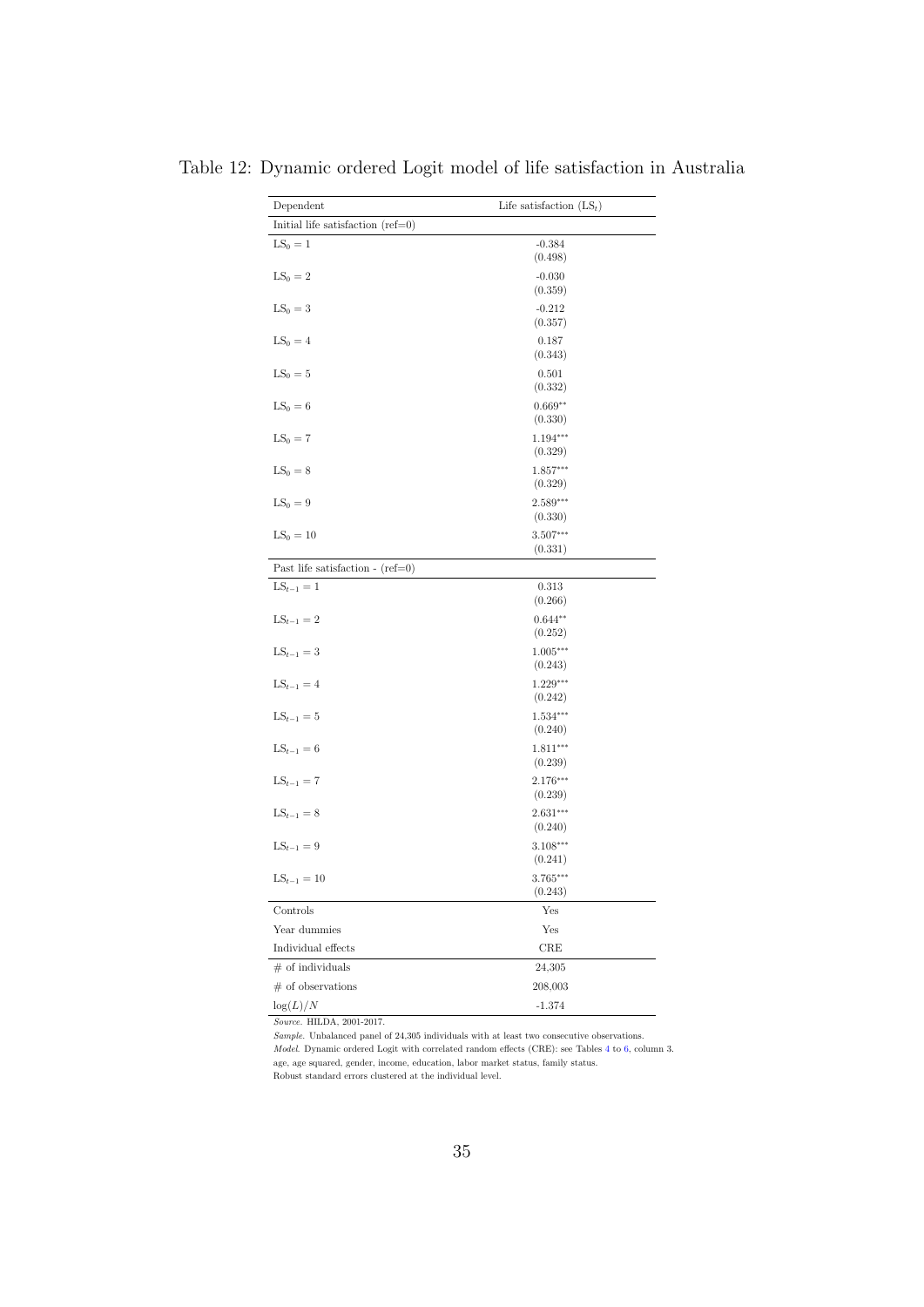| Dependent                           | Life satisfaction $(LS_t)$ |  |  |  |  |  |  |
|-------------------------------------|----------------------------|--|--|--|--|--|--|
| Initial life satisfaction $(ref=0)$ |                            |  |  |  |  |  |  |
| $LS_0 = 1$                          | $-0.384$<br>(0.498)        |  |  |  |  |  |  |
| $LS_0 = 2$                          | $-0.030$<br>(0.359)        |  |  |  |  |  |  |
| $LS_0 = 3$                          | $-0.212$<br>(0.357)        |  |  |  |  |  |  |
| $LS_0 = 4$                          | 0.187<br>(0.343)           |  |  |  |  |  |  |
| $LS_0 = 5$                          | 0.501<br>(0.332)           |  |  |  |  |  |  |
| $LS_0 = 6$                          | $0.669**$<br>(0.330)       |  |  |  |  |  |  |
| $LS_0 = 7$                          | $1.194***$<br>(0.329)      |  |  |  |  |  |  |
| $LS_0 = 8$                          | $1.857***$<br>(0.329)      |  |  |  |  |  |  |
| $LS_0 = 9$                          | $2.589***$<br>(0.330)      |  |  |  |  |  |  |
| $LS_0 = 10$                         | 3.507***<br>(0.331)        |  |  |  |  |  |  |
| Past life satisfaction - $(ref=0)$  |                            |  |  |  |  |  |  |
| $LS_{t-1} = 1$                      | 0.313<br>(0.266)           |  |  |  |  |  |  |
| $LS_{t-1} = 2$                      | $0.644**$<br>(0.252)       |  |  |  |  |  |  |
| $LS_{t-1} = 3$                      | $1.005***$<br>(0.243)      |  |  |  |  |  |  |
| $LS_{t-1} = 4$                      | $1.229***$<br>(0.242)      |  |  |  |  |  |  |
| $LS_{t-1} = 5$                      | $1.534***$<br>(0.240)      |  |  |  |  |  |  |
| $LS_{t-1} = 6$                      | $1.811***$<br>(0.239)      |  |  |  |  |  |  |
| $LS_{t-1} = 7$                      | 2.176***<br>(0.239)        |  |  |  |  |  |  |
| $LS_{t-1} = 8$                      | $2.631***$<br>(0.240)      |  |  |  |  |  |  |
| $\text{LS}_{t-1}=9$                 | $3.108***$<br>(0.241)      |  |  |  |  |  |  |
| $LS_{t-1} = 10$                     | $3.765***$<br>(0.243)      |  |  |  |  |  |  |
| Controls                            | Yes                        |  |  |  |  |  |  |
| Year dummies                        | Yes                        |  |  |  |  |  |  |
| Individual effects                  | $_{\rm CRE}$               |  |  |  |  |  |  |
| $#$ of individuals                  | 24,305                     |  |  |  |  |  |  |
| $#$ of observations                 | 208,003                    |  |  |  |  |  |  |
| $\log(L)/N$                         | $-1.374$                   |  |  |  |  |  |  |

<span id="page-36-0"></span>Table 12: Dynamic ordered Logit model of life satisfaction in Australia

Source. HILDA, 2001-2017.

Sample. Unbalanced panel of 24,305 individuals with at least two consecutive observations. Model. Dynamic ordered Logit with correlated random effects (CRE): see Tables [4](#page-28-0) to [6,](#page-30-0) column 3. age, age squared, gender, income, education, labor market status, family status. Robust standard errors clustered at the individual level.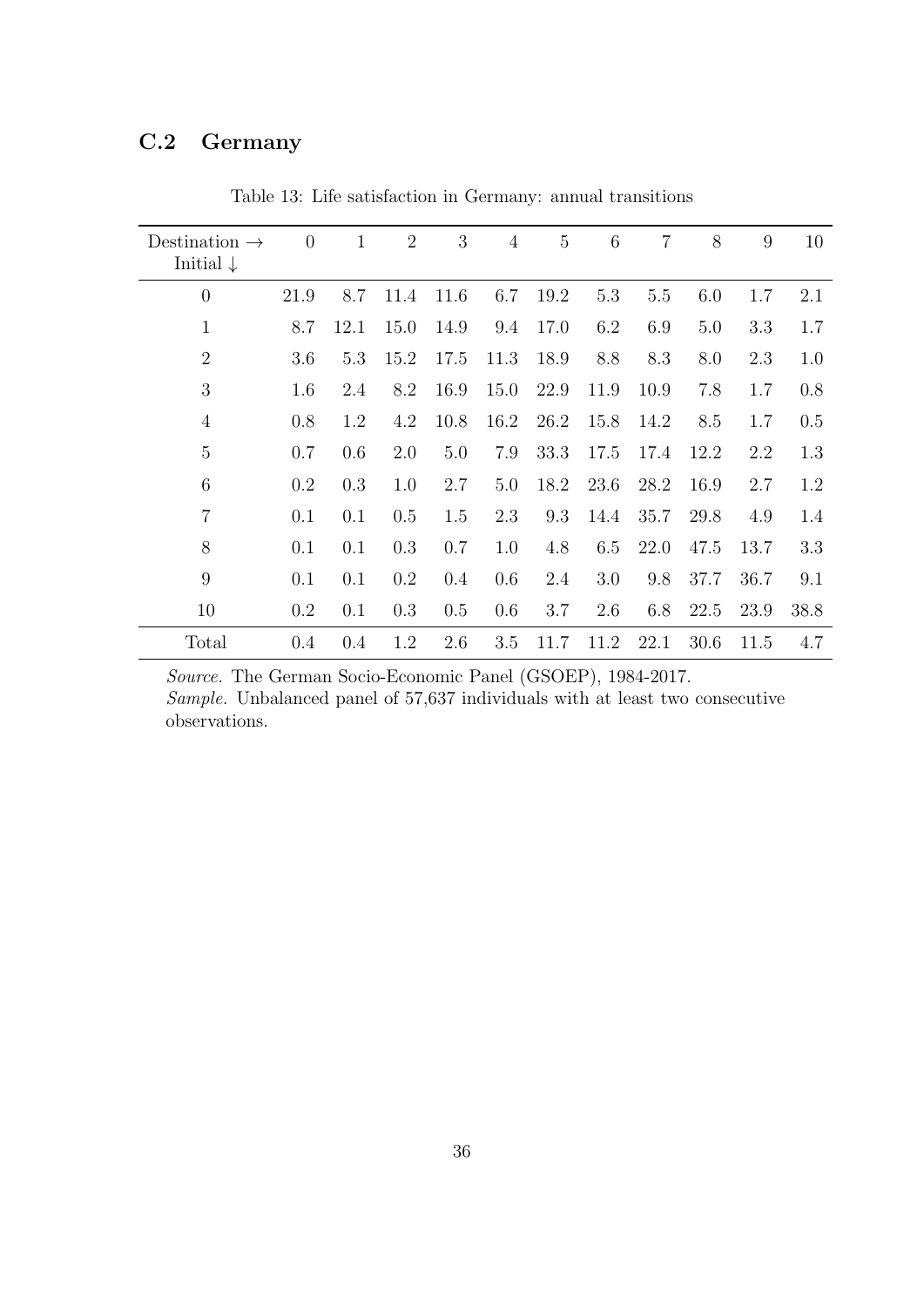#### <span id="page-37-0"></span>C.2 Germany

| Destination $\rightarrow$<br>Initial $\downarrow$ | $\overline{0}$ | $\mathbf{1}$ | $\overline{2}$ | 3    | $\overline{4}$ | $\overline{5}$ | 6    | $\overline{7}$ | 8    | 9    | 10   |
|---------------------------------------------------|----------------|--------------|----------------|------|----------------|----------------|------|----------------|------|------|------|
|                                                   |                |              |                |      |                |                |      |                |      |      |      |
| $\overline{0}$                                    | 21.9           | 8.7          | 11.4           | 11.6 | 6.7            | 19.2           | 5.3  | 5.5            | 6.0  | 1.7  | 2.1  |
| $\mathbf 1$                                       | 8.7            | 12.1         | 15.0           | 14.9 | 9.4            | 17.0           | 6.2  | 6.9            | 5.0  | 3.3  | 1.7  |
| $\overline{2}$                                    | 3.6            | 5.3          | 15.2           | 17.5 | 11.3           | 18.9           | 8.8  | 8.3            | 8.0  | 2.3  | 1.0  |
| 3                                                 | 1.6            | 2.4          | 8.2            | 16.9 | 15.0           | 22.9           | 11.9 | 10.9           | 7.8  | 1.7  | 0.8  |
| $\overline{4}$                                    | 0.8            | 1.2          | 4.2            | 10.8 | 16.2           | 26.2           | 15.8 | 14.2           | 8.5  | 1.7  | 0.5  |
| 5                                                 | 0.7            | 0.6          | 2.0            | 5.0  | 7.9            | 33.3           | 17.5 | 17.4           | 12.2 | 2.2  | 1.3  |
| 6                                                 | $0.2\,$        | 0.3          | 1.0            | 2.7  | 5.0            | 18.2           | 23.6 | 28.2           | 16.9 | 2.7  | 1.2  |
| $\overline{7}$                                    | 0.1            | 0.1          | 0.5            | 1.5  | 2.3            | 9.3            | 14.4 | 35.7           | 29.8 | 4.9  | 1.4  |
| 8                                                 | 0.1            | 0.1          | 0.3            | 0.7  | 1.0            | 4.8            | 6.5  | 22.0           | 47.5 | 13.7 | 3.3  |
| 9                                                 | 0.1            | 0.1          | 0.2            | 0.4  | 0.6            | 2.4            | 3.0  | 9.8            | 37.7 | 36.7 | 9.1  |
| 10                                                | $0.2\,$        | 0.1          | 0.3            | 0.5  | 0.6            | 3.7            | 2.6  | 6.8            | 22.5 | 23.9 | 38.8 |
| Total                                             | $0.4\,$        | 0.4          | 1.2            | 2.6  | 3.5            | 11.7           | 11.2 | 22.1           | 30.6 | 11.5 | 4.7  |

Table 13: Life satisfaction in Germany: annual transitions

Source. The German Socio-Economic Panel (GSOEP), 1984-2017. Sample. Unbalanced panel of 57,637 individuals with at least two consecutive observations.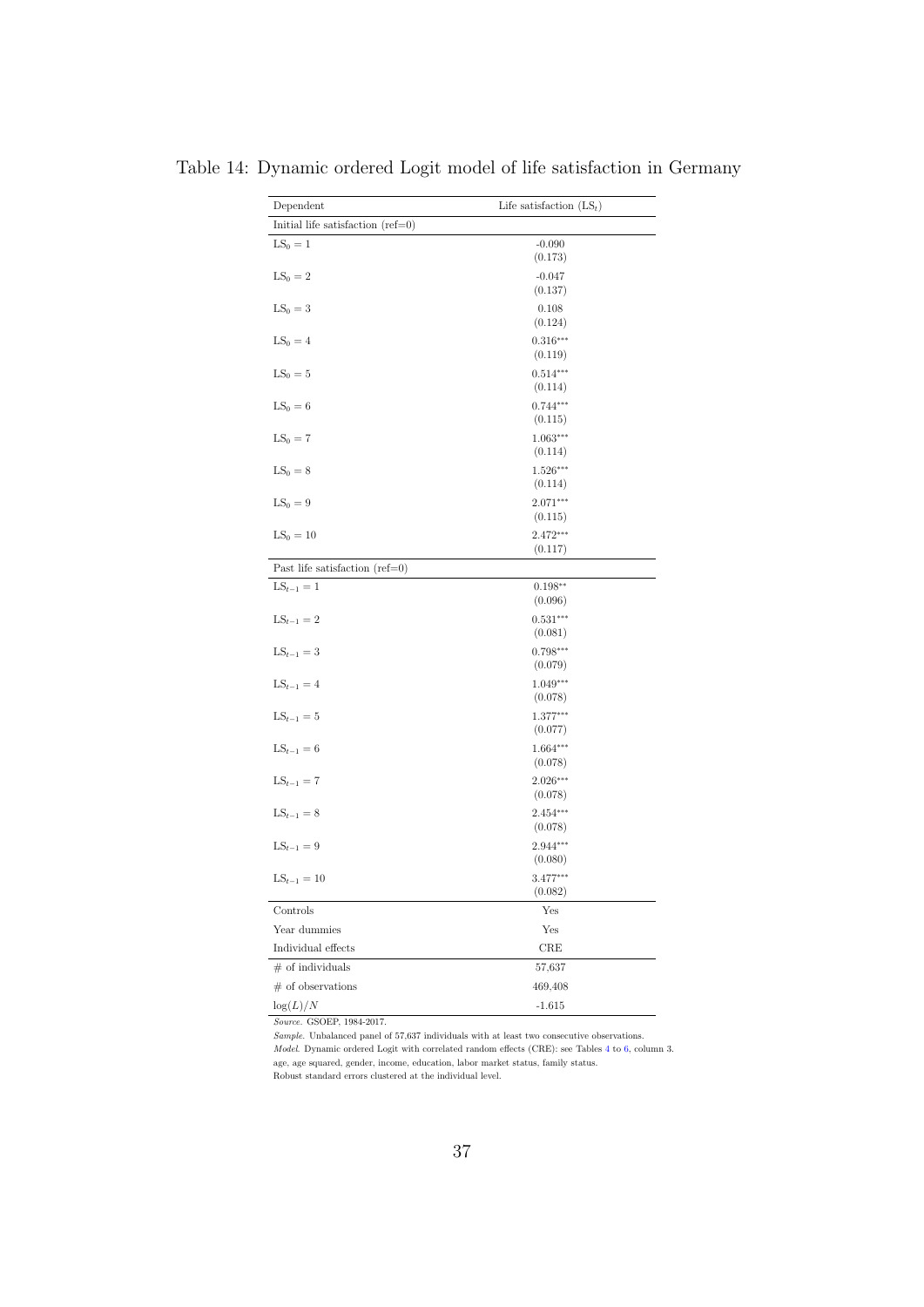| Dependent                           | Life satisfaction $(LS_t)$        |  |  |  |  |  |  |
|-------------------------------------|-----------------------------------|--|--|--|--|--|--|
| Initial life satisfaction $(ref=0)$ |                                   |  |  |  |  |  |  |
| $LS_0 = 1$                          | $-0.090$<br>(0.173)               |  |  |  |  |  |  |
| $LS_0 = 2$                          | $-0.047$<br>(0.137)               |  |  |  |  |  |  |
| $LS_0 = 3$                          | 0.108<br>(0.124)                  |  |  |  |  |  |  |
| $LS_0 = 4$                          | $0.316***$<br>(0.119)             |  |  |  |  |  |  |
| $LS_0 = 5$                          | $0.514***$                        |  |  |  |  |  |  |
| $LS_0 = 6$                          | (0.114)<br>$0.744***$<br>(0.115)  |  |  |  |  |  |  |
| $LS_0 = 7$                          | $1.063***$<br>(0.114)             |  |  |  |  |  |  |
| $LS_0 = 8$                          | $1.526***$<br>(0.114)             |  |  |  |  |  |  |
| $LS_0 = 9$                          | $2.071***$<br>(0.115)             |  |  |  |  |  |  |
| $LS_0 = 10$                         | $2.472***$<br>(0.117)             |  |  |  |  |  |  |
| Past life satisfaction $(ref=0)$    |                                   |  |  |  |  |  |  |
| $LS_{t-1} = 1$                      | $0.198**$<br>(0.096)              |  |  |  |  |  |  |
| $LS_{t-1} = 2$                      | $0.531^{\ast\ast\ast}$<br>(0.081) |  |  |  |  |  |  |
| $LS_{t-1} = 3$                      | $0.798***$<br>(0.079)             |  |  |  |  |  |  |
| $LS_{t-1} = 4$                      | 1.049***<br>(0.078)               |  |  |  |  |  |  |
| $LS_{t-1} = 5$                      | $1.377***$<br>(0.077)             |  |  |  |  |  |  |
| $LS_{t-1} = 6$                      | $1.664***$<br>(0.078)             |  |  |  |  |  |  |
| $LS_{t-1} = 7$                      | $2.026***$<br>(0.078)             |  |  |  |  |  |  |
| $LS_{t-1} = 8$                      | $2.454***$<br>(0.078)             |  |  |  |  |  |  |
| $LS_{t-1} = 9$                      | 2.944***<br>(0.080)               |  |  |  |  |  |  |
| $LS_{t-1} = 10$                     | 3.477***<br>(0.082)               |  |  |  |  |  |  |
| Controls                            | Yes                               |  |  |  |  |  |  |
| Year dummies                        | Yes                               |  |  |  |  |  |  |
| Individual effects                  | $_{\rm CRE}$                      |  |  |  |  |  |  |
| $\#$ of individuals                 | 57,637                            |  |  |  |  |  |  |
| $#$ of observations                 | 469,408                           |  |  |  |  |  |  |
| $\log(L)/N$                         | $-1.615$                          |  |  |  |  |  |  |

<span id="page-38-0"></span>Table 14: Dynamic ordered Logit model of life satisfaction in Germany

Source. GSOEP, 1984-2017.

Sample. Unbalanced panel of 57,637 individuals with at least two consecutive observations. Model. Dynamic ordered Logit with correlated random effects (CRE): see Tables [4](#page-28-0) to [6,](#page-30-0) column 3. age, age squared, gender, income, education, labor market status, family status. Robust standard errors clustered at the individual level.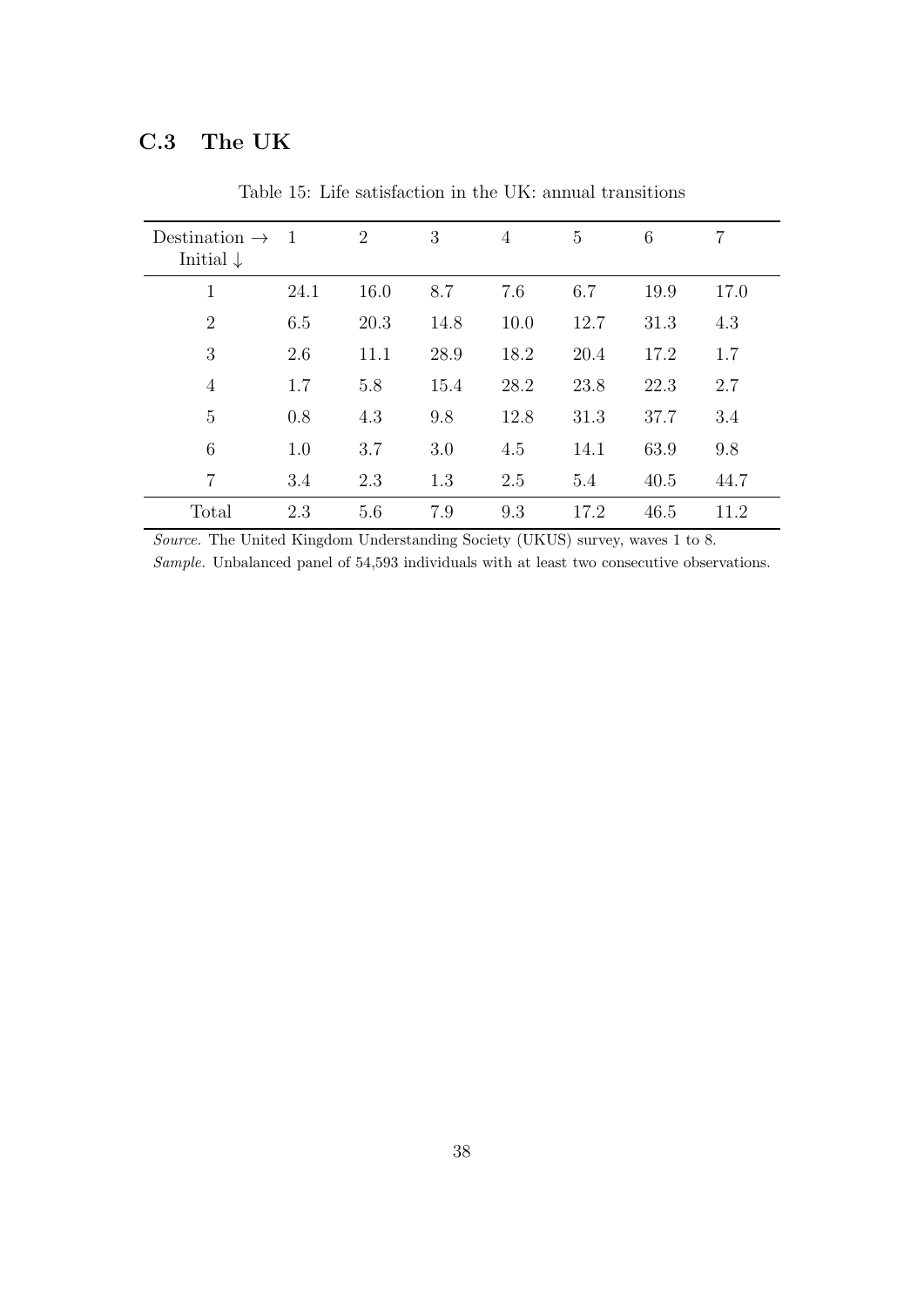#### <span id="page-39-0"></span>C.3 The UK

| Destination $\rightarrow$<br>Initial $\downarrow$ | $\overline{1}$ | $\overline{2}$ | 3    | 4    | $\overline{5}$ | 6    | 7    |
|---------------------------------------------------|----------------|----------------|------|------|----------------|------|------|
| 1                                                 | 24.1           | 16.0           | 8.7  | 7.6  | 6.7            | 19.9 | 17.0 |
| $\overline{2}$                                    | 6.5            | 20.3           | 14.8 | 10.0 | 12.7           | 31.3 | 4.3  |
| 3                                                 | 2.6            | 11.1           | 28.9 | 18.2 | 20.4           | 17.2 | 1.7  |
| $\overline{4}$                                    | 1.7            | 5.8            | 15.4 | 28.2 | 23.8           | 22.3 | 2.7  |
| $\overline{5}$                                    | 0.8            | 4.3            | 9.8  | 12.8 | 31.3           | 37.7 | 3.4  |
| 6                                                 | 1.0            | 3.7            | 3.0  | 4.5  | 14.1           | 63.9 | 9.8  |
| $\overline{7}$                                    | 3.4            | 2.3            | 1.3  | 2.5  | 5.4            | 40.5 | 44.7 |
| Total                                             | 2.3            | 5.6            | 7.9  | 9.3  | 17.2           | 46.5 | 11.2 |

Table 15: Life satisfaction in the UK: annual transitions

Source. The United Kingdom Understanding Society (UKUS) survey, waves 1 to 8.

Sample. Unbalanced panel of 54,593 individuals with at least two consecutive observations.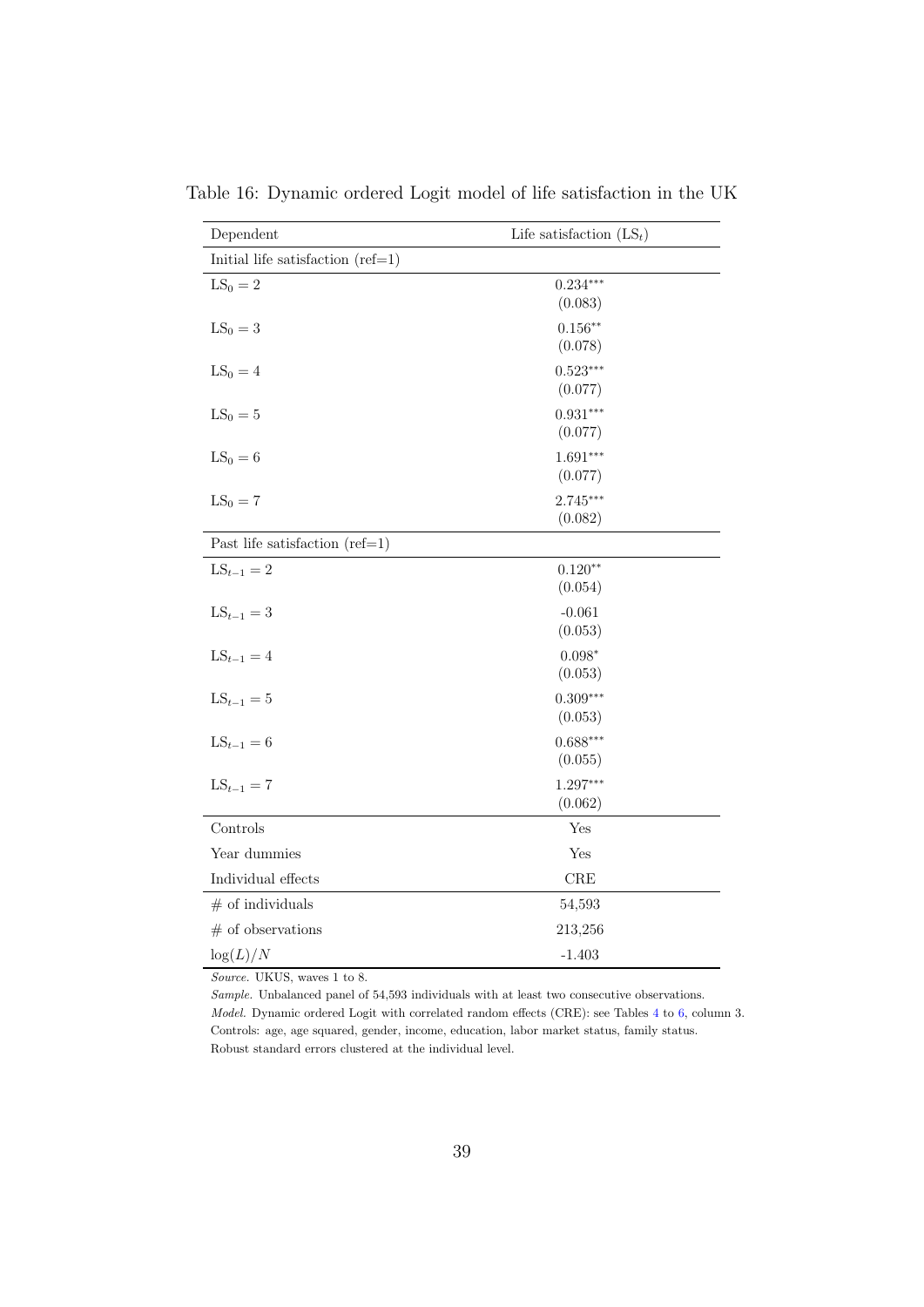| Dependent                           | Life satisfaction $(LS_t)$ |
|-------------------------------------|----------------------------|
| Initial life satisfaction $(ref=1)$ |                            |
| $LS_0 = 2$                          | $0.234***$<br>(0.083)      |
| $LS_0 = 3$                          | $0.156**$<br>(0.078)       |
| $LS_0 = 4$                          | $0.523***$<br>(0.077)      |
| $LS_0 = 5$                          | $0.931***$<br>(0.077)      |
| $LS_0 = 6$                          | $1.691***$<br>(0.077)      |
| $LS_0 = 7$                          | $2.745***$<br>(0.082)      |
| Past life satisfaction $(ref=1)$    |                            |
| $LS_{t-1} = 2$                      | $0.120**$<br>(0.054)       |
| $LS_{t-1} = 3$                      | $-0.061$<br>(0.053)        |
| $LS_{t-1} = 4$                      | $0.098*$<br>(0.053)        |
| $LS_{t-1} = 5$                      | $0.309***$<br>(0.053)      |
| $LS_{t-1} = 6$                      | $0.688***$<br>(0.055)      |
| $LS_{t-1} = 7$                      | $1.297***$<br>(0.062)      |
| Controls                            | Yes                        |
| Year dummies                        | Yes                        |
| Individual effects                  | $_{\rm CRE}$               |
| $#$ of individuals                  | 54,593                     |
| $#$ of observations                 | 213,256                    |
| $\log(L)/N$                         | $-1.403$                   |

<span id="page-40-0"></span>Table 16: Dynamic ordered Logit model of life satisfaction in the UK

Source. UKUS, waves 1 to 8.

Sample. Unbalanced panel of 54,593 individuals with at least two consecutive observations. Model. Dynamic ordered Logit with correlated random effects (CRE): see Tables [4](#page-28-0) to [6,](#page-30-0) column 3. Controls: age, age squared, gender, income, education, labor market status, family status. Robust standard errors clustered at the individual level.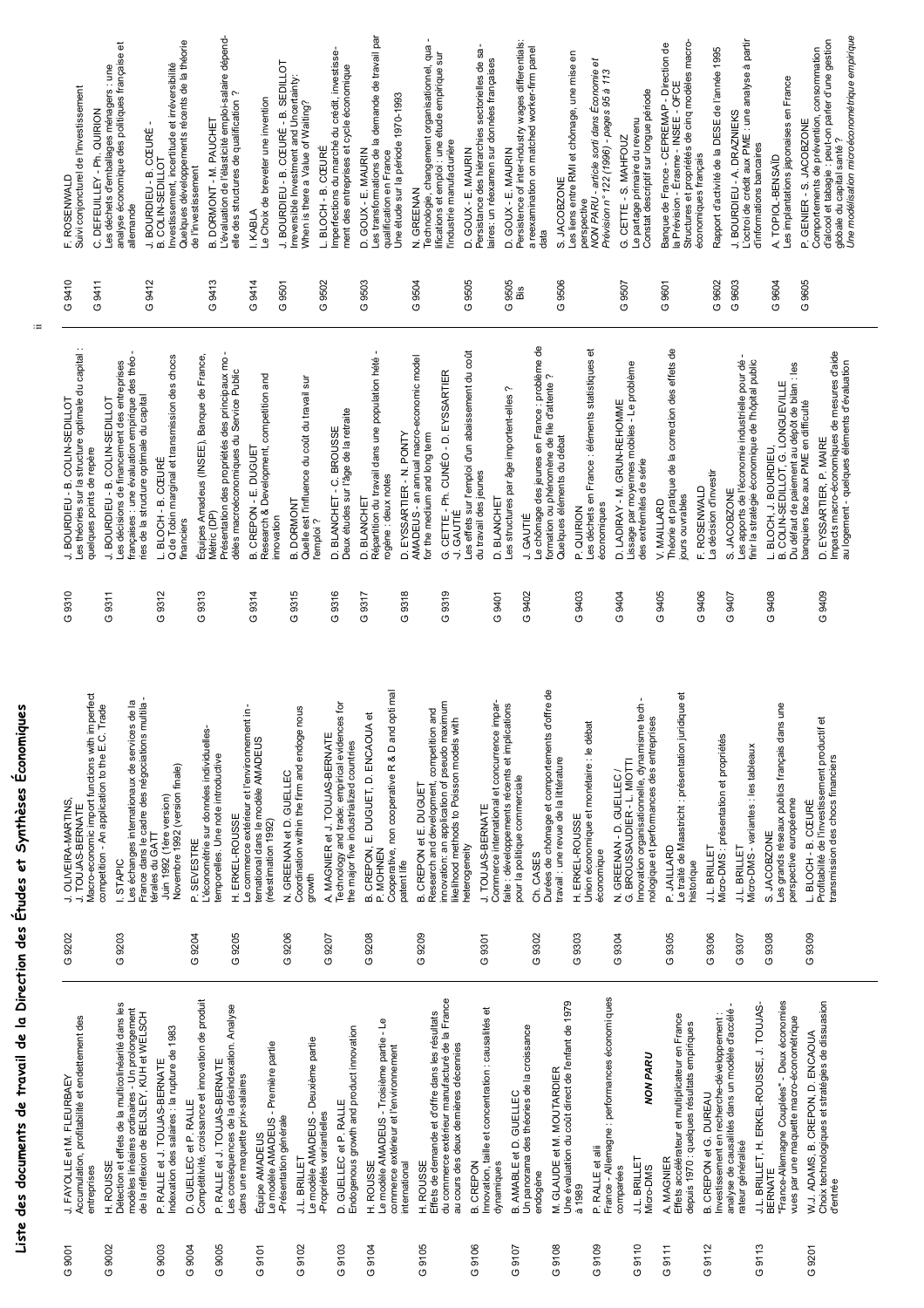# Liste des documents de travail de la Direction des Études et Synthèses Économiques **Liste des documents de travail de la Direction des Études et Synthèses Économiques**

 $\mathrel{\mathop:}=$ 

| Macro-economic import functions with imperfect<br>J. OLIVEIRA-MARTINS<br>. TOUJAS-BERNATE   | France dans le cadre des négociations multila-<br>es échanges internationaux de services de la<br>competition - An application to the E.C. Trade<br>STAPIC               | Novembre 1992 (version finale)<br>Juin 1992 (1ère version)<br>térales du GATT | L'économétrie sur données individuelles-<br>P. SEVESTRE                        | Le commerce extérieur et l'environnement in-<br>temporelles. Une note introductive<br>H. ERKEL-ROUSSE             | ternational dans le modèle AMADEUS<br>(réestimation 1992) | Coordination within the firm and endoge nous<br>N. GREENAN et D. GUELLEC<br>growth                         | Technology and trade: empirical evidences for<br>A. MAGNIER et J. TOUJAS-BERNATE<br>the major five industrialized countries | Cooperative, non cooperative R & D and opti mal<br>B. CREPON, E. DUGUET, D. ENCAOUA et<br>P. MOHNEN<br>patent life | innovation: an application of pseudo maximum<br>competition and<br>ikelihood methods to Poisson models with<br>B. CREPON et E. DUGUET<br>Research and development, | Commerce international et concurrence impar-<br>J. TOUJAS-BERNATE<br>heterogeneity | faite : développements récents et implications<br>pour la politique commerciale<br>Ch. CASES | Durées de chômage et comportements d'offre de<br>travail : une revue de la littérature      | Union économique et monétaire : le débat<br>H. ERKEL-ROUSSE<br>économique | $\blacksquare$<br>Innovation organisationnelle, dynamisme tech<br>nologique et performances des entreprises<br>G. BROUSSAUDIER - L. MIOTTI<br>N. GREENAN - D. GUELLEC / | Le traité de Maastricht : présentation juridique et<br>P. JAILLARD<br>historique                             | Micro-DMS : présentation et propriétés<br><b>J.L. BRILLET</b><br>J.L. BRILLET                                                                      | Les grands réseaux publics français dans une<br>Micro-DMS - variantes : les tableaux<br>perspective européenne<br>S. JACOBZONE                    | Profitabilité de l'investissement productif et<br>transmission des chocs financiers<br>L. BLOCH - B. CŒURÉ |
|---------------------------------------------------------------------------------------------|--------------------------------------------------------------------------------------------------------------------------------------------------------------------------|-------------------------------------------------------------------------------|--------------------------------------------------------------------------------|-------------------------------------------------------------------------------------------------------------------|-----------------------------------------------------------|------------------------------------------------------------------------------------------------------------|-----------------------------------------------------------------------------------------------------------------------------|--------------------------------------------------------------------------------------------------------------------|--------------------------------------------------------------------------------------------------------------------------------------------------------------------|------------------------------------------------------------------------------------|----------------------------------------------------------------------------------------------|---------------------------------------------------------------------------------------------|---------------------------------------------------------------------------|-------------------------------------------------------------------------------------------------------------------------------------------------------------------------|--------------------------------------------------------------------------------------------------------------|----------------------------------------------------------------------------------------------------------------------------------------------------|---------------------------------------------------------------------------------------------------------------------------------------------------|------------------------------------------------------------------------------------------------------------|
| G 9202                                                                                      | 9203<br>O                                                                                                                                                                |                                                                               | G 9204                                                                         | G 9205                                                                                                            |                                                           | G 9206                                                                                                     | G 9207                                                                                                                      | G 9208                                                                                                             | G 9209                                                                                                                                                             | 9301<br>$\sigma$                                                                   | 9302<br>$\sigma$                                                                             |                                                                                             | 9303<br>O                                                                 | 9304<br>$\overline{c}$                                                                                                                                                  | G 9305                                                                                                       | G 9306<br>9307<br>$\sigma$                                                                                                                         | G 9308                                                                                                                                            | G 9309                                                                                                     |
| Accumulation, profitabilité et endettement des<br>J. FAYOLLE et M. FLEURBAEY<br>entreprises | Détection et effets de la multicolinéarité dans les<br>modèles linéaires ordinaires - Un prolongement<br>de la réflexion de BELSLEY, KUH et WELSCH<br><b>ROUSSE</b><br>Ê | P. RALLE et J. TOUJAS-BERNATE<br>Indexation des salaires : la rupture de 1983 | Compétitivité, croissance et innovation de produit<br>GUELLEC et P. RALLE<br>۵ | Les conséquences de la désindexation. Analyse<br>P. RALLE et J. TOUJAS-BERNATE<br>dans une maquette prix-salaires | Le modèle AMADEUS - Première partie<br>Équipe AMADEUS     | Le modèle AMADEUS - Deuxième partie<br>-Propriétés variantielles<br>-Présentation générale<br>J.L. BRILLET | Endogenous growth and product innovation<br>GUELLEC et P. RALLE<br>Q                                                        | ەL<br>Le modèle AMADEUS - Troisième partie<br>commerce extérieur et l'environnement<br>H. ROUSSE<br>international  | Effets de demande et d'offre dans les résultats<br>du commerce extérieur manufacturé de la France<br>au cours des deux dernières décennies<br><b>ROUSSE</b><br>Ê   | Innovation, taille et concentration : causalités et<br>CREPON<br>dynamiques<br>മ്  | Un panorama des théories de la croissance<br>GUELLEC<br>AMABLE et D.<br>മ                    | M. GLAUDE et M. MOUTARDIER<br>Une évaluation du coût direct de l'enfant de 1979<br>endogène | RALLE et alii<br>à 1989<br>௳                                              | France - Allemagne : performances économi ques<br><b>NON PARU</b><br>J.L. BRILLET<br>Micro-DMS<br>comparées                                                             | Effets accélérateur et multiplicateur en France<br>depuis 1970 : quelques résultats empiriques<br>A. MAGNIER | analyse de causalités dans un modèle d'accélé<br>Investissement en recherche-développement :<br><b>B. CREPON et G. DUREAU</b><br>rateur généralisé | "France-Allemagne Couplées" - Deux économies<br>J.L. BRILLET, H. ERKEL-ROUSSE, J. TOUJAS-<br>vues par une maquette macro-économétrique<br>BERNATE | Choix technologiques et stratégies de dissuasion<br>W.J. ADAMS, B. CREPON, D. ENCAOUA<br>d'entrée          |
| 9001<br>O                                                                                   | 9002<br>O                                                                                                                                                                | 9003<br>$\circ$                                                               | 9004<br>O                                                                      | 9005<br>O                                                                                                         | 9101<br>O                                                 | 9102<br>O                                                                                                  | 9103<br>O                                                                                                                   | 9104<br>O                                                                                                          | 9105<br>O                                                                                                                                                          | 9106<br>O                                                                          | 9107<br>O                                                                                    | 9108<br>O                                                                                   | 9109<br>O                                                                 | 9110<br>O                                                                                                                                                               | 9111<br>O                                                                                                    | 9112<br>O                                                                                                                                          | 9113<br>O                                                                                                                                         | 9201<br>O                                                                                                  |

| 9310                     | Les théories sur la structure optimale du capital :<br>françaises : une évaluation empirique des théo<br>ries de la structure optimale du capital<br>Les décisions de financement des entreprises<br>COLIN-SEDILLOT<br>J. BOURDIEU - B. COLIN-SEDILLOT<br>quelques points de repère<br>J. BOURDIEU - B. | G 9410<br>G9412<br>G 9411 | F. ROSE<br>Suivi con<br>DEFE<br>Les déch<br>analyse é<br>allemand<br><b>BOUR</b><br>ن   |
|--------------------------|---------------------------------------------------------------------------------------------------------------------------------------------------------------------------------------------------------------------------------------------------------------------------------------------------------|---------------------------|-----------------------------------------------------------------------------------------|
|                          | $\mathbf{r}$<br>Équipes Amadeus (INSEE), Banque de France,<br>L. BLOCH - B. CŒURÉ<br>Q de Tobin marginal et transmission des chocs<br>Présentation des propriétés des principaux mo<br>dèles macroéconomiques du Service Public<br>Métric (DP)<br>financiers                                            | G9413                     | B. COLIN<br>Investiss<br>Quelques<br>de l'inves<br>DORN<br>L'évaluat<br>elle des s<br>ø |
| മ                        | Research & Development, competition and<br>CREPON-E. DUGUET<br>innovation                                                                                                                                                                                                                               | G 9414<br>G9501           | I. KABLA<br>Le Choix<br>J. BOUR                                                         |
| ø                        | Quelle est l'influence du coût du travail sur<br>Deux études sur l'âge de la retraite<br>D. BLANCHET - C. BROUSSE<br><b>DORMONT</b><br>l'emploi?                                                                                                                                                        | G 9502                    | Irreversit<br>When is t<br><b>L.BLOCH</b><br>Imperfect<br>ment des                      |
| ۵                        | Répartition du travail dans une population hété<br>rogène : deux notes<br>BLANCHET                                                                                                                                                                                                                      | G 9503                    | COUX<br>Les trans<br>qualificat<br>Une étud<br>۵                                        |
| ÷.<br>Q<br>Ġ             | AMADEUS - an annual macro-economic model<br>CETTE - Ph. CUNÉO - D. EYSSARTIER<br>GAUTIÉ<br>for the medium and long term<br>EYSSARTIER - N. PONTY                                                                                                                                                        | G 9504                    | GREE<br>Technolo<br>lifications<br>l'industrie<br>ż                                     |
| $\overrightarrow{a}$     | Les effets sur l'emploi d'un abaissement du coût<br>ç.<br>du travail des jeunes<br><b>BLANCHET</b>                                                                                                                                                                                                      | G9505                     | COUX<br>Persistan<br>laires: un<br>D. GOUX<br>$\dot{\mathbf{C}}$                        |
| $\overline{\phantom{a}}$ | e chômage des jeunes en France : problème de<br>$\sim$<br>formation ou phénomène de file d'attente<br>Les structures par âge importent-elles<br>Quelques éléments du débat<br>GAUTIÉ                                                                                                                    | G9505<br>G9506<br>Bis     | Persisten<br>а геехат<br><b>DOWL</b><br>data<br>ωi                                      |
| Δ.                       | Les déchets en France : éléments statistiques et<br>économiques<br>QUIRION                                                                                                                                                                                                                              |                           | Les liens<br>perspecti<br>NON PAI<br>Prévision                                          |
|                          | Lissage par moyennes mobiles - Le problème<br>D. LADIRAY - M. GRUN-REHOMME<br>des extrémités de série                                                                                                                                                                                                   | G9507                     | 대리<br>Le partag<br>Constat d<br>Ġ                                                       |
| $\mathbf{r}$<br>π,       | Théorie et pratique de la correction des effets de<br><b>ROSENWALD</b><br>jours ouvrables<br><b>MAILLARD</b>                                                                                                                                                                                            | G 9601                    | Banque c<br>la Prévisi<br>Structure<br>économic                                         |
|                          | La décision d'investir<br>JACOBZONE                                                                                                                                                                                                                                                                     | G.9602<br>9603<br>O       | Rapport<br>J. BOUR                                                                      |
|                          | finir la stratégie économique de l'hôpital public<br>Les apports de l'économie industrielle pour dé<br>L. BLOCH, J. BOURDIEU                                                                                                                                                                            |                           | L'octroid<br>d'informa                                                                  |
|                          | B. COLIN-SEDILLOT, G. LONGUEVILLE<br>Du défaut de paiement au dépôt de bilan : les<br>banquiers face aux PME en difficulté                                                                                                                                                                              | G9605<br>G 9604           | A. TOPIC<br>Les impla<br>P. GENIE                                                       |
|                          | Impacts macro-économiques de mesures d'aide<br>au logement - quelques éléments d'évaluation<br>D. EYSSARTIER, P. MAIRE                                                                                                                                                                                  |                           | Comporte<br>d'alcool e<br>globale d<br>Une mod                                          |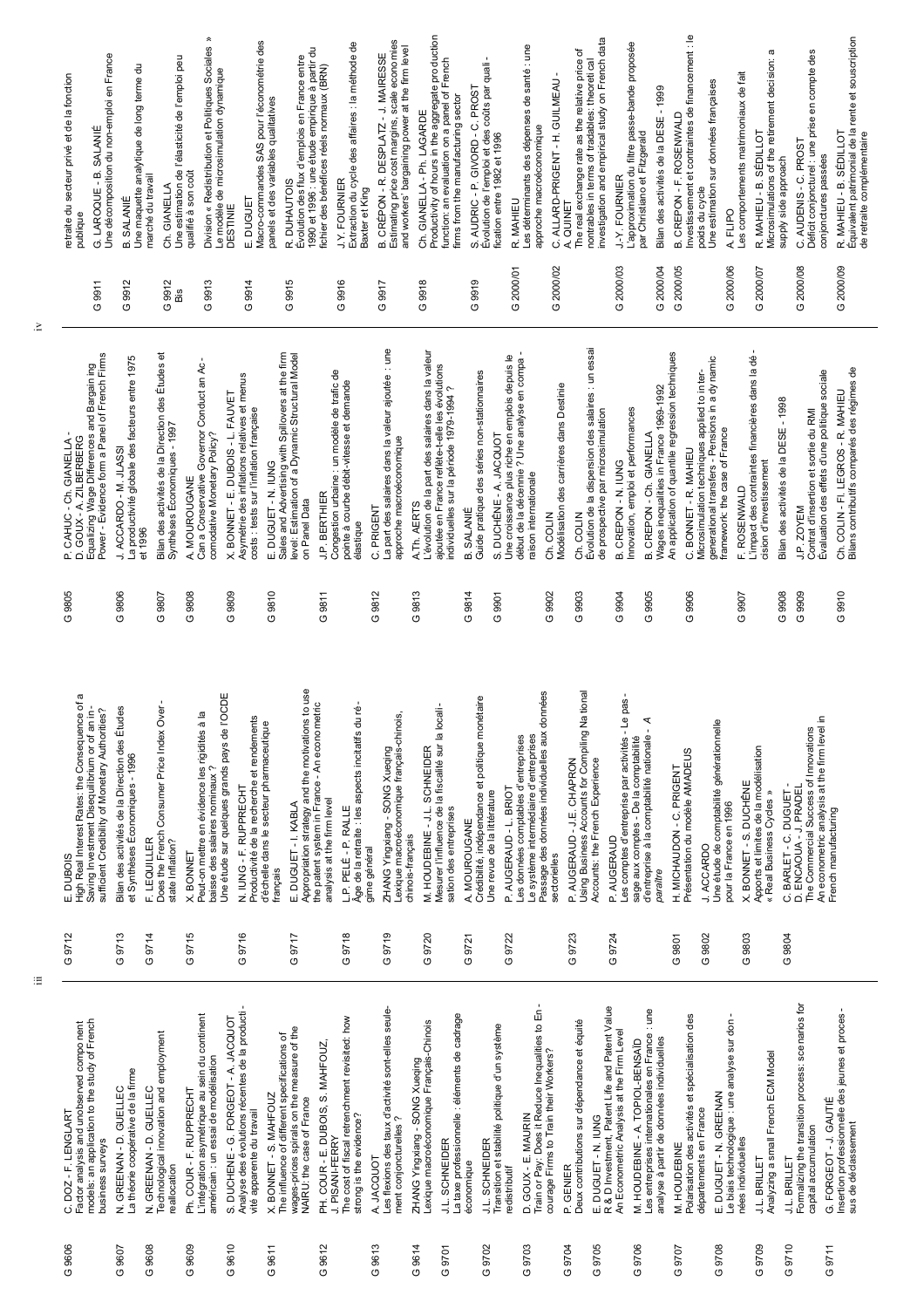| retraite du secteur privé et de la fonction<br><b>SALANIÉ</b><br>G. LAROQUE-B.<br>publique                                                                                           | Une décomposition du non-emploi en France<br>Une maquette analytique de long terme du<br>marché du travail<br>SALANIE<br>മ | Une estimation de l'élasticité de l'emploi peu<br>qualifié à son coût<br>Ch. GIANELLA                                                           | $\hat{\vphantom{p}}$<br>Division « Redistribution et Politiques Sociales<br>Le modèle de microsimulation dynamique<br>E. DUGUET<br>DESTINIE                                                                                             | Macro-commandes SAS pour l'économétrie des<br>ਰੋ<br>panels et des variables qualitatives<br>R. DUHAUTOIS                                          | Extraction du cycle des affaires : la méthode de<br>Évolution des flux d'emplois en France entre<br>1990 et 1996 : une étude empirique à partir d<br>fichier des bénéfices réels normaux (BRN)<br>J.Y. FOURNIER<br>Baxter et King | Estimating price cost margins, scale econo mies<br>and workers' bargaining power at the firm level<br>B. CRÉPON - R. DESPLATZ - J. MAIRESSE | Productivity of hours in the aggregate pro duction<br>function: an evaluation on a panel of French<br>firms from the manufacturing sector<br>Ch. GIANELLA - Ph. LAGARDE | Évolution de l'emploi et des coûts par quali-<br>S. AUDRIC - P. GIVORD - C. PROST<br>fication entre 1982 et 1996                              | Les déterminants des dépenses de santé : une<br>approche macroéconomique<br>R. MAHIEU                                                           | The real exchange rate as the relative price of<br>C. ALLARD-PRIGENT - H. GUILMEAU<br>A. QUINET | investigation and empirical study on French data<br>nontrables in terms of tradables: theoretical<br>J.-Y. FOURNIER | L'approximation du filtre passe-bande proposée<br>Bilan des activités de la DESE - 1999<br>par Christiano et Fitzgerald          | nvestissement et contraintes de financement : le<br>Une estimation sur données françaises<br>B. CREPON - F. ROSENWALD<br>poids du cycle                                       | Les comportements matrimoniaux de fait<br>A. FLIPO                                             | a<br>Microsimulations of the retirement decision:<br>R. MAHIEU - B. SÉDILLOT             | Déficit conjoncturel : une prise en compte des<br>C. AUDENIS - C. PROST<br>supply side approach                                                         | Équivalent patrimonial de la rente et souscription<br>de retraite complémentaire<br>R. MAHIEU - B. SÉDILLOT<br>conjonctures passées |
|--------------------------------------------------------------------------------------------------------------------------------------------------------------------------------------|----------------------------------------------------------------------------------------------------------------------------|-------------------------------------------------------------------------------------------------------------------------------------------------|-----------------------------------------------------------------------------------------------------------------------------------------------------------------------------------------------------------------------------------------|---------------------------------------------------------------------------------------------------------------------------------------------------|-----------------------------------------------------------------------------------------------------------------------------------------------------------------------------------------------------------------------------------|---------------------------------------------------------------------------------------------------------------------------------------------|-------------------------------------------------------------------------------------------------------------------------------------------------------------------------|-----------------------------------------------------------------------------------------------------------------------------------------------|-------------------------------------------------------------------------------------------------------------------------------------------------|-------------------------------------------------------------------------------------------------|---------------------------------------------------------------------------------------------------------------------|----------------------------------------------------------------------------------------------------------------------------------|-------------------------------------------------------------------------------------------------------------------------------------------------------------------------------|------------------------------------------------------------------------------------------------|------------------------------------------------------------------------------------------|---------------------------------------------------------------------------------------------------------------------------------------------------------|-------------------------------------------------------------------------------------------------------------------------------------|
| G 9911                                                                                                                                                                               | 9912<br>O                                                                                                                  | 9912<br>Bis<br>O                                                                                                                                | 9913<br>9914<br>G<br>O                                                                                                                                                                                                                  | 9915<br>O                                                                                                                                         | 9916<br>O                                                                                                                                                                                                                         | 9917<br>O                                                                                                                                   | 9918<br>O                                                                                                                                                               | 9919<br>O                                                                                                                                     | 2000/01<br>O                                                                                                                                    | 2000/02<br>O                                                                                    | G 2000/03                                                                                                           | 2000/04<br>O                                                                                                                     | G 2000/05                                                                                                                                                                     | G 2000/06                                                                                      | 2000/07<br>O                                                                             | G 2000/08                                                                                                                                               | G 2000/09                                                                                                                           |
| Equalizing Wage Differences and Bargain ing<br>Power - Evidence form a Panel of French Firms<br>Equalizing Wage Differences<br>GOUX - A. ZILBERBERG<br>GIANELLA<br>CAHUC-Ch.<br>உ் ம | La productivité globale des facteurs entre 1975<br>J. ACCARDO - M. JLASSI<br>et 1996                                       | Bilan des activités de la Direction des Études et<br>Can a Conservative Governor Conduct an Ac<br>Synthèses Économiques - 1997<br>A. MOUROUGANE | Asymétrie des inflations relatives et menus<br>X. BONNET - E. DUBOIS - L. FAUVET<br>costs : tests sur l'inflation française<br>comodative Monetary Policy?                                                                              | E. DUGUET - N. IUNG<br>Sales and Advertising with Spillovers at the firm<br>level: Estimation of a Dynamic Structural Model<br>on Panel Data      | Congestion urbaine : un modèle de trafic de<br>pointe à courbe débit-vitesse et demande<br><b>J.P. BERTHIER</b><br>élastique                                                                                                      | La part des salaires dans la valeur ajoutée : une<br>approche macroéconomique<br>C. PRIGENT                                                 | L'évolution de la part des salaires dans la valeur<br>ajoutée en France reflète-t-elle les évolutions<br>individuelles sur la période 1979-1994 ?<br>A.Th. AERTS        | Une croissance plus riche en emplois depuis le<br>Guide pratique des séries non-stationnaires<br>S. DUCHÊNE - A. JACQUOT<br><b>B. SALANIE</b> | début de la décennie ? Une analyse en compa<br>aison internationale<br>Ch. COLIN                                                                | Modélisation des carrières dans Destinie<br>Ch. COLIN                                           | Évolution de la dispersion des salaires : un essai<br>de prospective par microsimulation<br>B. CREPON-N. IUNG       | Wages inequalities in France 1969-1992<br>Innovation, emploi et performances<br>B. CREPON - Ch. GIANELLA                         | An application of quantile regression techniques<br>Microsimulation techniques applied to in ter-<br>generational transfers - Pensions in a dy namic<br>C. BONNET - R. MAHIEU | framework: the case of France<br>F. ROSENWALD                                                  | L'impact des contraintes financières dans la dé<br>cision d'investissement               | Évaluation des effets d'une politique sociale<br>Bilan des activités de la DESE - 1998<br>Contrat d'insertion et sortie du RMI<br>J.P. ZOYEM            | Bilans contributifs comparés des régimes de<br>Ch. COLIN - FI. LEGROS - R. MAHIEU                                                   |
| 9805<br>O                                                                                                                                                                            | G 9806                                                                                                                     | 9808<br>G 9807<br>O                                                                                                                             | 9809<br>O                                                                                                                                                                                                                               | 9810<br>O                                                                                                                                         | 9811<br>O                                                                                                                                                                                                                         | 9812<br>O                                                                                                                                   | 9813<br>O                                                                                                                                                               | 9814<br>G 9901<br>O                                                                                                                           | 9902<br>O                                                                                                                                       | 9903<br>O                                                                                       | G 9904                                                                                                              | 9905<br>O                                                                                                                        | 9906<br>G                                                                                                                                                                     | G 9907                                                                                         |                                                                                          | G 9908<br>G 9909                                                                                                                                        | $G$ 9910                                                                                                                            |
| ω<br>High Real Interest Rates: the Consequence of<br>Saving Investment Disequilibrium or of an in-<br>sufficient Credibility of Monetary Authorities?<br><b>DUBOIS</b><br>шi         | Bilan des activités de la Direction des Études<br>et Synthèses Économiques - 1996<br>F. LEQUILLER                          | Does the French Consumer Price Index Over-<br>∙σ<br>state Inflation?<br>X. BONNET                                                               | <b>OCDE</b><br>$\overline{\omega}$<br>5<br>Une étude sur quelques grands pays de l'<br>Productivité de la recherche et rendement<br>Peut-on mettre en évidence les rigidités<br>baisse des salaires nominaux?<br>N. IUNG - F. RUPPRECHT | to use<br>d'échelle dans le secteur pharmaceutique<br>E. DUGUET - I. KABLA<br>français                                                            | etric<br>Âge de la retraite : les aspects incitatifs du ré<br>Appropriation strategy and the motivations<br>the patent system in France - An econome<br>analysis at the firm level<br>L.P. PELÉ - P. RALLE                        | .ഇ^<br>ZHANG Yingxiang - SONG Xueqing<br>Lexique macroéconomique français-chino<br>gime général                                             | Mesurer l'influence de la fiscalité sur la locali-<br>M. HOUDEBINE - J.L. SCHNEIDER<br>sation des entreprises<br>chinois-français                                       | hétaire<br>Crédibilité, indépendance et politique mor<br>P. AUGERAUD - L. BRIOT<br>Une revue de la littérature<br>A. MOUROUGANE               | Passage des données individuelles aux données<br>Le système intermédiaire d'entreprises<br>Les données comptables d'entreprises<br>sectorielles | ationa<br>Using Business Accounts for Compiling N<br>AUGERAUD - J.E. CHAPRON<br>ρ               | Les comptes d'entreprise par activités - Le pas-<br>Accounts: the French Experience<br>P. AUGERAUD                  | ⋖<br>d'entreprise à la comptabilité nationale<br>sage aux comptes - De la comptabilité<br>paraître                               | Présentation du modèle AMADEUS<br>H. MICHAUDON - C. PRIGENT<br>J. ACCARDO                                                                                                     | Une étude de comptabilité générationnelle<br>X. BONNET - S. DUCHÊNE<br>pour la France en 1996  | Apports et limites de la modélisation<br>Real Business Cycles »<br>$\breve{\phantom{a}}$ | $\mathbf{C}$<br>An econometric analysis at the firm level<br>D. ENCAOUA - J. PRADEL<br>The Commercial Success of Innovations<br>BARLET - C. DUGUET<br>ن | French manufacturing                                                                                                                |
| G 9712                                                                                                                                                                               | G 9713<br>G 9714                                                                                                           | G 9715                                                                                                                                          | G 9716                                                                                                                                                                                                                                  | G 9717                                                                                                                                            | G 9718                                                                                                                                                                                                                            | G 9719                                                                                                                                      | G 9720                                                                                                                                                                  | G 9722<br>G.9721                                                                                                                              |                                                                                                                                                 | G 9723                                                                                          | G 9724                                                                                                              |                                                                                                                                  | G 9802<br>G 9801                                                                                                                                                              | G 9803                                                                                         |                                                                                          | G 9804                                                                                                                                                  |                                                                                                                                     |
| Factor analysis and unobserved compo nent<br>models: an application to the study of French<br>DOZ - F. LENGLART<br>business surveys<br>Ö                                             | La théorie coopérative de la firme<br>GUELLEC<br>N. GREENAN - D. GUELLEC<br>N. GREENAN-D.                                  | Technological innovation and employment<br>Ph. COUR - F. RUPPRECHT<br>reallocation                                                              | Analyse des évolutions récentes de la producti-<br>L'intégration asymétrique au sein du continent<br>américain : un essai de modélisation<br>S. DUCHENE - G. FORGEOT - A. JACQUOT<br>vité apparente du travail                          | wages-prices spirals on the measure of the<br>The influence of different specifications of<br>X. BONNET - S. MAHFOUZ<br>NAIRU: the case of France | The cost of fiscal retrenchment revisited: how<br>PH. COUR - E. DUBOIS, S. MAHFOUZ<br>strong is the evidence?<br>J. PISANI-FERRY                                                                                                  | Les flexions des taux d'activité sont-elles seule-<br>ment conjoncturelles?<br>A. JACQUOT                                                   | La taxe professionnelle : éléments de cadrage<br>ZHANG Yingxiang - SONG Xueqing<br>Lexique macroéconomique Français-Chinois<br><b>SCHNEIDER</b><br>$\frac{1}{2}$        | Transition et stabilité politique d'un système<br>J.L. SCHNEIDER<br>economique<br>redistributif                                               | Train or Pay: Does it Reduce Inequalities to En-<br>courage Firms to Train their Workers?<br>D. GOUX - E. MAURIN                                | Deux contributions sur dépendance et équité<br>P. GENIER                                        | E. DUGUET - N. IUNG<br>R & D Investment, Patent Life and Patent Value<br>An Econometric Analysis at the Firm Level  | M. HOUDEBINE - A. TOPIOL-BENSAÏD<br>Les entreprises internationales en France : une<br>analyse à partir de données individuelles | Polarisation des activités et spécialisation des<br>départements en France<br>M. HOUDEBINE                                                                                    | Le biais technologique : une analyse sur don -<br>E. DUGUET - N. GREENAN<br>nées individuelles | Analyzing a small French ECM Model<br>J.L. BRILLET                                       | Formalizing the transition process: scenarios for<br>capital accumulation<br>J.L. BRILLET                                                               | Insertion professionnelle des jeunes et proces -<br>sus de déclassement<br>G. FORGEOT - J. GAUTIÉ                                   |
| G 9606                                                                                                                                                                               | G 9608<br>G 9607                                                                                                           | G 9609                                                                                                                                          | $G$ 9610                                                                                                                                                                                                                                | G 9611                                                                                                                                            | 9612<br>O                                                                                                                                                                                                                         | G 9613                                                                                                                                      | G 9614<br>G 9701                                                                                                                                                        | G 9702                                                                                                                                        | G 9703                                                                                                                                          | G 9704                                                                                          | G 9705                                                                                                              | G 9706                                                                                                                           | G 9707                                                                                                                                                                        | G 9708                                                                                         | G 9709                                                                                   | G 9710                                                                                                                                                  | G 9711                                                                                                                              |

iv

iii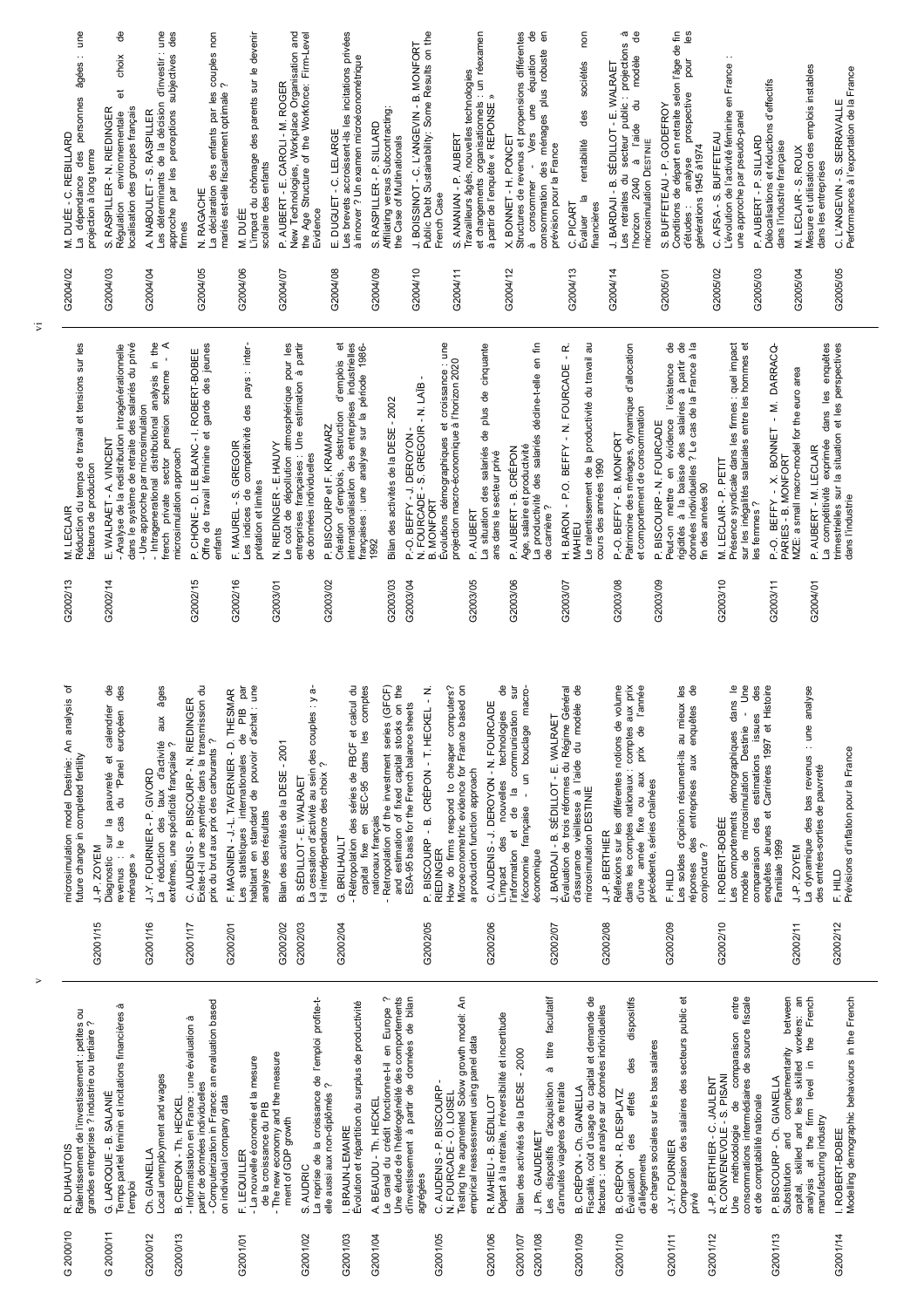G2001/15 32001/16 32001/17 G2002/02 G2002/05 G2002/06 G2002/08 G2002/09 G2002/10 G2002/11 G2002/12 32002/01 G2002/03 G2002/04 G2002/07 workers: an<br>the French Le canal du crédit fonctionne-t-il en Europe ? Une étude de l'hétérogénéité des comportements<br>d'investissement à partir de données de bilan N. FOURCADE - O. LOISEL<br>Testing the augmented Solow growth model: An es dispositifs d'acquisition à titre facultatif -e canal du crédit fonctionne-t-il en Europe ? Les dispositifs d'acquisition à titre facultatif Fiscalité, coût d'usage du capital et demande de dispositifs Comparaison des salaires des secteurs public et Comparaison des salaires des secteurs public et entre complementarity between Modelling demographic behaviours in the French a reprise de la croissance de l'emploi profite-t-La reprise de la croissance de l'emploi profite-t-Une étude de l'hétérogénéité des comportements d'investissement à partir de données de bilan Testing the augmented Solow growth model: An Fiscalité, coût d'usage du capital et demande de Évaluation des effets des dispositifs Une méthodologie de comparaison entre consommations intermédiaires de source fiscale consommations intermédiaires de source fiscale Substitution and complementarity between capital, skilled and less skilled workers: an analysis at the firm level in the French Modelling demographic behaviours in the French - Computerization in France: an evaluation based Temps partiel féminin et incitations financières à Computerization in France: an evaluation based Évolution et répartition du surplus de productivité Évolution et répartition du surplus de productivité acteurs : une analyse sur données individuelles Ralentissement de l'investissement : petites ou emps partiel féminin et incitations financières à facteurs : une analyse sur données individuelles Ralentissement de l'investissement : petites ou Départ à la retraite, irréversibilité et incertitude Informatisation en France : une évaluation à - Informatisation en France : une évaluation à Départ à la retraite, irréversibilité et incertitude prandes entreprises ? industrie ou tertiaire ? grandes entreprises ? industrie ou tertiaire ? de comparaison empirical reassessment using panel data empirical reassessment using panel data de charges sociales sur les bas salaires de charges sociales sur les bas salaires 3ilan des activités de la DESE - 2000 G2001/07 Bilan des activités de la DESE - 2000 The new economy and the measure La nouvelle économie et la mesure<br>de la croissance du PIB - The new economy and the measure des capital, skilled and less skilled<br>analysis at the firm level in - La nouvelle économie et la mesure CONVENEVOLE - S. PISANI -ocal unemployment and wages P. BISCOURP - Ch. GIANELLA Local unemployment and wages J-P. BERTHIER - C. JAULENT R. CONVENEVOLE - S. PISANI G2001/12 J.-P. BERTHIER - C. JAULENT G2001/13 P. BISCOURP - Ch. GIANELLA C. AUDENIS - P. BISCOURP -G2001/05 C. AUDENIS - P. BISCOURP partir de données individuelles partir de données individuelles elle aussi aux non-diplômés ? d'annuités viagères de retraite elle aussi aux non-diplômés ? d'annuités viagères de retraite B. CRÉPON - Ch. GIANELLA G2001/09 B. CRÉPON - Ch. GIANELLA G. LAROQUE - B. SALANIÉ CRÉPON - R. DESPLATZ des effets G2001/10 B. CRÉPON - R. DESPLATZ G 2000/11 G. LAROQUE - B. SALANIÉ N. FOURCADE - O. LOISEL on individual company data et de comptabilité nationale B. CREPON - Th. HECKEL G2000/13 B. CREPON - Th. HECKEL on individual company data R. MAHIEU - B. SÉDILLOT G2001/06 R. MAHIEU - B. SÉDILLOT et de comptabilité nationale A. BEAUDU - Th. HECKEL G2001/04 A. BEAUDU - Th. HECKEL de la croissance du PIB manufacturing industry Jne méthodologie manufacturing industry ment of GDP growth ment of GDP growth BRAUN-LEMAIRE G2001/03 I. BRAUN-LEMAIRE . ROBERT-BOBEE J. Ph. GAUDEMET Substitution and G2001/14 I. ROBERT-BOBEE G2001/08 J. Ph. GAUDEMET J.-Y. FOURNIER G2001/11 J.-Y. FOURNIER R. DUHAUTOIS G 2000/10 R. DUHAUTOIS Ch. GIANELLA G2000/12 Ch. GIANELLA F. LEQUILLER G2001/01 F. LEQUILLER d'allégements d'allégements S AUDRIC G2001/02 S. AUDRIC Evaluation agrégées l'emploi privé  $\mathbf{r}$  $\vec{r}$ G 2000/10 G 2000/11 32001/14 32000/12 32000/13 G2001/02 32001/03 32001/04 32001/05 32001/06 G2001/07 32001/08 32001/09 32001/10  $32001/11$ 32001/12 32001/13 32001/01

v

vi

 $\overline{\sigma}$ des<br>des F. MAGNIEN - J -L. TAVERNIER - D. THESMAR<br>Les statistiques internationales de PIB par<br>habitant en standard de pouvoir d'achat : une<br>analyse des résultats Rétropolation des séries de FBCF et calcul du<br>capital fixe en SEC-95 dans les comptes RIEDINGER<br>How do fimns respond to cheaper computers?<br>Microeconometric evidence for France based on  $\overset{\bullet}{\texttt{e}}$  $\frac{\theta}{\sigma}$ comptes aux prix<br>prix de l'année Les soldes d'opinion résument-ils au mieux les<br>réponses des entreprises aux enquêtes de  $\overline{\mathbb{Q}}$ <u>u</u>e des Existe-t-il une asymétrie dans la transmission du La cessation d'activité au sein des couples : y a-Retropolation of the investment series (GFCF) and estimation of fixed capital stocks on the économie française - un bouclage macro-Réflexions sur les différentes notions de volume enquêtes Jeunes et Carrières 1997 et Histoire microsimulation model Destinie: An analysis of Diagnostic sur la pauvreté et calendrier de aux âges Existe-t-il une asymétrie dans la transmission du Les statistiques internationales de PIB par habitant en standard de pouvoir d'achat : une La cessation d'activité au sein des couples : y a-- Rétropolation des séries de FBCF et calcul du capital fixe en SEC-95 dans les comptes - Retropolation of the investment series (GFCF)<br> $\frac{1}{2}$ and estimation of fixed capital stocks on the BISCOURP - B. CRÉPON - T. HECKEL - N. G2002/05 P. BISCOURP - B. CRÉPON - T. HECKEL - N. How do firms respond to cheaper computers? Microeconometric evidence for France based on L'impact des nouvelles technologies de l'information et de la communication sur l'information et de la communication sur l'économie française - un bouclage macro-Évaluation de trois réformes du Régime Général d'assurance vieillesse à l'aide du modèle de Réflexions sur les différentes notions de volume dans les comptes nationaux : comptes aux prix d'une année fixe ou aux prix de l'année Les soldes d'opinion résument-ils au mieux les réponses des entreprises aux enquêtes de Les comportements démographiques dans le modèle de microsimulation Destinie - Une comparaison des estimations issues des enquêtes Jeunes et Carrières 1997 et Histoire La dynamique des bas revenus : une analyse revenus : le cas du "Panel européen des La réduction des taux d'activité aux âges Évaluation de trois réformes du Régime Général La dynamique des bas revenus : une analyse G2002/01 F. MAGNIEN - J.-L. TAVERNIER - D. THESMAR nicrosimulation model Destinie: An analysis dans C. AUDENIS - P. BISCOURP - N. RIEDINGER d'assurance vieillesse à l'aide du modèle<br>microsimulation DESTINIE calendrier G2001/17 C. AUDENIS - P. BISCOURP - N. RIEDINGER ESA-95 basis for the French balance sheets C. AUDENIS - J. DEROYON - N. FOURCADE G2002/06 C. AUDENIS - J. DEROYON - N. FOURCADE ESA-95 basis for the French balance sheets nouvelles technologies européen Les comportements démographiques dan<br>modèle de microsimulation Destinie issues J. BARDAJI - B. SÉDILLOT - E. WALRAET G2002/07 J. BARDAJI - B. SÉDILLOT - E. WALRAET prix du brut aux prix des carburants? La réduction des taux d'activité extrêmes, une spécificité française ? prix du brut aux prix des carburants ? extrêmes, une spécificité française ? G2002/02 Bilan des activités de la DESE - 2001 Bilan des activités de la DESE - 2001 Prévisions d'inflation pour la France Prévisions d'inflation pour la France  $\vec{e}$ estimations future change in completed fertility pauvreté et<br>du "Panel future change in completed fertility -il interdépendance des choix? t-il interdépendance des choix ? des entrées-sorties de pauvreté des entrées-sorties de pauvreté J.-Y. FOURNIER - P. GIVORD a production function approach G2001/16 J.-Y. FOURNIER - P. GIVORD a production function approach dans les comptes nationaux : d'une année fixe ou aux B. SÉDILLOT - E. WALRAET G2002/03 B. SÉDILLOT - E. WALRAET précédente, séries chaînées précédente, séries chaînées microsimulation DESTINIE Diagnostic sur la<br>revenus : le cas analyse des résultats des nationaux francais nationaux français .ROBERT-BOBÉE G2002/10 I. ROBERT-BOBÉE J.-P. BERTHIER limpact des G2002/08 J.-P. BERTHIER G. BRILHAULT G2002/04 G. BRILHAULT Familiale 1999 comparaison conjoncture ? J.-P. ZOYEM J.-P. ZOYEM G2001/15 J.-P. ZOYEM G2002/11 J.-P. ZOYEM économique ménages » E, HILD E. HILD G2002/09 F. HILD G2002/12 F. HILD  $\mathsf{r}$ 

G2004/06 M. DUÉE G2004/ G2004/ G2004/ G2004/ G2004/ G2004/ G2004/ G2005/ G2005/ G2004/ G2004/ G2004/ G2005/ G2005/ G2005/ G2004/ G2004/ G2004/ les - Intragenerational distributional analysis in the<br>french private sector pension scheme - A<br>microsimulation approach Peut-on mettre en évidence l'existence de<br>rigidités à la baisse des salaires à partir de<br>domées individuelles ? Le cas de la France à la french private sector pension scheme - A Offre de travail féminine et garde des jeunes e coût de dépollution atmosphérique pour les entreprises françaises : Une estimation à partir Création d'emplois, destruction d'emplois et<br>internationalisation des entreprises industrielles eun : La productivité des salariés décline-t-elle en fin H. BARON - P.O. BEFFY - N. FOURCADE - R. MAHIEU<br><sub>-</sub>e ralentissement de la productivité du travail au Présence syndicale dans les firmes : quel impact<br>sur les inégalités salariales entre les hommes et La compétitivité exprimée dans les enquêtes<br>trimestrielles sur la situation et les perspectives Réduction du temps de travail et tensions sur les - Analyse de la redistribution intragénérationnelle dans le système de retraite des salariés du privé dans le système de retraite des salariés du privé - Intragenerational distributional analysis in the Offre de travail féminine et garde des jeunes des pays : inter-Les indices de compétitivité des pays : inter-Le coût de dépollution atmosphérique pour les entreprises françaises : Une estimation à partir Création d'emplois, destruction d'emplois et internationalisation des entreprises industrielles françaises : une analyse sur la période 1986- Évolutions démographiques et croissance : une La situation des salariés de plus de cinquante La situation des salariés de plus de cinquante La productivité des salariés décline-t-elle en fin G2003/07 H. BARON - P.O. BEFFY - N. FOURCADE - R. Le ralentissement de la productivité du travail au Patrimoine des ménages, dynamique d'allocation Patrimoine des ménages, dynamique d'allocation Peut-on mettre en évidence l'existence de rigidités à la baisse des salaires à partir de données individuelles ? Le cas de la France à la Présence syndicale dans les firmes : quel impact sur les inégalités salariales entre les hommes et G2003/11 P.-O. BEFFY - X. BONNET - M. DARRACQ-La compétitivité exprimée dans les enquêtes trimestrielles sur la situation et les perspectives Analyse de la redistribution intragénérationnelle rançaises : une analyse sur la période 1986. P.-O. BEFFY - X. BONNET - M. DARRACQ-P. CHONE - D. LE BLANC - I. ROBERT-BOBEE G2002/15 P. CHONE - D. LE BLANC - I. ROBERT-BOBEE B. MONFORT<br>Évolutions démographiques et croissance : u<br>projection macro-économique à l'horizon 2020 projection macro-économique à l'horizon 2020 VIZE: a small macro-model for the euro area MZE: a small macro-model for the euro area N. FOURCADE - S. GREGOIR - N. LAIB -N. FOURCADE - S. GREGOIR - N. LAÏB - Bilan des activités de la DESE - 2002 G2003/03 Bilan des activités de la DESE - 2002 Une approche par microsimulation - Une approche par microsimulation et comportement de consommation et comportement de consommation P. BISCOURP - N. FOURCADE G2003/09 P. BISCOURP - N. FOURCADE es indices de compétitivité P. BISCOURP et F. KRAMARZ G2003/02 P. BISCOURP et F. KRAMARZ G2003/04 P.-O. BEFFY - J. DEROYON - P.-O. BEFFY-B. MONFORT P.-O. BEFFY - J. DEROYON G2003/08 P.-O. BEFFY - B. MONFORT E. WALRAET - A. VINCENT G2002/14 E. WALRAET - A. VINCENT F. MAUREL - S. GREGOIR G2002/16 F. MAUREL - S. GREGOIR N. RIEDINGER - E.HAUVY G2003/01 N. RIEDINGER - E.HAUVY P. AUBERT - M. LECLAIR Age, salaire et productivité P. AUBERT - B. CRÉPON Age, salaire et productivité G2004/01 P. AUBERT - M. LECLAIR G2003/06 P. AUBERT - B. CRÉPON microsimulation approach de données individuelles ans dans le secteur privé ans dans le secteur privé de données individuelles PARIES - B. MONFORT VI. LECLAIR - P. PETIT PARIES - B. MONFORT cours des années 1990 cours des années 1990 G2003/10 M. LECLAIR - P. PETIT acteurs de production facteurs de production prétation et limites in des années 90 prétation et limites fin des années 90 dans l'industrie dans l'industrie les femmes ? de carrière ? M. LECLAIR G2002/13 M. LECLAIR P. AUBERT G2003/05 P. AUBERT enfants 1992 G2002/13 G2002/15 G2003/10 G2002/14 G2002/16 G2003/02 G2003/03 G2003/04 G2003/05 G2003/06 G2003/07 G2003/08 G2003/09 G2003/11 G2004/01 G2003/01

| G2004/02 | une<br>âgées :<br>personnes<br>M. DUÉE - C. REBILLARD<br>projection à long terme<br>des<br>dépendance                                                                                                                                        |
|----------|----------------------------------------------------------------------------------------------------------------------------------------------------------------------------------------------------------------------------------------------|
| G2004/03 | €<br>choix<br>đ<br>localisation des groupes français<br>RASPILLER - N. RIEDINGER<br>environnementale<br>Régulation                                                                                                                           |
| G2004/04 | des<br>une<br>d'investir :<br>subjectives<br>de la décision<br>approche par les perceptions<br>NABOULET - S. RASPILLER<br>Les déterminants<br>firmes                                                                                         |
| G2004/05 | $\frac{1}{2}$ couples non<br>enfants par les<br>mariés est-elle fiscalement optimale<br>des<br>La déclaration<br>N. RAGACHE                                                                                                                  |
| G2004/06 | L'impact du chômage des parents sur le devenir<br>scolaire des enfants<br>. DUÉE<br>Σ                                                                                                                                                        |
| G2004/07 | and<br>evel<br>P. AUBERT - E. CAROLI - M. ROGER<br>New Technologies, Workplace Organisation<br>Workforce: Firm-L<br>of the<br>Structure<br>Evidence<br>Age<br>the                                                                            |
| G2004/08 | Les brevets accroissent-ils les incitations privées<br>à innover ? Un examen microéconométrique<br>DUGUET - C. LELARGE                                                                                                                       |
| G2004/09 | S. RASPILLER - P. SILLARD<br>Affiliating versus Subcontracting:<br>the Case of Multinationals                                                                                                                                                |
| G2004/10 | Debt Sustainability: Some Results on the<br>MONFORT<br>BOISSINOT - C. L'ANGEVIN - B.<br>French Case<br>Public<br>$\overline{\phantom{a}}$                                                                                                    |
| G2004/11 | et changements organisationnels : un réexamen<br>à partir de l'enquête « REPONSE »<br>S. ANANIAN -  P∵ A∪u-u∴ ,<br>Travailleurs âgés, nouvelles technologies<br>et changements organisationnels : un ré<br>et changements organisationnels , |
| G2004/12 | 6<br>g<br>Structures de revenus et propensions différentes<br>robuste<br>équation<br>plus<br>gun<br>des ménages<br>Vers<br>BONNET - H. PONCET<br>prévision pour la France<br>$\blacksquare$<br>consommer<br>consommation                     |
| G2004/13 | non<br>sociétés<br>des<br>rentabilité<br>$\overline{a}$<br>PICART<br>financières<br>Évaluer                                                                                                                                                  |
| G2004/14 | $\frac{e}{\sigma}$<br>à<br>projections<br>modèle<br>J. BARDAJI - B. SÉDILLOT - E. WALRAET<br>Les retraites du secteur public : projecti<br>teur public :<br>l'aide du<br>microsimulation DESTINIE<br>ra,<br>2040<br>l'horizon                |
| G2005/01 | €<br>les<br>selon l'âge de<br>pour<br>enérations 1945 à 1974<br><b>GODEFROY</b><br>Conditions de départ en retraite<br>BUFFETEAU - P.                                                                                                        |
| G2005/02 | 'évolution de l'activité féminine en France<br>une approche par pseudo-panel<br>AFSA - S. BUFFETEAU<br>ن<br>ᆜ                                                                                                                                |
| G2005/03 | Délocalisations et réductions d'effectifs<br>dans l'industrie française<br>AUBERT - P. SILLARD                                                                                                                                               |
| G2005/04 | Mesure et utilisation des emplois instables<br>M. LECLAIR - S. ROUX<br>dans les entreprises                                                                                                                                                  |
| G2005/05 | C. L'ANGEVIN - S. SERRAVALLE<br>Performances à l'exportation de la France                                                                                                                                                                    |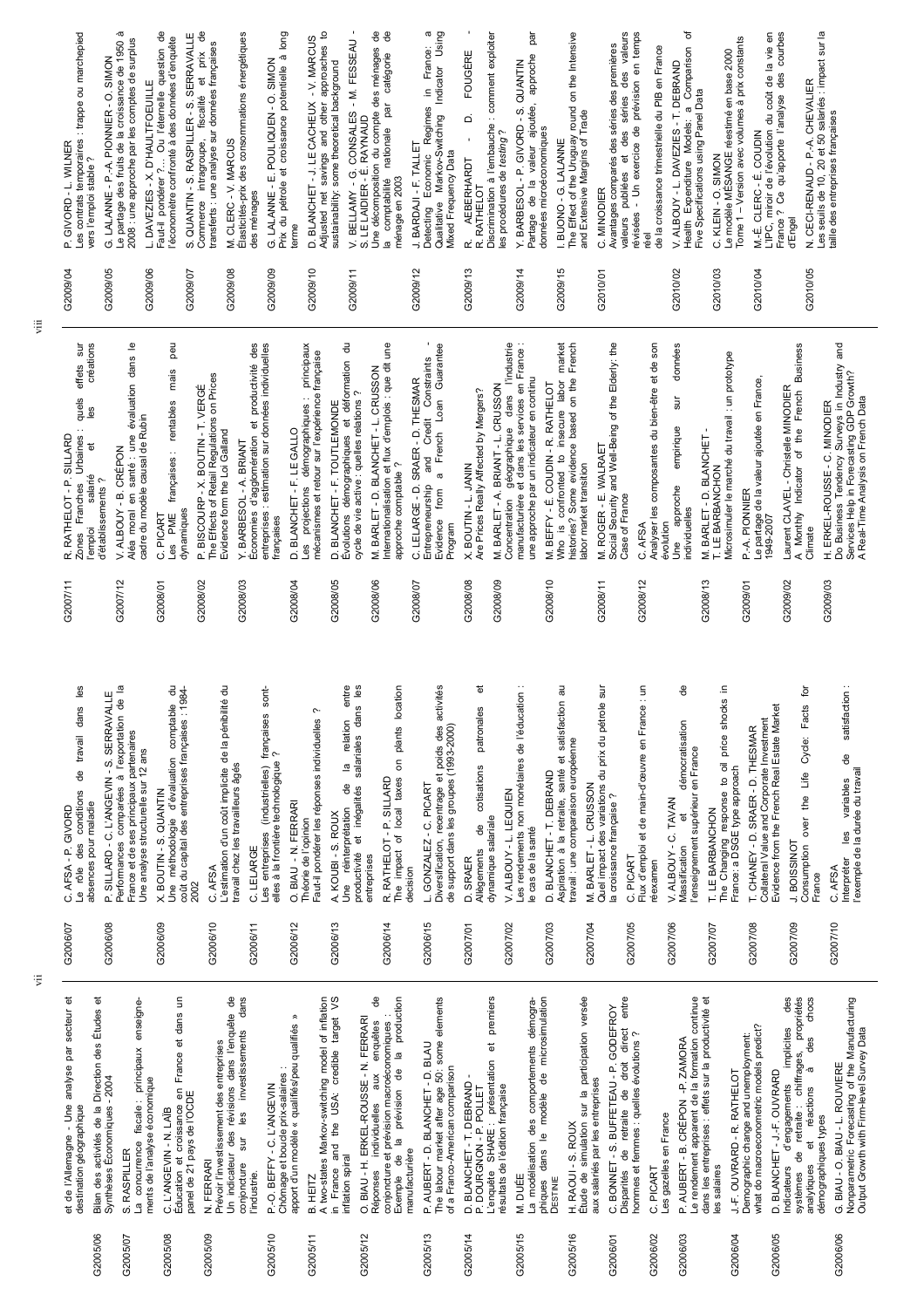ିସ  $\widetilde{c}$  $\widetilde{c}$ ିସ ଞି **G2C** ିସ ିସ ିସ ିସ ିସ ିସ  $\widetilde{c}$ G<sub>2</sub> G<sub>2</sub> ିଧି ିଧି ିତ ିଧ propriétés<br>es chocs et de l'Allemagne - Une analyse par secteur et Bilan des activités de la Direction des Études et C. L'ANGEVIN - N. LAÏB<br>Éducation et croissance en France et dans un<br>panel de 21 pays de l'OCDE A two-states Markov-switching model of inflation<br>in France and the USA: credible target VS O. BIAU - H. ERKEL-ROUSSE - N. FERRARI<br>Réponses individuelles aux enquêtes de<br>conjoncture et prévision macroéconomiques :<br>Exemple de la prévision de la production P. AUBERT - D. BLANCHET - D. BLAU<br>The labour market after age 50: some elements premiers C. BONNET - S. BUFFETEAU - P. GODEFROY<br>Disparités de retraite de droit direct entre<br>hommes et femmes : quelles évolutions ? Le rendement apparent de la formation continue<br>dans les entreprises : effets sur la productivité et Indicateurs d'engagements implicites des<br>systèmes de retraite : chiffrages, propriétés Nonparametric Forecasting of the Manufacturing<br>Output Growth with Firm-level Survey Data G2005/06 Bilan des activités de la Direction des Études et Jn indicateur des révisions dans l'enquête de conjoncture sur les investissements dans ohiques dans le modèle de microsimulation Étude de simulation sur la participation versée dans les entreprises : effets sur la productivité et et de l'Allemagne - Une analyse par secteur et La concurrence fiscale : principaux enseigne-Éducation et croissance en France et dans un Un indicateur des révisions dans l'enquête de conjoncture sur les investissements dans A two-states Markov-switching model of inflation in France and the USA: credible target VS Réponses individuelles aux enquêtes de Exemple de la prévision de la production The labour market after age 50: some elements L'enquête SHARE : présentation et premiers -a modélisation des comportements démogra-La modélisation des comportements démographiques dans le modèle de microsimulation Étude de simulation sur la participation versée Disparités de retraite de droit direct entre Le rendement apparent de la formation continue Indicateurs d'engagements implicites des systèmes de retraite : chiffrages, propriétés analytiques et réactions à des chocs Nonparametric Forecasting of the Manufacturing enseigne-G2006/01 C. BONNET - S. BUFFETEAU - P. GODEFROY P.-O. BEFFY - C. L'ANGEVIN<br>Chômage et boucle prix-salaires :<br>apport d'un modèle « qualifiés/peu qualifiés » conjoncture et prévision macroéconomiques : apport d'un modèle « qualifiés/peu qualifiés » G2005/12 O. BIAU - H. ERKEL-ROUSSE - N. FERRARI Demographic change and unemployment:<br>what do macroeconometric models predict? what do macroeconometric models predict? Output Growth with Firm-level Survey Data Demographic change and unemployment: hommes et femmes : quelles évolutions ? et réactions à des D. BLANCHET - T. DEBRAND -<br>P. DOURGNON - P. POLLET<br>L'enquête SHARE : présentation et<br>résultats de l'édition française P. AUBERT - B. CRÉPON - P. ZAMORA G2006/03 P. AUBERT - B. CRÉPON -P. ZAMORA Prévoir l'investissement des entreprises Prévoir l'investissement des entreprises a concurrence fiscale : principaux G2005/13 P. AUBERT - D. BLANCHET - D. BLAU G. BIAU - O. BIAU - L. ROUVIERE G2006/06 G. BIAU - O. BIAU - L. ROUVIERE Chômage et boucle prix-salaires : of a Franco-American comparison of a Franco-American comparison D. BLANCHET - J.-F. OUVRARD J.-F. OUVRARD - R. RATHELOT G2006/04 J.-F. OUVRARD - R. RATHELOT G2006/05 D. BLANCHET - J.-F. OUVRARD ments de l'analyse économique Synthèses Économiques - 2004 Synthèses Économiques - 2004 G2005/14 D. BLANCHET - T. DEBRAND aux salariés par les entreprises ments de l'analyse économique aux salariés par les entreprises G2005/10 P.-O. BEFFY - C. L'ANGEVIN P. DOURGNON - P. POLLET résultats de l'édition française panel de 21 pays de l'OCDE destination géographique destination géographique G2005/08 C. L'ANGEVIN - N. LAÏB es gazelles en France Les gazelles en France démographiques types démographiques types H. RAOUI - S. ROUX G2005/16 H. RAOUI - S. ROUX S. RASPILLER manufacturière G2005/07 S. RASPILLER manufacturière inflation spiral inflation spiral N. FERRARI G2005/09 N. FERRARI analytiques C. PICART les salaires G2006/02 C. PICART l'industrie. B. HEITZ VI. DUÉE G2005/11 B. HEITZ<br>^ G2005/15 M. DUÉE **DESTINIE** 32005/06 32005/10 G2005/12 32005/13 G2005/14 32005/15 32005/16 G2006/06 32005/07 32005/08 G2005/09  $32005/11$ 32006/01 32006/02 32006/03 32006/04 32006/05

| ъ<br>Įg<br>entre<br>sur<br>Les<br>activités<br>ಸ<br>€<br>킁<br>location<br>용<br>크.<br>sont-<br>satisfaction<br>de l'éducation<br>. .<br>de la pénibilité<br>shocks<br>satisfaction<br>du pétrole<br>Collateral Value and Corporate Investment<br>Evidence from the French Real Estate Market<br>en France<br>Facts<br>dans<br>patronales<br>Ċ<br>françaises<br>Faut-il pondérer les réponses individuelles<br>relation<br>démocratisation<br>rersification, recentrage et poids des<br>support dans les groupes (1993-2000)<br>plants<br>SRAER - D. THESMAR<br>price<br>Cycle:<br>salariales<br>travail : une comparaison européenne<br>l'enseignement supérieur en France<br>du prix<br>$\sim$<br>d'emploi et de main-d'œuvre<br>$\vec{v}$<br>မိ<br>non monétaires<br>δ<br>The Changing response to oil<br>France: a DSGE type approach<br>elles à la frontière technologique<br>travail chez les travailleurs âgés<br>$\overline{\omega}$<br>cotisations<br>(industrielles)<br>l'exemple de la durée du travail<br>estimation d'un coût implicite<br>santé<br>DEBRAND<br>Life<br><b>SILLARD</b><br>taxes<br>variables<br>CRUSSON<br>C. PICART<br>des variations<br>₫e<br>inégalités<br>ALBOUY - L. LEQUIEN<br>$\sim$<br>the<br>Aspiration à la retraite,<br><b>TAVAN</b><br>- N. FERRARI<br>la croissance française<br>local<br>LE BARBANCHON<br>réinterprétation<br>S. ROUX<br>ъ<br>salariale<br>over<br>Théorie de l'opinion<br>$\frac{1}{2}$ $\frac{1}{2}$<br>ANCHET-T.<br>₽<br>cas de la santé<br>entreprises<br>rendements<br>$\dot{\mathbf{G}}$<br>ALBOUY - C.<br>Les<br>$\frac{-1}{4}$<br>$\overline{\Phi}$<br>RATHELOT<br>L.<br>Diversification,<br>GONZALEZ<br>J. BOISSINOT<br>CHANEY-<br>onsumption<br>Massification<br>C. LELARGE<br>impact<br>Quel impact<br>Allègements<br>M. BARLET<br>productivité<br>KOUBI-<br>dynamique<br>entreprises<br>PICART<br>SRAER<br>Interpréter<br>réexamen<br><b>AFSA</b><br>O. BIAU<br>AFSA<br>decision<br>France<br>금<br>Flux<br><b>u</b><br>¢<br>₽<br>œ<br>È<br>$\underline{\mathbb{o}}$<br>⊢⊨<br>۵<br>۵<br>ပ<br>ပ<br>G2007/06<br>G2006/10<br>G2006/15<br>G2007/03<br>G2007/05<br>G2007/09<br>G2007/10<br>G2006/13<br>32007/08<br>G2006/12<br>G2006/14<br>G2007/02<br>G2007/04<br>G2006/11<br>G2007/01<br>G2007/07 |
|-------------------------------------------------------------------------------------------------------------------------------------------------------------------------------------------------------------------------------------------------------------------------------------------------------------------------------------------------------------------------------------------------------------------------------------------------------------------------------------------------------------------------------------------------------------------------------------------------------------------------------------------------------------------------------------------------------------------------------------------------------------------------------------------------------------------------------------------------------------------------------------------------------------------------------------------------------------------------------------------------------------------------------------------------------------------------------------------------------------------------------------------------------------------------------------------------------------------------------------------------------------------------------------------------------------------------------------------------------------------------------------------------------------------------------------------------------------------------------------------------------------------------------------------------------------------------------------------------------------------------------------------------------------------------------------------------------------------------------------------------------------------------------------------------------------------------------------------------------------------------------------------------------------------------------------------------------------------------------------------------------------------------------------------------------------------------------------------------------------------------------------------------------------------------------------------------------------------------------------------------------------------|
|                                                                                                                                                                                                                                                                                                                                                                                                                                                                                                                                                                                                                                                                                                                                                                                                                                                                                                                                                                                                                                                                                                                                                                                                                                                                                                                                                                                                                                                                                                                                                                                                                                                                                                                                                                                                                                                                                                                                                                                                                                                                                                                                                                                                                                                                   |
|                                                                                                                                                                                                                                                                                                                                                                                                                                                                                                                                                                                                                                                                                                                                                                                                                                                                                                                                                                                                                                                                                                                                                                                                                                                                                                                                                                                                                                                                                                                                                                                                                                                                                                                                                                                                                                                                                                                                                                                                                                                                                                                                                                                                                                                                   |
|                                                                                                                                                                                                                                                                                                                                                                                                                                                                                                                                                                                                                                                                                                                                                                                                                                                                                                                                                                                                                                                                                                                                                                                                                                                                                                                                                                                                                                                                                                                                                                                                                                                                                                                                                                                                                                                                                                                                                                                                                                                                                                                                                                                                                                                                   |
|                                                                                                                                                                                                                                                                                                                                                                                                                                                                                                                                                                                                                                                                                                                                                                                                                                                                                                                                                                                                                                                                                                                                                                                                                                                                                                                                                                                                                                                                                                                                                                                                                                                                                                                                                                                                                                                                                                                                                                                                                                                                                                                                                                                                                                                                   |
|                                                                                                                                                                                                                                                                                                                                                                                                                                                                                                                                                                                                                                                                                                                                                                                                                                                                                                                                                                                                                                                                                                                                                                                                                                                                                                                                                                                                                                                                                                                                                                                                                                                                                                                                                                                                                                                                                                                                                                                                                                                                                                                                                                                                                                                                   |
|                                                                                                                                                                                                                                                                                                                                                                                                                                                                                                                                                                                                                                                                                                                                                                                                                                                                                                                                                                                                                                                                                                                                                                                                                                                                                                                                                                                                                                                                                                                                                                                                                                                                                                                                                                                                                                                                                                                                                                                                                                                                                                                                                                                                                                                                   |
|                                                                                                                                                                                                                                                                                                                                                                                                                                                                                                                                                                                                                                                                                                                                                                                                                                                                                                                                                                                                                                                                                                                                                                                                                                                                                                                                                                                                                                                                                                                                                                                                                                                                                                                                                                                                                                                                                                                                                                                                                                                                                                                                                                                                                                                                   |
|                                                                                                                                                                                                                                                                                                                                                                                                                                                                                                                                                                                                                                                                                                                                                                                                                                                                                                                                                                                                                                                                                                                                                                                                                                                                                                                                                                                                                                                                                                                                                                                                                                                                                                                                                                                                                                                                                                                                                                                                                                                                                                                                                                                                                                                                   |
|                                                                                                                                                                                                                                                                                                                                                                                                                                                                                                                                                                                                                                                                                                                                                                                                                                                                                                                                                                                                                                                                                                                                                                                                                                                                                                                                                                                                                                                                                                                                                                                                                                                                                                                                                                                                                                                                                                                                                                                                                                                                                                                                                                                                                                                                   |
|                                                                                                                                                                                                                                                                                                                                                                                                                                                                                                                                                                                                                                                                                                                                                                                                                                                                                                                                                                                                                                                                                                                                                                                                                                                                                                                                                                                                                                                                                                                                                                                                                                                                                                                                                                                                                                                                                                                                                                                                                                                                                                                                                                                                                                                                   |
|                                                                                                                                                                                                                                                                                                                                                                                                                                                                                                                                                                                                                                                                                                                                                                                                                                                                                                                                                                                                                                                                                                                                                                                                                                                                                                                                                                                                                                                                                                                                                                                                                                                                                                                                                                                                                                                                                                                                                                                                                                                                                                                                                                                                                                                                   |
|                                                                                                                                                                                                                                                                                                                                                                                                                                                                                                                                                                                                                                                                                                                                                                                                                                                                                                                                                                                                                                                                                                                                                                                                                                                                                                                                                                                                                                                                                                                                                                                                                                                                                                                                                                                                                                                                                                                                                                                                                                                                                                                                                                                                                                                                   |
|                                                                                                                                                                                                                                                                                                                                                                                                                                                                                                                                                                                                                                                                                                                                                                                                                                                                                                                                                                                                                                                                                                                                                                                                                                                                                                                                                                                                                                                                                                                                                                                                                                                                                                                                                                                                                                                                                                                                                                                                                                                                                                                                                                                                                                                                   |

|          | : trappe ou marchepied<br>P. GIVORD - L. WILNER<br>Les contrats temporaires<br>vers l'emploi stable ? | à<br>2008 : une approche par les comptes de surplus<br>LALANNE - P.-A. PIONNIER - O. SIMON<br>partage des fruits de la croissance de 1950<br>$\mathbf{c}$<br>Ö | ႕ီ<br>L. DAVEZIES - X. D'HAULTFOEUILLE<br>Faut-il pondérer ?… Ou l'éternelle question de<br>l'économètre confronté à des données d'enquête | ႕မ<br>SERRAVALLE<br>S. QUANTIN - S. RASPILLER - S. SERRAVALL<br>Commerce intragroupe, fiscalité et prix<br>transferts : une analyse sur données françaises | Élasticités-prix des consommations énergétiques<br>CLERC - V. MARCUS<br>des ménages<br>ż | long<br>.<br>ത<br>G. LALANNE - E. POULIQUEN - O. SIMON<br>Prix du pétrole et croissance potentielle à<br>terme | ₽<br>- V. MARCUS<br>approaches<br>D. BLANCHET - J. LE CACHEUX - V. MAF<br>Adjusted net savings and other approach<br>sustainability: some theoretical background | 용<br>ಕಿ<br>CONSALES - M. FESSEAU<br>Une décomposition du compte des ménages<br>catégorie<br>par<br>RAYNAUD<br>nationale<br>BELLAMY - G.<br>LE LAIDIER - É.<br>ménage en 2003<br>comptabilité<br>$\frac{1}{2}$<br>$\overline{a}$ | Using<br>ω<br>France:<br>Indicator<br>Ξ.<br>Regimes<br>Markov-Switching<br>TALLET<br><b>Mixed Frequency Data</b><br>BARDAJI - F. TALL<br>stecting Economic<br>Qualitative<br>Detecting | Discrimination à l'embauche : comment exploiter<br>FOUGÈRE<br>$\Delta$<br>$\sim$<br>les procédures de testing<br>AEBERHARDT<br>R. RATHELOT<br>œ | par<br>approche<br>S. QUANTIN<br>ajoutée,<br>BARBESOL - P. GIVORD<br>données microéconomiques<br>valeur<br>Partage de la<br>ΣÌ. | I. BUONO - G. LALANNE<br>The Effect of the Uruguay round on the Intensive<br>and Extensive Margins of Trade | valeurs<br>temps<br>Avantages comparés des séries des premières<br>valeurs publiées et des séries des valeu<br>de la croissance trimestrielle du PIB en France<br>$\overline{e}$<br>de prévision<br>exercice<br>publiées<br>$\overline{5}$<br>C. MINODIER<br>révisées<br>réel | ৳<br>Comparison<br>T. DEBRAND<br>Five Specifications using Panel Data<br>ā<br>Models:<br>DAVEZIES-<br>Health Expenditure<br>ALBOUY-L<br>$\mathbf{r}$ | Version avec volumes à prix constants<br>C. KLEIN - O. SIMON<br>Le modèle MÉSANGE réestimé en base 2000<br>Tome <sub>1</sub> | courbes<br>5<br>du coût de la vie<br>des<br>M.-É. CLERC - É. COUDIN<br>L'IPC, miroir de l'évolution du coût<br>France ? Ce qu'apporte l'analyse<br>d'Engel | salariés : impact sur la<br>N. CECI-RENAUD - P.-A. CHEVALIER<br>Les seulis de 10, 20 et 50 salariés : im<br>taille des entreprises françaises |
|----------|-------------------------------------------------------------------------------------------------------|----------------------------------------------------------------------------------------------------------------------------------------------------------------|--------------------------------------------------------------------------------------------------------------------------------------------|------------------------------------------------------------------------------------------------------------------------------------------------------------|------------------------------------------------------------------------------------------|----------------------------------------------------------------------------------------------------------------|------------------------------------------------------------------------------------------------------------------------------------------------------------------|---------------------------------------------------------------------------------------------------------------------------------------------------------------------------------------------------------------------------------|----------------------------------------------------------------------------------------------------------------------------------------------------------------------------------------|-------------------------------------------------------------------------------------------------------------------------------------------------|---------------------------------------------------------------------------------------------------------------------------------|-------------------------------------------------------------------------------------------------------------|-------------------------------------------------------------------------------------------------------------------------------------------------------------------------------------------------------------------------------------------------------------------------------|------------------------------------------------------------------------------------------------------------------------------------------------------|------------------------------------------------------------------------------------------------------------------------------|------------------------------------------------------------------------------------------------------------------------------------------------------------|-----------------------------------------------------------------------------------------------------------------------------------------------|
| G2009/04 |                                                                                                       | G2009/05                                                                                                                                                       | G2009/06                                                                                                                                   | G2009/07                                                                                                                                                   | G2009/08                                                                                 | G2009/09                                                                                                       | G2009/10                                                                                                                                                         | G2009/11                                                                                                                                                                                                                        | G2009/12                                                                                                                                                                               | G2009/13                                                                                                                                        | G2009/14                                                                                                                        | G2009/15                                                                                                    | G2010/01                                                                                                                                                                                                                                                                      | G2010/02                                                                                                                                             | G2010/03                                                                                                                     | G2010/04                                                                                                                                                   | G2010/05                                                                                                                                      |

 $\ddot{\bar{z}}$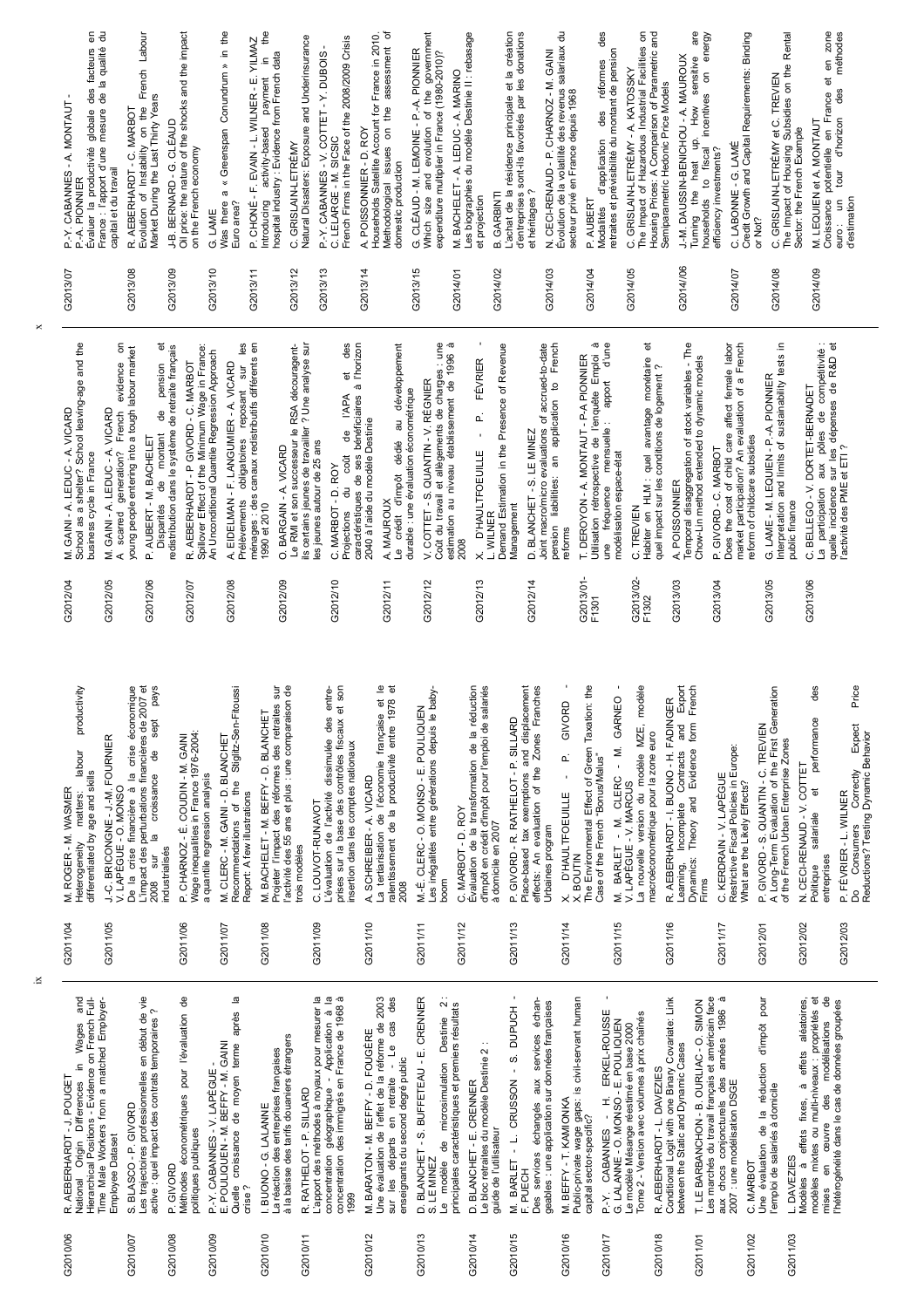De la cinse initaliciele a la cinse economique<br>L'impact des perturbations financières de 2007 et<br>2008 sur la croissance de sept pays Recommendations of the Stiglitz-Sen-Fitoussi G2011/14 X. D'HAULTFOEUILLE - P. GIVORD - G2011/15 M. BARLET - M. CLERC - M. GARNEO - Projeter l'impact des réformes des retraites sur<br>l'activité des 55 ans et plus : une comparaison de d'impôt en crédit d'impôt pour l'emploi de salariés effects: An evaluation of the Zones Franches X. BOUTIN<br>The Environmental Effect of Green Taxation: the Incomplete Contracts and Export Dynamics: Theory and Evidence form French productivity Heterogeneity matters: labour productivity De la crise financière à la crise économique L'impact des perturbations financières de 2007 et 2008 sur la croissance de sept pays Projeter l'impact des réformes des retraites sur l'activité des 55 ans et plus : une comparaison de L'évaluation de l'activité dissimulée des entre-L'évaluation de l'activité dissimulée des entreprises sur la base des contrôles fiscaux et son La tertiarisation de l'économie française et le ralentissement de la productivité entre 1978 et Les inégalités entre générations depuis le baby-Les inégalités entre générations depuis le baby-Évaluation de la transformation de la réduction d'impôt en crédit d'impôt pour l'emploi de salariés Place-based tax exemptions and displacement Place-based tax exemptions and displacement The Environmental Effect of Green Taxation: the V. LAPÈGUE - V. MARCUS<br>La nouvelle version du modèle MZE, modèle La nouvelle version du modèle MZE, modèle Learning, Incomplete Contracts and Export Dynamics: Theory and Evidence form French A Long-Term Evaluation of the First Generation Politique salariale et performance des Do Consumers Correctly Expect Price De la crise financière à la crise économique Recommendations of the Stiglitz-Sen-Fitoussi prises sur la base des contrôles fiscaux et son Évaluation de la transformation de la réduction effects: An evaluation of the Zones Franches A Long-Term Evaluation of the First Generation La tertiarisation de l'économie française et<br>ralentissement de la productivité entre 1978 M. BARLET - M. CLERC - M. GARNEO R. AEBERHARDT - I. BUONO - H. FADINGER X. D'HAULTFOEUILLE - P. GIVORD G2011/16 R. AEBERHARDT - I. BUONO - H. FADINGER M.-É. CLERC - O. MONSO - E. POULIQUEN G2011/11 M.-É. CLERC - O. MONSO - E. POULIQUEN M. BACHELET - M. BEFFY - D. BLANCHET G2011/08 M. BACHELET - M. BEFFY - D. BLANCHET P. GIVORD - R. RATHELOT - P. SILLARD et performance G2011/13 P. GIVORD - R. RATHELOT - P. SILLARD Do Consumers Correctly Expect<br>Reductions? Testing Dynamic Behavior G2012/01 P. GIVORD - S. QUANTIN - C. TREVIEN P. GIVORD - S. QUANTIN - C. TREVIEN Wage inequalities in France 1976-2004: macroéconométrique pour la zone euro Wage inequalities in France 1976-2004: Reductions? Testing Dynamic Behavior J.-C. BRICONGNE-J.-M. FOURNIER P. CHARNOZ - É. COUDIN - M. GAINI M. CLERC - M. GAINI - D. BLANCHET macroéconométrique pour la zone euro G2011/05 J.-C. BRICONGNE - J.-M. FOURNIER G2011/06 P. CHARNOZ - É. COUDIN - M. GAINI G2011/07 M. CLERC - M. GAINI - D. BLANCHET of the French Urban Enterprise Zones of the French Urban Enterprise Zones insertion dans les comptes nationaux C. KERDRAIN - V. LAPÈGUE<br>Restrictive Fiscal Policies in Europe:<br>What are the Likely Effects? labour insertion dans les comptes nationaux Restrictive Fiscal Policies in Europe: Case of the French "Bonus/Malus" Case of the French "Bonus/Malus" N. CECI-RENAUD - V. COTTET G2012/02 N. CECI-RENAUD - V. COTTET differentiated by age and skills a quantile regression analysis differentiated by age and skills A. SCHREIBER - A. VICARD G2011/17 C. KERDRAIN - V. LAPÈGUE a quantile regression analysis G2011/10 A. SCHREIBER - A. VICARD Heterogeneity matters: What are the Likely Effects? V. LAPÈGUE - O. MONSO V. LAPÈGUE - V. MARCUS M. ROGER - M. WASMER G2011/04 M. ROGER - M. WASMER V. LAPÈGUE - O. MONSO P. FÉVRIER - L. WILNER Report: A few illustrations G2012/03 P. FÉVRIER - L. WILNER Report: A few illustrations C. LOUVOT-RUNAVOT G2011/09 C. LOUVOT-RUNAVOT boom<br>C. MARBOT - D. ROY salariale G2011/12 C. MARBOT - D. ROY à domicile en 2007 à domicile en 2007 Urbaines program Urbaines program trois modèles industrialisés entreprises Learning, Politique Firms 2008 G2011/04 G2011/05 G2011/06 G2011/09 G2011/10 G2011/11 G2011/12 G2011/13 G2011/14 G2011/15 G2011/16 G2011/17 G2012/02 G2012/03 G2011/07 G2011/08 G2012/01 L'apport des méthodes à noyaux pour mesurer la<br>concentration géographique - Application à la<br>concentration des immigrés en France de 1968 à M. BARLET - L. CRUSSON - S. DUPUCH -Quelle croissance de moyen terme après la G2010/15 M. BARLET - L. CRUSSON - S. DUPUCH - G2010/17 P.-Y. CABANNES - H. ERKEL-ROUSSE - National Origin Differences in Wages and<br>Hierarchical Positions - Evidence on French Full-Méthodes économétriques pour l'évaluation de concentration des immigrés en France de 1968 à D. BLANCHET - S. BUFFETEAU - E. CRENNER S. LE MINEZ<br>Le modèle de microsimulation Destinie 2 :<br>principales caractéristiques et premiers résultats Conditional Logit with one Binary Covariate: Link aux chocs conjoncturels des années 1986 à aux chocs conjoncturels des années 1986 à modèles mixtes ou multi-niveaux : propriétés et  $\frac{1}{\alpha}$ Time Male Workers from a matched Employeres trajectoires professionnelles en début de vie Les trajectoires professionnelles en début de vie Quelle croissance de moyen terme après la L'apport des méthodes à noyaux pour mesurer la concentration géographique - Application à la Jne évaluation de l'effet de la réforme de 2003 sur les départs en retraite - Le cas des G2010/13 D. BLANCHET - S. BUFFETEAU - E. CRENNER Public-private wage gaps: is civil-servant human es marchés du travail français et américain face Jne évaluation de la réduction d'impôt pour Vlodèles à effets fixes, à effets aléatoires, modèles mixtes ou multi-niveaux : propriétés et National Origin Differences in Wages and Hierarchical Positions - Evidence on French Full-Time Male Workers from a matched Employer-Méthodes économétriques pour l'évaluation de Une évaluation de l'effet de la réforme de 2003 sur les départs en retraite - Le cas des Le modèle de microsimulation Destinie 2 : F. PUECH<br>Des services échangés aux services échan-Des services échangés aux services échan-Public-private wage gaps: is civil-servant human Conditional Logit with one Binary Covariate: Link Les marchés du travail français et américain face Une évaluation de la réduction d'impôt pour Modèles à effets fixes, à effets aléatoires, mises en œuvre des modélisations de T. LE BARBANCHON - B. OURLIAC - O. SIMON G2011/01 T. LE BARBANCHON - B. OURLIAC - O. SIMON 'hétérogénéité dans le cas de données groupées l'hétérogénéité dans le cas de données groupées geables : une application sur données françaises geables : une application sur données françaises principales caractéristiques et premiers résultats active : quel impact des contrats temporaires ? P-Y. CABANNES - H. ERKEL-ROUSSE active : quel impact des contrats temporaires ? Tome 2 - Version avec volumes à prix chaînés Tome 2 - Version avec volumes à prix chaînés ceuvre des modélisations G. LALANNE - O. MONSO - E. POULIQUEN G. LALANNE - O. MONSO - E. POULIQUEN e modèle Mésange réestimé en base 2000 Le modèle Mésange réestimé en base 2000 M. BARATON - M. BEFFY - D. FOUGÈRE G2010/12 M. BARATON - M. BEFFY - D. FOUGÈRE à la baisse des tarifs douaniers étrangers à la baisse des tarifs douaniers étrangers -e bloc retraites du modèle Destinie 2 : POULIQUEN - M. BEFFY - M. GAINI Le bloc retraites du modèle Destinie 2 : between the Static and Dynamic Cases E. POULIQUEN - M. BEFFY - M. GAINI between the Static and Dynamic Cases -a réaction des entreprises françaises La réaction des entreprises françaises enseignants du second degré public enseignants du second degré public G2010/09 P.-Y. CABANNES - V. LAPÈGUE -<br>G2010/09 P.-Y. CABANNES - V. LEEP P.-Y. CABANNES - V. LAPÈGUE -R. AEBERHARDT - L. DAVEZIES G2010/18 R. AEBERHARDT - L. DAVEZIES R. AEBERHARDT - J. POUGET G2010/06 R. AEBERHARDT - J. POUGET 2007 : une modélisation DSGE D. BLANCHET - E. CRENNER G2010/14 D. BLANCHET - E. CRENNER 2007 : une modélisation DSGE l'emploi de salariés à domicile l'emploi de salariés à domicile R. RATHELOT - P. SILLARD G2010/11 R. RATHELOT - P. SILLARD M. BEFFY - T. KAMIONKA G2010/16 M. BEFFY - T. KAMIONKA S. BLASCO - P. GIVORD I. BUONO - G. LALANNE G2010/07 S. BLASCO - P. GIVORD G2010/10 I. BUONO - G. LALANNE capital sector-specific? capital sector-specific? politiques publiques guide de l'utilisateur politiques publiques guide de l'utilisateur Employee Dataset Employee Dataset L. DAVEZIES G2011/03 L. DAVEZIES C. MARBOT mises en P. GIVORD G2011/02 C. MARBOT G2010/08 P. GIVORD crise ? 1999  $\vec{a}$ 32010/10 32010/12 32010/13 G2010/14 32010/15 32010/16 32010/06 52010/07 32010/08 32010/09 32010/11 **52010/17** 32010/18 32011/02 G2011/03 32011/01

ix

x

| G2013/07                                                                                                       | G2013/08                                                                                                                                                      | G2013/09                                                                                                                                             | G2013/10                                                                                                                                 | $\overline{\phantom{0}}$<br>G2013/1                                                                                                                                       | G2013/12<br>G2013/13                                                                                                                                                               | G2013/14                                                                                                                                                                                                          | G2013/15                                                                                                                                           | G2014/01                                                                                                                                                 | G2014/02                                                                                                                                          | G2014/03                                                                                                                                                                        | G2014/04                                                                                                                                                                                 | G2014/05                                                                                                                           | G2014//06                                                                                                             | G2014/07                                                                                                                                                                   | G2014/08                                                                                                             | G2014/09                                                                                                                                                                                |
|----------------------------------------------------------------------------------------------------------------|---------------------------------------------------------------------------------------------------------------------------------------------------------------|------------------------------------------------------------------------------------------------------------------------------------------------------|------------------------------------------------------------------------------------------------------------------------------------------|---------------------------------------------------------------------------------------------------------------------------------------------------------------------------|------------------------------------------------------------------------------------------------------------------------------------------------------------------------------------|-------------------------------------------------------------------------------------------------------------------------------------------------------------------------------------------------------------------|----------------------------------------------------------------------------------------------------------------------------------------------------|----------------------------------------------------------------------------------------------------------------------------------------------------------|---------------------------------------------------------------------------------------------------------------------------------------------------|---------------------------------------------------------------------------------------------------------------------------------------------------------------------------------|------------------------------------------------------------------------------------------------------------------------------------------------------------------------------------------|------------------------------------------------------------------------------------------------------------------------------------|-----------------------------------------------------------------------------------------------------------------------|----------------------------------------------------------------------------------------------------------------------------------------------------------------------------|----------------------------------------------------------------------------------------------------------------------|-----------------------------------------------------------------------------------------------------------------------------------------------------------------------------------------|
| M. GAINI - A. LEDUC - A. VICARD<br>School as a shelter? School leaving-age and the<br>business cycle in France | g<br>young people entering into a tough labour market<br>evidence<br>VICARD<br>French<br>$\mathbf{A}$<br>generation?<br>M. GAINI - A. LEDUC -<br>scarred<br>∢ | đ<br>redistribution dans le système de retraite français<br>pension<br>$\frac{e}{d}$<br>montant<br>P. AUBERT - M. BACHELET<br><u>ტ</u><br>Disparités | R. AEBERHARDT - P GIVORD - C. MARBOT<br>Spillover Effect of the Minimum Wage in France:<br>An Unconditional Quantile Regression Approach | A. EIDELMAN - F. LANGUMIER - A. VICARD<br>Prélèvements obligatoires reposant sur les<br>ménages : des canaux redistributifs différents en<br>ménages : de<br>1990 et 2010 | sur<br>Le RMI et son successeur le RSA découragent-<br>Is certains jeunes de travailler ? Une analyse sur<br>les jeunes autour de 25 ans<br>O. BARGAIN - A. VICARD<br>ils certains | des<br>à l'horizon<br>đ<br>bénéficiaires<br><b>I'APA</b><br>2040 à l'aide du modèle Destinie<br>용<br><b>ses</b><br>$\cot$<br>MARBOT-D.ROY<br>$\frac{\theta}{\sigma}$<br>킁<br>caractéristiques<br>Projections<br>Ö | développement<br>durable : une évaluation économétrique<br>$\overline{\overline{a}}$<br>dédié<br>d'impôt<br>A. MAUROUX<br>crédit<br>$\overline{a}$ | gun<br>è<br>1996<br>V. COTTET - S. QUANTIN - V. RÉGNIER<br>Coût du travail et allégements de charges<br>estimation au niveau établissement de 19<br>2008 | Demand Estimation in the Presence of Revenue<br>FÉVRIER<br>ρ.<br>$\mathbf{r}$<br><b>D'HAULTFOEUILLE</b><br>Management<br>WILNER<br>$\dot{\times}$ | French<br>accrued-to-date<br>$\ddot{\circ}$<br>application<br>$\rm 5$<br>Joint macro/micro evaluations<br>D. BLANCHET - S. LE MINEZ<br>an<br>liabilities:<br>pension<br>reforms | à<br>d'une<br>DEROYON - A. MONTAUT - P-A PIONNIER<br>Emploi<br>apport<br>l'enquête<br>mensuelle :<br>෪<br>modélisation espace-état<br>Utilisation rétrospective<br>fréquence<br>gun<br>Ē | đ<br>avantage monétaire<br>Ĉ.<br>Habiter en HLM : quel avantage monét.<br>quel impact sur les conditions de logement<br>C. TREVIEN | The<br>Temporal disaggregation of stock variables - T<br>Chow-Lin method extended to dynamic models<br>A. POISSONNIER | affect female labor<br>evaluation of a French<br>P. GIVORD - C. MARBOT<br>Does the cost of child care a<br>market participation? An evalu<br>reform of childcare subsidies | tests in<br>G. LAME - M. LEQUIEN - P.-A. PIONNIER<br>Interpretation and limits of sustainability t<br>public finance | $\overline{\Phi}$<br>compétitivité<br>de R&D<br>C. BELLEGO - V. DORTET-BERNADET<br>La participation aux pôles de co<br>quelle incidence sur les dépenses<br>l'activité des PME et ETI ? |
| G2012/04                                                                                                       | G2012/05                                                                                                                                                      | G2012/06                                                                                                                                             | G2012/07                                                                                                                                 | G2012/08                                                                                                                                                                  | G2012/09                                                                                                                                                                           | G2012/10                                                                                                                                                                                                          | G2012/11                                                                                                                                           | G2012/12                                                                                                                                                 | G2012/13                                                                                                                                          | G2012/14                                                                                                                                                                        | G2013/01<br>F1301                                                                                                                                                                        | G2013/02<br>F1302                                                                                                                  | G2013/03                                                                                                              | G2013/04                                                                                                                                                                   | G2013/05                                                                                                             | G2013/06                                                                                                                                                                                |

 $\triangleq$   $\overline{0}$ 

Price

des

| GRISLAIN-LETRÉMY<br>domestic production<br>capital et du travail<br>l'apport<br>Methodological<br>L'achat de la<br>d'entreprises s<br>et héritages ?<br>the<br>GARBINTI<br>et projection<br>Households<br><b>AUBERT</b><br>there<br>Euro area?<br>Modalités<br>LAME<br>Évaluer  <br>Turning<br>France:<br>Was<br>Ġ<br>ഥ<br>cj<br>$\Omega$<br>$\overline{\mathbf{a}}$<br>G2014/06<br>G2013/14<br>G2014/05<br>G2013/08<br>G2013/09<br>G2013/10<br>G2013/13<br>G2013/15<br>G2014/02<br>G2014/03<br>G2014/04<br>G2013/12<br>G2013/07<br>G2014/01<br>G2013/11 | $\overline{\sigma}$<br>e۵<br>vincin size and evolution of the government<br>expenditure multiplier in France (1980-2010)?<br>N. CECI-RENAUD - P. CHARNOZ - M. GAINI<br>Évolution de la volatilité des revenus salariaux du<br>secteur privé en France depuis 1968<br>킁<br>a « Greenspan Conundrum » in the<br>the<br>Labour<br>J-B. BERNARD - G. CLÉAUD<br>Oil price: the nature of the shocks and the impact<br>on the French economy<br>résidence principale et la création<br>sont-ils favorisés par les donations<br>M. BACHELET - A. LEDUC - A. MARINO<br>Les biographies du modèle Destinie II : rebasage<br>POISSONNIER - D. ROY<br>useholds Satellite Account for France in 2010.<br>Natural Disasters: Exposure and Underinsurance<br>French Firms in the Face of the 2008/2009 Crisis<br>CHONÉ - F. EVAIN - L. WILNER - E. YILMAZ<br>assessment<br>d'une mesure de la qualité<br>facteurs<br>CLÉAUD - M. LEMOINE - P.-A. PIONNIER<br>ich size and evolution of the governm<br>P.-Y. CABANNES - V. COTTET - Y. DUBOIS<br>C. LELARGE - M. SICSIC<br>Introducing activity-based payment in<br>hospital industry : Evidence from French data<br>French<br>des<br>Market During the Last Thirty Years<br>P.-Y. CABANNES - A. MONTAUT<br>P.-A. PIONNIER<br>issues on the<br>R. AEBERHARDT - C. MARBOT<br>Evolution of Instability on the<br>globale<br>activity-based<br>la productivité |
|----------------------------------------------------------------------------------------------------------------------------------------------------------------------------------------------------------------------------------------------------------------------------------------------------------------------------------------------------------------------------------------------------------------------------------------------------------------------------------------------------------------------------------------------------------|----------------------------------------------------------------------------------------------------------------------------------------------------------------------------------------------------------------------------------------------------------------------------------------------------------------------------------------------------------------------------------------------------------------------------------------------------------------------------------------------------------------------------------------------------------------------------------------------------------------------------------------------------------------------------------------------------------------------------------------------------------------------------------------------------------------------------------------------------------------------------------------------------------------------------------------------------------------------------------------------------------------------------------------------------------------------------------------------------------------------------------------------------------------------------------------------------------------------------------------------------------------------------------------------------------------------------------------------------------------------------------------------|
|                                                                                                                                                                                                                                                                                                                                                                                                                                                                                                                                                          |                                                                                                                                                                                                                                                                                                                                                                                                                                                                                                                                                                                                                                                                                                                                                                                                                                                                                                                                                                                                                                                                                                                                                                                                                                                                                                                                                                                              |
|                                                                                                                                                                                                                                                                                                                                                                                                                                                                                                                                                          |                                                                                                                                                                                                                                                                                                                                                                                                                                                                                                                                                                                                                                                                                                                                                                                                                                                                                                                                                                                                                                                                                                                                                                                                                                                                                                                                                                                              |
|                                                                                                                                                                                                                                                                                                                                                                                                                                                                                                                                                          |                                                                                                                                                                                                                                                                                                                                                                                                                                                                                                                                                                                                                                                                                                                                                                                                                                                                                                                                                                                                                                                                                                                                                                                                                                                                                                                                                                                              |
|                                                                                                                                                                                                                                                                                                                                                                                                                                                                                                                                                          |                                                                                                                                                                                                                                                                                                                                                                                                                                                                                                                                                                                                                                                                                                                                                                                                                                                                                                                                                                                                                                                                                                                                                                                                                                                                                                                                                                                              |
|                                                                                                                                                                                                                                                                                                                                                                                                                                                                                                                                                          |                                                                                                                                                                                                                                                                                                                                                                                                                                                                                                                                                                                                                                                                                                                                                                                                                                                                                                                                                                                                                                                                                                                                                                                                                                                                                                                                                                                              |
|                                                                                                                                                                                                                                                                                                                                                                                                                                                                                                                                                          |                                                                                                                                                                                                                                                                                                                                                                                                                                                                                                                                                                                                                                                                                                                                                                                                                                                                                                                                                                                                                                                                                                                                                                                                                                                                                                                                                                                              |
|                                                                                                                                                                                                                                                                                                                                                                                                                                                                                                                                                          |                                                                                                                                                                                                                                                                                                                                                                                                                                                                                                                                                                                                                                                                                                                                                                                                                                                                                                                                                                                                                                                                                                                                                                                                                                                                                                                                                                                              |
|                                                                                                                                                                                                                                                                                                                                                                                                                                                                                                                                                          |                                                                                                                                                                                                                                                                                                                                                                                                                                                                                                                                                                                                                                                                                                                                                                                                                                                                                                                                                                                                                                                                                                                                                                                                                                                                                                                                                                                              |
|                                                                                                                                                                                                                                                                                                                                                                                                                                                                                                                                                          |                                                                                                                                                                                                                                                                                                                                                                                                                                                                                                                                                                                                                                                                                                                                                                                                                                                                                                                                                                                                                                                                                                                                                                                                                                                                                                                                                                                              |
|                                                                                                                                                                                                                                                                                                                                                                                                                                                                                                                                                          |                                                                                                                                                                                                                                                                                                                                                                                                                                                                                                                                                                                                                                                                                                                                                                                                                                                                                                                                                                                                                                                                                                                                                                                                                                                                                                                                                                                              |
|                                                                                                                                                                                                                                                                                                                                                                                                                                                                                                                                                          |                                                                                                                                                                                                                                                                                                                                                                                                                                                                                                                                                                                                                                                                                                                                                                                                                                                                                                                                                                                                                                                                                                                                                                                                                                                                                                                                                                                              |
|                                                                                                                                                                                                                                                                                                                                                                                                                                                                                                                                                          |                                                                                                                                                                                                                                                                                                                                                                                                                                                                                                                                                                                                                                                                                                                                                                                                                                                                                                                                                                                                                                                                                                                                                                                                                                                                                                                                                                                              |
|                                                                                                                                                                                                                                                                                                                                                                                                                                                                                                                                                          | des<br>retraites et prévisibilité du montant de pension<br>réformes<br>des<br>d'application                                                                                                                                                                                                                                                                                                                                                                                                                                                                                                                                                                                                                                                                                                                                                                                                                                                                                                                                                                                                                                                                                                                                                                                                                                                                                                  |
|                                                                                                                                                                                                                                                                                                                                                                                                                                                                                                                                                          | C. GRISLAIN-LETRÉMY - A. KATOSSKY<br>The Impact of Hazardous Industrial Facilities on<br>Housing Prices: A Comparison of Parametric and<br>Semiparametric Hedonic Price Models                                                                                                                                                                                                                                                                                                                                                                                                                                                                                                                                                                                                                                                                                                                                                                                                                                                                                                                                                                                                                                                                                                                                                                                                               |
| efficiency investments?<br>households                                                                                                                                                                                                                                                                                                                                                                                                                                                                                                                    | are<br>energy<br>J.-M. DAUSSIN-BENICHOU - A. MAUROUX<br>How sensitive<br>δ<br>at up. How s<br>fiscal incentives<br>heat<br>$\ddot{\circ}$                                                                                                                                                                                                                                                                                                                                                                                                                                                                                                                                                                                                                                                                                                                                                                                                                                                                                                                                                                                                                                                                                                                                                                                                                                                    |
| or Not?<br>G2014/07                                                                                                                                                                                                                                                                                                                                                                                                                                                                                                                                      | C. LABONNE - G. LAMÉ<br>Credit Growth and Capital Requirements: Binding                                                                                                                                                                                                                                                                                                                                                                                                                                                                                                                                                                                                                                                                                                                                                                                                                                                                                                                                                                                                                                                                                                                                                                                                                                                                                                                      |
| Sector: the French Example<br>The Impact of Housing<br>G2014/08                                                                                                                                                                                                                                                                                                                                                                                                                                                                                          | Subsidies on the Rental<br>GRISLAIN-LETRÉMY et C. TREVIEN                                                                                                                                                                                                                                                                                                                                                                                                                                                                                                                                                                                                                                                                                                                                                                                                                                                                                                                                                                                                                                                                                                                                                                                                                                                                                                                                    |
| M. LEQUIEN et A. MONTAUT<br>Croissance potentielle en<br>tour<br>d'estimation<br>$\mathsf{S}$<br>euro:<br>G2014/09                                                                                                                                                                                                                                                                                                                                                                                                                                       | zone<br>méthodes<br>6r<br>$\vec{e}$<br>des<br>France<br>d'horizon                                                                                                                                                                                                                                                                                                                                                                                                                                                                                                                                                                                                                                                                                                                                                                                                                                                                                                                                                                                                                                                                                                                                                                                                                                                                                                                            |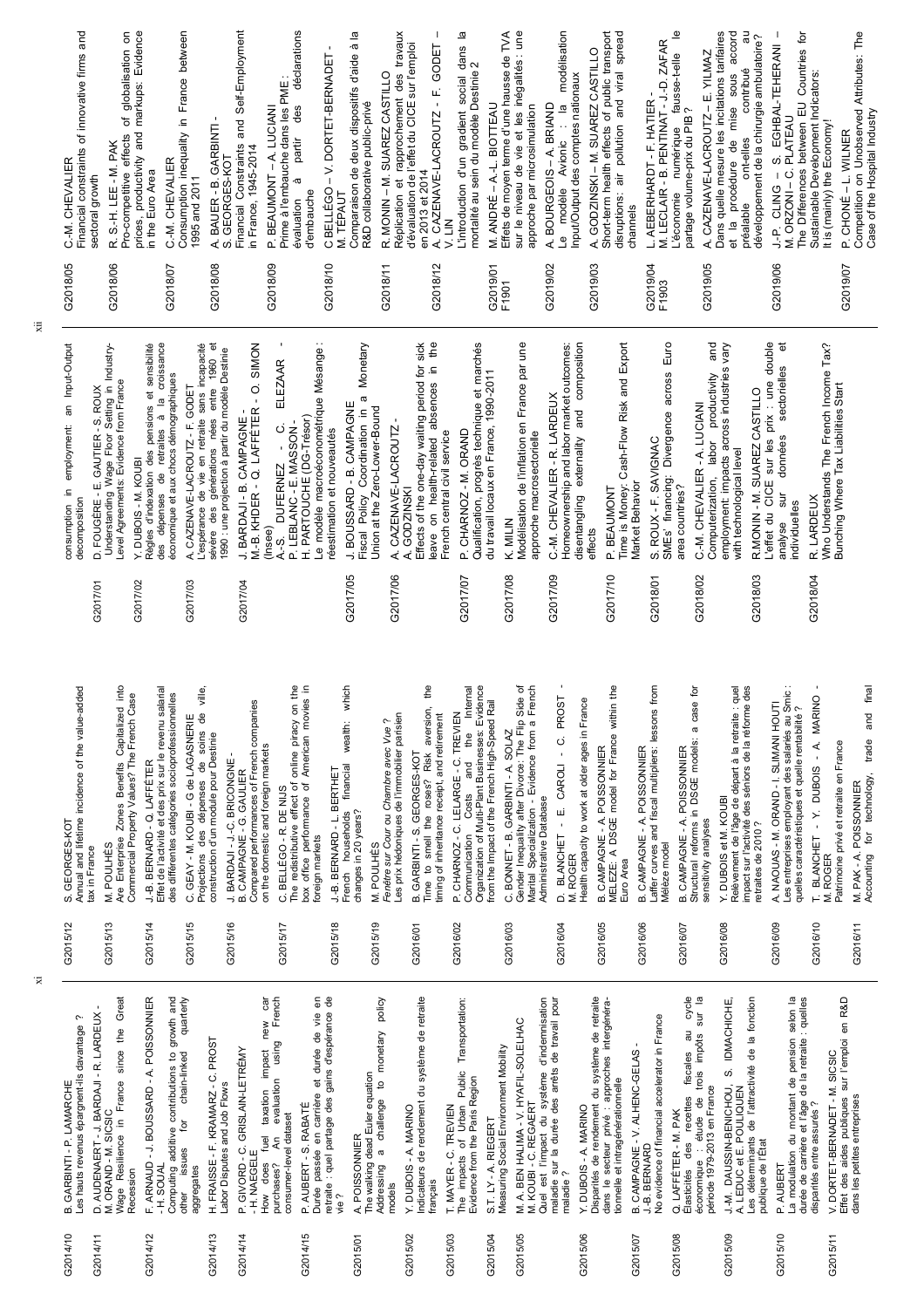| oqi<br>Annual and lifetime incidence of the value-added<br>Are Enterprise Zones Benefits Capitalized in<br>Commercial Property Values? The French Case<br>GEORGES-KOT<br>M. POULHÈS<br>tax in France<br>vó                      | Effet de l'activité et des prix sur le revenu salarial<br>des différentes catégories socioprofessionnelles<br>C. GEAY - M. KOUBI - G de LAGASNERIE<br>සි<br>BERNARD - Q. LAFFÉTER<br>نې<br>با | ville,<br>දී<br>soins<br>construction d'un module pour Destinie<br>des dépenses<br>Projections | Compared performances of French companies<br>on the domestic and foreign markets<br>J. BARDAJI - J.-C. BRICONGNE<br>B. CAMPAGNE - G. GAULIER<br>C. BELLÉGO - R. DE NIJS                  | The redistributive effect of online piracy on the<br>box office performance of American movies in<br>J-B. BERNARD - L. BERTHET<br>foreign markets | which<br>Les prix hédoniques de l'immobilier parisien<br>ç.<br>wealth:<br>Fenêtre sur Cour ou Chambre avec Vue<br>financial<br>households<br>changes in 20 years?<br>M. POULHÈS<br>French | ₫<br>aversion,<br>timing of inheritance receipt, and retirement<br>GEORGES-KOT<br>Time to smell the roses? Risk<br>B. GARBINTI - S. | Organization of Multi-Plant Businesses: Evidence<br>Internal<br>from the Impact of the French High-Speed Rail<br>P. CHARNOZ-C. LELARGE-C. TREVIEN<br>the<br>and<br>Costs<br>Communication | Gender Inequality after Divorce: The Flip Side of<br>Marital Specialization - Evidence from a French<br>C. BONNET - B. GARBINTI - A. SOLAZ<br>Administrative Database                                            | B. CAMPAGNE - A. POISSONNIER<br>MELEZE: A DSGE model for France within the<br><b>PROST</b><br>Health capacity to work at older ages in France<br>E. CAROLI - C.<br>BLANCHET -<br>D. BLANCH<br>M. ROGER | Laffer curves and fiscal multipliers: lessons from<br>POISSONNIER<br>B. CAMPAGNE - A.<br>Mélèze model<br>Euro Area | a case for<br>B. CAMPAGNE - A. POISSONNIER<br>Structural reforms in DSGE models:<br>sensitivity analyses                                                                     | impact sur l'activité des séniors de la réforme des<br>retraites de 2010 ?<br>Relèvement de l'âge de départ à la retraite : quel<br>Y. DUBOIS et M. KOUBI | Les entreprises employant des salariés au Smic<br>A. NAQUAS - M. ORAND - I. SLIMANI HOUTI<br>quelles caractéristiques et quelle rentabilité | <b>MARINO</b><br>- Y. DUBOIS - A.<br>Patrimoine privé et retraite en France<br>T. BLANCHET<br>M. ROGER             | final<br>and<br>trade<br>technology,<br>M. PAK - A. POISSONNIER<br>$\overline{p}$<br>Accounting |
|---------------------------------------------------------------------------------------------------------------------------------------------------------------------------------------------------------------------------------|-----------------------------------------------------------------------------------------------------------------------------------------------------------------------------------------------|------------------------------------------------------------------------------------------------|------------------------------------------------------------------------------------------------------------------------------------------------------------------------------------------|---------------------------------------------------------------------------------------------------------------------------------------------------|-------------------------------------------------------------------------------------------------------------------------------------------------------------------------------------------|-------------------------------------------------------------------------------------------------------------------------------------|-------------------------------------------------------------------------------------------------------------------------------------------------------------------------------------------|------------------------------------------------------------------------------------------------------------------------------------------------------------------------------------------------------------------|--------------------------------------------------------------------------------------------------------------------------------------------------------------------------------------------------------|--------------------------------------------------------------------------------------------------------------------|------------------------------------------------------------------------------------------------------------------------------------------------------------------------------|-----------------------------------------------------------------------------------------------------------------------------------------------------------|---------------------------------------------------------------------------------------------------------------------------------------------|--------------------------------------------------------------------------------------------------------------------|-------------------------------------------------------------------------------------------------|
| G2015/12<br>G2015/13                                                                                                                                                                                                            | G2015/15<br>G2015/14                                                                                                                                                                          |                                                                                                | G2015/16<br>G2015/17                                                                                                                                                                     | G2015/18                                                                                                                                          | G2015/19                                                                                                                                                                                  | G2016/01                                                                                                                            | G2016/02                                                                                                                                                                                  | G2016/03                                                                                                                                                                                                         | G2016/05<br>G2016/04                                                                                                                                                                                   | G2016/06                                                                                                           | G2016/07                                                                                                                                                                     | G2016/08                                                                                                                                                  | G2016/09                                                                                                                                    | G2016/10                                                                                                           | G2016/11                                                                                        |
| Great<br>D. AUDENAERT - J. BARDAJI - R. LARDEUX<br>ç.<br>Les hauts revenus épargnent-ils davantage<br>since the<br>France<br>GARBINTI - P. LAMARCHE<br>ORAND - M. SICSIC<br>$\equiv$<br>Wage Resilience<br>Recession<br>ź<br>ம் | growth and<br>- A. POISSONNIER<br>quarterly<br>contributions to<br>chain-linked<br>ARNAUD - J. BOUSSARD<br>, p<br>Computing additive<br>issues<br>- H. SOUAL<br>aggregates<br>other<br>μĴ     | H. FRAISSE - F. KRAMARZ - C. PROST<br>Labor Disputes and Job Flows                             | car<br>French<br>new<br>using<br>P. GIVORD - C. GRISLAIN-LETRÉMY<br>impact<br>evaluation<br>taxation<br>consumer-level dataset<br>fuel<br>Ę<br>- H. NAEGELE<br>does<br>purchases?<br>MoH | €<br>Durée passée en carrière et durée de vie en<br>retraite : quel partage des gains d'espérance<br>P. AUBERT - S. RABATÉ<br>vie?                | policy<br>monetary<br>The walking dead Euler equation<br>$\overline{5}$<br>challenge<br>A. POISSONNIER<br>$\sigma$<br>Addressing<br>models                                                | indicateurs de rendement du système de retraite<br>Y. DUBOIS - A. MARINO<br>rançais                                                 | Transportation:<br>Public<br>Evidence from the Paris Region<br>of Urban<br>T. MAYER - C. TREVIEN<br>S.T. LY - A. RIEGERT<br>The impacts                                                   | de travail pour<br>d'indemnisation<br>M. A. BEN HALIMA - V. HYAFIL-SOLELHAC<br>M. KOUBI - C. REGAERT<br>Measuring Social Environment Mobility<br>maladie sur la durée des arrêts<br>Quel est l'impact du système | Disparités de rendement du système de retraite<br>dans le secteur privé : approches intergénéra-<br>tionnelle et intragénérationnelle<br>Y. DUBOIS - A. MARINO<br>maladie?                             | No evidence of financial accelerator in France<br>B. CAMPAGNE - V. ALHENC-GELAS<br>J.-B. BERNARD                   | cycle<br>ur la<br>sur<br>ಸ<br>impôts<br>fiscales<br>trois<br>période 1979-2013 en France<br>recettes<br>étude de<br>Q. LAFFÉTER - M. PAK<br>des<br>économique<br>Élasticités | Les déterminants de l'attractivité de la fonction<br>IDMACHICHE,<br>ω<br>J.-M. DAUSSIN-BENICHOU,<br>LEDUC et E. POULIQUEN<br>publique de l'État           | selon la<br>quelles<br>durée de carrière et l'âge de la retraite<br>de pension<br>a modulation du montant<br>P. AUBERT                      | sur l'emploi en R&D<br>SICSIC<br>V. DORTET-BERNADET - M.<br>Effet des aides publiques<br>disparités entre assurés? | dans les petites entreprises                                                                    |
| G2014/10<br>G2014/11                                                                                                                                                                                                            | G2014/12                                                                                                                                                                                      | G2014/13                                                                                       | 32014/14                                                                                                                                                                                 | 32014/15                                                                                                                                          | G2015/01                                                                                                                                                                                  | G2015/02                                                                                                                            | G2015/03<br>G2015/04                                                                                                                                                                      | G2015/05                                                                                                                                                                                                         | G2015/06                                                                                                                                                                                               | G2015/07                                                                                                           | G2015/08                                                                                                                                                                     | G2015/09                                                                                                                                                  | G2015/10                                                                                                                                    | G2015/11                                                                                                           |                                                                                                 |

xi

xii

| ಀ                                                                       | ن                                                                                                                            | ن                                                                                                                                                                                                       | ن                                                                                                                                                                                                                                               |                                                                                   | ن<br>ن                                                                                                                                                                                                       |                                                                                                                                       | ن<br>ن                                                                                                                                                                                                   | ୰ய                                                                                                                      |                                                                                           | ن<br>ಀ                                                                                                                                      |                                                                                  | ு ட                                                                                                            | ن                                                                                                                                                               | ಀ                                                                                                                                                                                     | Ů                                                                                            |
|-------------------------------------------------------------------------|------------------------------------------------------------------------------------------------------------------------------|---------------------------------------------------------------------------------------------------------------------------------------------------------------------------------------------------------|-------------------------------------------------------------------------------------------------------------------------------------------------------------------------------------------------------------------------------------------------|-----------------------------------------------------------------------------------|--------------------------------------------------------------------------------------------------------------------------------------------------------------------------------------------------------------|---------------------------------------------------------------------------------------------------------------------------------------|----------------------------------------------------------------------------------------------------------------------------------------------------------------------------------------------------------|-------------------------------------------------------------------------------------------------------------------------|-------------------------------------------------------------------------------------------|---------------------------------------------------------------------------------------------------------------------------------------------|----------------------------------------------------------------------------------|----------------------------------------------------------------------------------------------------------------|-----------------------------------------------------------------------------------------------------------------------------------------------------------------|---------------------------------------------------------------------------------------------------------------------------------------------------------------------------------------|----------------------------------------------------------------------------------------------|
| Input-Output<br>an<br>employment:<br>르.<br>decomposition<br>consumption | D. FOUGÈRE - E. GAUTIER - S. ROUX<br>Understanding Wage Floor Setting in Industry-<br>Level Agreements: Evidence from France | sensibilité<br>croissance<br>des dépenses de retraites à la crois<br>économique et aux chocs démographiques<br>đ<br>d'indexation des pensions<br>penses de retraites à l<br>DUBOIS - M. KOUBI<br>Règles | đ<br>incapacité<br>e 1960 et<br>severe des générations nées entre 1960 e<br>1990 : une projection à partir du modèle Destinie<br>A. CAZENAVE-LACROUTZ - F. GODET<br>L'espérance de vie en retraite sans in<br>sévère des générations nées entre | SIMON<br>$\dot{\circ}$<br>J. BARDAJI - B. CAMPAGNE -<br>M.-B. KHDER - Q. LAFFÉTER | e modèle macroéconométrique Mésange :<br>ELEZAAR<br>A.-S. DUFERINEZ - V.<br>P. LEBLANC - E. MASSON -<br>H. PARTOUCHE (DG-Trésor)<br>ن<br>réestimation et nouveautés<br><b>DUFERNEZ</b><br>(Insee)<br>$A - S$ | Monetary<br>ω<br>BOUSSARD - B. CAMPAGNE<br>Fiscal Policy Coordination in<br>Union at the Zero-Lower-Bound<br>$\overline{\phantom{a}}$ | sick<br>the<br>Effects of the one-day waiting period for<br>Ξ.<br>absences<br>A. CAZENAVE-LACROUTZ<br>French central civil service<br>health-related<br><b>GODZINSKI</b><br>$\overline{5}$<br>leave<br>∢ | et marchés<br>Qualification, progrès technique et ma<br>du travail locaux en France, 1990-2011<br>P. CHARNOZ - M. ORAND | Modélisation de l'inflation en France par une<br>approche macrosectorielle<br>MITIN<br>نح | Homeownership and labor market outcomes:<br>composition<br>.- M. CHEVALIER - R. LARDEUX<br>and<br>disentangling externality<br>effects<br>ပ | Cash-Flow Risk and Export<br>Market Behavior<br>Money:<br>P. BEAUMONT<br>Time is | Euro<br>across<br>Divergence<br>ROUX - F. SAVIGNAC<br>financing:<br>area countries?<br>SME <sub>s</sub> '<br>ω | and<br>Vary<br>employment: impacts across industries<br>productivity<br>C .- M. CHEVALIER - A. LUCIANI<br>labor<br>with technological level<br>Computerization, | double<br>ъ<br>sectorielles<br>$\therefore$ une<br>R.MONIN - M. SUAREZ CASTILLO<br>L'effet du CICE sur les prix : un<br>prix<br>données<br>sur les<br>sur<br>individuelles<br>analyse | Who Understands The French Income Tax?<br>Bunching Where Tax Liabilities Start<br>R. LARDEUX |
|                                                                         | G2017/01                                                                                                                     | G2017/02                                                                                                                                                                                                | G2017/03                                                                                                                                                                                                                                        | G2017/04                                                                          |                                                                                                                                                                                                              | G2017/05                                                                                                                              | G2017/06                                                                                                                                                                                                 | G2017/07                                                                                                                | G2017/08                                                                                  | G2017/09                                                                                                                                    | G2017/10                                                                         | G2018/01                                                                                                       | G2018/02                                                                                                                                                        | G2018/03                                                                                                                                                                              | G2018/04                                                                                     |